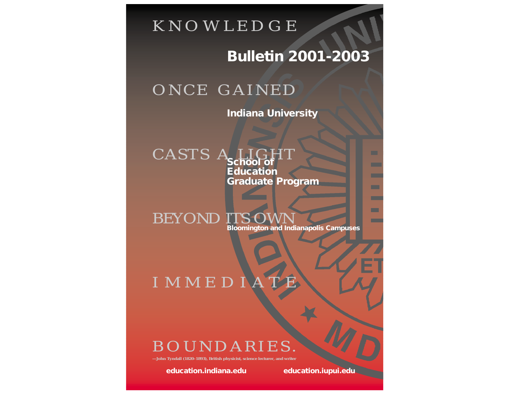

# **Bulletin 2001-2003**

# ONCE GAINED

**Indiana University**

# **School of Education Graduate Program** CASTS

**Bloomington and Indianapolis Campuses** BEYOND ITS

# IMMEDI

# BOUNDARIES.

**Lall (1820–1893), British physicist, science lecturer, and writer** 

**education.indiana.edu education.iupui.edu**

**COLOR COL**  $\blacksquare$ **COL**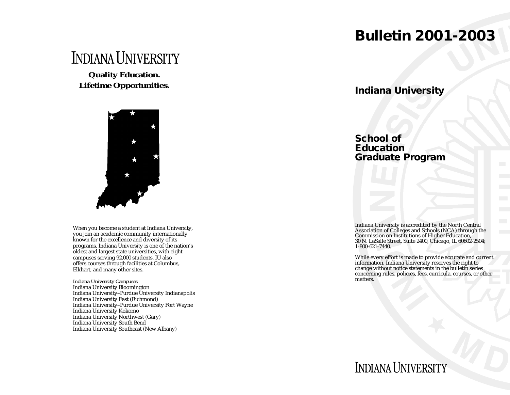# **Bulletin 2001-2003**

# **INDIANA UNIVERSITY**

**Quality Education. Lifetime Opportunities.**



When you become a student at Indiana University, you join an academic community internationally known for the excellence and diversity of its programs. Indiana University is one of the nation's oldest and largest state universities, with eight campuses serving 92,000 students. IU also offers courses through facilities at Columbus, Elkhart, and many other sites.

*Indiana University Campuses* Indiana University Bloomington Indiana University–Purdue University Indianapolis Indiana University East (Richmond) Indiana University–Purdue University Fort Wayne Indiana University Kokomo Indiana University Northwest (Gary) Indiana University South Bend Indiana University Southeast (New Albany)

# **Indiana University**

# **School of Education Graduate Program**

Indiana University is accredited by the North Central Association of Colleges and Schools (NCA) through the Commission on Institutions of Higher Education, 30 N. LaSalle Street, Suite 2400, Chicago, IL 60602-2504; 1-800-621-7440.

While every effort is made to provide accurate and current information, Indiana University reserves the right to change without notice statements in the bulletin series concerning rules, policies, fees, curricula, courses, or other matters.

# **INDIANA UNIVERSITY**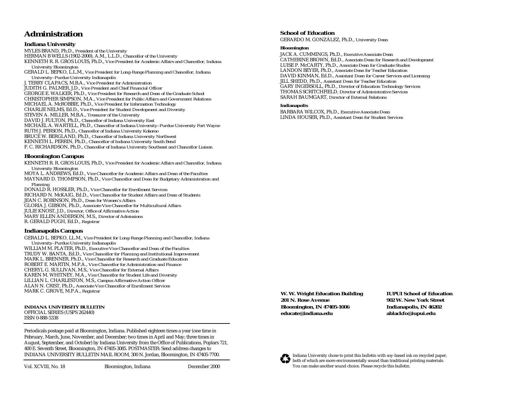# **Administration**

# **Indiana University**

MYLES BRAND, Ph.D., *President of the University* HERMAN B WELLS (1902-2000), A.M., L.L.D., *Chancellor of the University*  KENNETH R. R. GROS LOUIS, Ph.D., *Vice President for Academic Affairs and Chancellor, Indiana University Bloomington*

GERALD L. BEPKO, L.L.M., *Vice President for Long-Range Planning and Chancellor, Indiana University–Purdue University Indianapolis*

J. TERRY CLAPACS, M.B.A., *Vice President for Administration* 

JUDITH G. PALMER, J.D., *Vice President and Chief Financial Officer*

GEORGE E. WALKER, Ph.D., *Vice President for Research and Dean of the Graduate School*  CHRISTOPHER SIMPSON, M.A., *Vice President for Public Affairs and Government Relations*

MICHAEL A. McROBBIE, Ph.D., *Vice President for Information Technology*

CHARLIE NELMS, Ed.D., *Vice President for Student Development and Diversity*

STEVEN A. MILLER, M.B.A., *Treasurer of the University* 

DAVID J. FULTON, Ph.D., *Chancellor of Indiana University East*

MICHAEL A. WARTELL, Ph.D., *Chancellor of Indiana University–Purdue University Fort Wayne* 

RUTH J. PERSON, Ph.D., *Chancellor of Indiana University Kokomo*

BRUCE W. BERGLAND, Ph.D., *Chancellor of Indiana University Northwest* 

KENNETH L. PERRIN, Ph.D., *Chancellor of Indiana University South Bend* 

F. C. RICHARDSON, Ph.D., *Chancellor of Indiana University Southeast and Chancellor Liaison*

# **Bloomington Campus**

KENNETH R. R. GROS LOUIS, Ph.D., *Vice President for Academic Affairs and Chancellor, Indiana University Bloomington*

MOYA L. ANDREWS, Ed.D., *Vice Chancellor for Academic Affairs and Dean of the Faculties* MAYNARD D. THOMPSON, Ph.D., *Vice Chancellor and Dean for Budgetary Administration and*

*Planning* 

DONALD R. HOSSLER, Ph.D., *Vice Chancellor for Enrollment Services* RICHARD N. McKAIG, Ed.D., *Vice Chancellor for Student Affairs and Dean of Students*  JEAN C. ROBINSON, Ph.D., *Dean for Women's Affairs* GLORIA J. GIBSON, Ph.D., *Associate Vice Chancellor for Multicultural Affairs*  JULIE KNOST, J.D., *Director, Office of Affirmative Action* MARY ELLEN ANDERSON, M.S., *Director of Admissions*  R. GERALD PUGH, Ed.D., *Registrar* 

# **Indianapolis Campus**

GERALD L. BEPKO, LL.M., *Vice President for Long-Range Planning and Chancellor, Indiana University–Purdue University Indianapolis* WILLIAM M. PLATER, Ph.D., *Executive Vice Chancellor and Dean of the Faculties*  TRUDY W. BANTA, Ed.D., *Vice Chancellor for Planning and Institutional Improvement* MARK L. BRENNER, Ph.D., *Vice Chancellor for Research and Graduate Education* ROBERT E. MARTIN, M.P.A., *Vice Chancellor for Administration and Finance* CHERYL G. SULLIVAN, M.S., *Vice Chancellor for External Affairs* KAREN M. WHITNEY, M.A., *Vice Chancellor for Student Life and Diversity* LILLIAN L. CHARLESTON, M.S., *Campus Affirmative Action Officer* ALAN N. CRIST, Ph.D., *Associate Vice Chancellor of Enrollment Services* MARK C. GROVE, M.P.A., *Registrar*

**INDIANA UNIVERSITY BULLETIN**  OFFICIAL SERIES (USPS 262440) ISSN 0-888-5338

Periodicals postage paid at Bloomington, Indiana. Published eighteen times a year (one time in February, March, June, November, and December; two times in April and May; three times in August, September, and October) by Indiana University from the Office of Publications, Poplars 721, 400 E. Seventh Street, Bloomington, IN 47405-3085. POSTMASTER: Send address changes to INDIANA UNIVERSITY BULLETIN MAIL ROOM, 300 N. Jordan, Bloomington, IN 47405-7700.

# **School of Education**

GERARDO M. GONZÁLEZ, Ph.D., *University Dean*

### **Bloomington**

JACK A. CUMMINGS, Ph.D., *Executive Associate Dean* CATHERINE BROWN, Ed.D., *Associate Dean for Research and Development* LUISE P. McCARTY, Ph.D., *Associate Dean for Graduate Studies* LANDON BEYER, Ph.D., *Associate Dean for Teacher Education* DAVID KINMAN, Ed.D., *Assistant Dean for Career Services and Licensing* JILL SHEDD, Ph.D., *Assistant Dean for Teacher Education* GARY INGERSOLL, Ph.D., *Director of Education Technology Services* THOMAS SCRITCHFIELD, *Director of Administrative Services* SARAH BAUMGART, *Director of External Relations*

### **Indianapolis**

BARBARA WILCOX, Ph.D., *Executive Associate Dean* LINDA HOUSER, Ph.D., *Assistant Dean for Student Services*

**W. W. Wright Education Building 201 N. Rose Avenue Bloomington, IN 47405-1006 educate@indiana.edu**

**IUPUI School of Education 902 W. New York Street Indianapolis, IN 46202 ablackfo@iupui.edu**



Indiana University chose to print this bulletin with soy-based ink on recycled paper, both of which are more environmentally sound than traditional printing materials. You can make another sound choice. Please recycle this bulletin.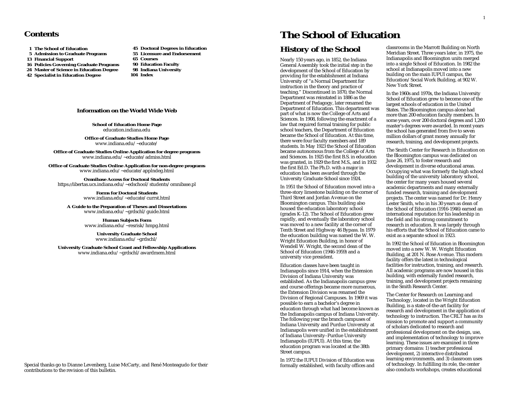**1 The School of Education**

- **5 Admission to Graduate Programs**
- **13 Financial Support**
- **16 Policies Governing Graduate Programs**
- **24 Master of Science in Education Degree**
- **42 Specialist in Education Degree**
- **55 Licensure and Endorsement 65 Courses 90 Education Faculty 98 Indiana University 104 Index**

**45 Doctoral Degrees in Education**

### **Information on the World Wide Web**

**School of Education Home Page** education.indiana.edu

**Office of Graduate Studies Home Page** www.indiana.edu/~educate/

**Office of Graduate Studies Online Application for degree programs** www.indiana.edu/~educate/admiss.html

**Office of Graduate Studies Online Application for non-degree programs** www.indiana.edu/~educate/applndeg.html

**Omnibase Access for Doctoral Students** https:*//*libertas.ucs.indiana.edu/~edschool/students/omnibase.pl

> **Forms for Doctoral Students** www.indiana.edu/~educate/currst.html

**A Guide to the Preparation of Theses and Dissertations** www.indiana.edu/~grdschl/guide.html

> **Human Subjects Form** www.indiana.edu/~resrisk/hmpg.html

> > **University Graduate School**  www.indiana.edu/~grdschl/

**University Graduate School Grant and Fellowship Applications** www.indiana.edu/~grdschl/awardmem.html

# **Contents The School of Education**

# **History of the School**

Nearly 150 years ago, in 1852, the Indiana General Assembly took the initial step in the development of the School of Education by providing for the establishment at Indiana University of "a Normal Department for instruction in the theory and practice of teaching." Discontinued in 1870, the Normal Department was reinstated in 1886 as the Department of Pedagogy, later renamed the Department of Education. This department was part of what is now the College of Arts and Sciences. In 1908, following the enactment of a law that required formal training for public school teachers, the Department of Education became the School of Education. At this time, there were four faculty members and 189 students. In May 1923 the School of Education became autonomous from the College of Arts and Sciences. In 1925 the first B.S. in education was granted, in 1929 the first M.S., and in 1932 the first Ed.D. The Ph.D. with a major in education has been awarded through the University Graduate School since 1924.

In 1951 the School of Education moved into a three-story limestone building on the corner of Third Street and Jordan Avenue on the Bloomington campus. This building also housed the education laboratory school (grades K-12). The School of Education grew rapidly, and eventually the laboratory school was moved to a new facility at the corner of Tenth Street and Highway 46 Bypass. In 1979 the education building was named the W. W. Wright Education Building, in honor of Wendell W. Wright, the second dean of the School of Education (1946-1959) and a university vice president.

Education classes have been taught in Indianapolis since 1914, when the Extension Division of Indiana University was established. As the Indianapolis campus grew and course offerings became more numerous, the Extension Division was renamed the Division of Regional Campuses. In 1969 it was possible to earn a bachelor's degree in education through what had become known as the Indianapolis campus of Indiana University. The following year the branch campuses of Indiana University and Purdue University at Indianapolis were unified in the establishment of Indiana University–Purdue University Indianapolis (IUPUI). At this time, the education program was located at the 38th Street campus.

In 1972 the IUPUI Division of Education was formally established, with faculty offices and classrooms in the Marrott Building on North Meridian Street. Three years later, in 1975, the Indianapolis and Bloomington units merged into a single School of Education. In 1982 the school at Indianapolis moved into a new building on the main IUPUI campus, the Education/Social Work Building, at 902 W. New York Street.

In the 1960s and 1970s, the Indiana University School of Education grew to become one of the largest schools of education in the United States. The Bloomington campus alone had more than 200 education faculty members. In some years, over 200 doctoral degrees and 1,200 master's degrees were awarded. In recent years the school has generated from five to seven million dollars of grant money annually for research, training, and development projects.

The Smith Center for Research in Education on the Bloomington campus was dedicated on June 26, 1975, to foster research and development in diverse educational areas. Occupying what was formerly the high school building of the university laboratory school, the center for many years housed several academic departments and many externally funded research, training and development projects. The center was named for Dr. Henry Lester Smith, who in his 30 years as dean of the School of Education (1916-1946) earned an international reputation for his leadership in the field and his strong commitment to research in education. It was largely through his efforts that the School of Education came to exist as a separate school in 1923.

In 1992 the School of Education in Bloomington moved into a new W. W. Wright Education Building, at 201 N. Rose Avenue. This modern facility offers the latest in technological facilities for instruction, training, and research. All academic programs are now housed in this building, with externally funded research, training, and development projects remaining in the Smith Research Center.

The Center for Research on Learning and Technology, located in the Wright Education Building, is a state-of-the-art facility for research and development in the application of technology to instruction. The CRLT has as its mission to promote and support a community of scholars dedicated to research and professional development on the design, use, and implementation of technology to improve learning. These issues are examined in three primary domains: 1) teacher professional development, 2) interactive distributed learning environments, and 3) classroom uses of technology. In fulfilling its role, the center also conducts workshops, creates educational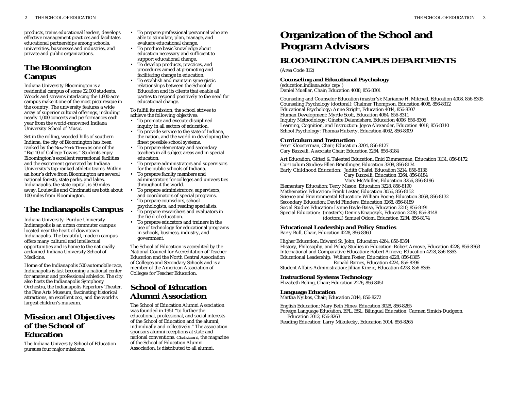products, trains educational leaders, develops effective management practices and facilitates educational partnerships among schools, universities, businesses and industries, and private and public organizations.

# **The Bloomington Campus**

Indiana University Bloomington is a residential campus of some 32,000 students. Woods and streams interlacing the 1,800-acre campus make it one of the most picturesque in the country. The university features a wide array of superior cultural offerings, including nearly 1,000 concerts and performances each year from the world-renowned Indiana University School of Music.

Set in the rolling, wooded hills of southern Indiana, the city of Bloomington has been ranked by the *New York Times* as one of the "Big 10 of College Towns." Students enjoy Bloomington's excellent recreational facilities and the excitement generated by Indiana University's top-ranked athletic teams. Within an hour's drive from Bloomington are several national forests, state parks, and lakes. Indianapolis, the state capital, is 50 miles away; Louisville and Cincinnati are both about 100 miles from Bloomington.

# **The Indianapolis Campus**

Indiana University–Purdue University Indianapolis is an urban commuter campus located near the heart of downtown Indianapolis. The beautiful, modern campus offers many cultural and intellectual opportunities and is home to the nationally acclaimed Indiana University School of Medicine.

Home of the Indianapolis 500 automobile race, Indianapolis is fast becoming a national center for amateur and professional athletics. The city also hosts the Indianapolis Symphony Orchestra, the Indianapolis Repertory Theater, the Fine Arts Museum, fascinating historical attractions, an excellent zoo, and the world's largest children's museum.

# **Mission and Objectives of the School of Education**

The Indiana University School of Education pursues four major missions:

- To prepare professional personnel who are able to stimulate, plan, manage, and evaluate educational change.
- To produce basic knowledge about education necessary and sufficient to support educational change.
- • To develop products, practices, and procedures aimed at promoting and facilitating change in education.

•

•

•

 To establish and maintain synergistic relationships between the School of Education and its clients that enable all parties to respond positively to the need for educational change.

To fulfill its mission, the school strives to achieve the following objectives:

- To promote and execute disciplined inquiry in all sectors of education.
- To provide service to the state of Indiana, the nation, and the world in developing the finest possible school systems.
- To prepare elementary and secondary teachers in all subject areas and in special education.
- To prepare administrators and supervisors for the public schools of Indiana.
- • To prepare faculty members and administrators for colleges and universities throughout the world.
- To prepare administrators, supervisors, and coordinators of special programs.
- • To prepare counselors, school psychologists, and reading specialists.
- To prepare researchers and evaluators in the field of education.
- • To prepare educators and trainers in the use of technology for educational programs in schools, business, industry, and government.

The School of Education is accredited by the National Council for Accreditation of Teacher Education and the North Central Association of Colleges and Secondary Schools and is a member of the American Association of Colleges for Teacher Education.

# **School of Education Alumni Association**

The School of Education Alumni Association was founded in 1951 "to further the educational, professional, and social interests of the School of Education and the alumni, individually and collectively." The association sponsors alumni receptions at state and national conventions. *Chalkboard,* the magazine of the School of Education Alumni Association, is distributed to all alumni.

# **Organization of the School and Program Advisors**

# **BLOOMINGTON CAMPUS DEPARTMENTS**

(Area Code 812)

# **Counseling and Educational Psychology**

(education.indiana.edu/cep/) Daniel Mueller, Chair; Education 4038, 856-8301

Counseling and Counselor Education (master's): Marianne H. Mitchell, Education 4008, 856-8305 Counseling Psychology (doctoral): Chalmer Thompson, Education 4008, 856-8312 Educational Psychology: Anne Stright, Education 4044, 856-8307 Human Development: Myrtle Scott, Education 4064, 856-8311 Inquiry Methodology: Ginette Delandshere, Education 4006, 856-8306 Learning, Cognition, and Instruction: Joyce Alexander, Education 4018, 856-8310 School Psychology: Thomas Huberty, Education 4062, 856-8309

### **Curriculum and Instruction**

Peter Kloosterman, Chair; Education 3204, 856-8127 Cary Buzzelli, Associate Chair; Education 3264, 856-8184

Art Education, Gifted & Talented Education: Enid Zimmerman, Education 3131, 856-8172 Curriculum Studies: Ellen Brantlinger, Education 3208, 856-8134 Early Childhood Education: Judith Chafel, Education 3214, 856-8136 Cary Buzzelli, Education 3264, 856-8184 Mary McMullen, Education 3256, 856-8196

Elementary Education: Terry Mason, Education 3228, 856-8190 Mathematics Education: Frank Lester, Education 3056, 856-8152 Science and Environmental Education: William Boone, Education 3068, 856-8132 Secondary Education: David Flinders, Education 3268, 856-8189 Social Studies Education: Lynne Boyle-Baise, Education 3210, 856-8191 Special Education: (master's) Dennis Knapczyk, Education 3238, 856-8148 (doctoral) Samuel Odom, Education 3234, 856-8174

# **Educational Leadership and Policy Studies**

Barry Bull, Chair, Education 4228, 856-8360

Higher Education: Edward St. John, Education 4264, 856-8364 History, Philosophy, and Policy Studies in Education: Robert Arnove, Education 4228, 856-8363 International and Comparative Education: Robert Arnove, Education 4228, 856-8363 Educational Leadership: William Foster, Education 4228, 856-8365 Ronald Barnes, Education 4224, 856-8396 Student Affairs Administration: Jillian Kinzie, Education 4228, 856-8365

### **Instructional Systems Technology**

Elizabeth Boling, Chair; Education 2276, 856-8451

# **Language Education**

Martha Nyikos, Chair; Education 3044, 856-8272

English Education: Mary Beth Hines, Education 3028, 856-8265

Foreign Language Education, EFL, ESL. Bilingual Education: Carmen Simich-Dudgeon, Education 3012, 856-8263

Reading Education: Larry Mikulecky, Education 3014, 856-8265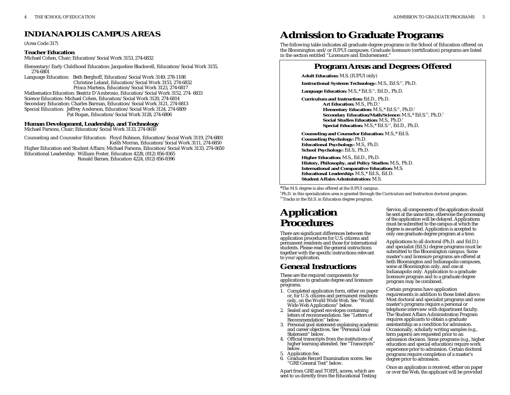# **INDIANAPOLIS CAMPUS AREAS**

(Area Code 317)

### **Teacher Education**

Michael Cohen, Chair; Education/Social Work 3153, 274-6832

Elementary/Early Childhood Education: Jacqueline Blackwell, Education/Social Work 3155, 274-6801

Language Education: Beth Berghoff, Education/Social Work 3149, 278-1108 Christine Leland, Education/Social Work 3153, 274-6832 Prisca Martens, Education/Social Work 3123, 274-6817

Mathematics Education: Beatriz D'Ambrosio, Education/Social Work 3152, 274- 6833 Science Education: Michael Cohen, Education/Social Work 3120, 274-6814 Secondary Education: Charles Barman, Education/Social Work 3121, 274-6813 Special Education: Jeffrey Anderson, Education/Social Work 3124, 274-6809 Pat Rogan, Education/Social Work 3128, 274-6806

### **Human Development, Leadership, and Technology**

Michael Parsons, Chair; Education/Social Work 3133, 274-0650

Counseling and Counselor Education: Floyd Robison, Education/Social Work 3119, 274-6801 Keith Morran, Education/Social Work 3111, 274-6850 Higher Education and Student Affairs: Michael Parsons, Education/Social Work 3133, 274-0650 Educational Leadership: William Foster, Education 4228, (812) 856-8365 Ronald Barnes, Education 4224, (812) 856-8396

# **Admission to Graduate Programs**

The following table indicates all graduate degree programs in the School of Education offered on the Bloomington and/or IUPUI campuses. Graduate licensure (certification) programs are listed in the section entitled "Licensure and Endorsement."

# **Program Areas and Degrees Offered**

**Adult Education:** M.S. (IUPUI only)

**Instructional Systems Technology:** M.S., Ed.S.††, Ph.D.

**Language Education:** M.S.,\* Ed.S.††, Ed.D., Ph.D.

**Curriculum and Instruction:** Ed.D., Ph.D. **Art Education:** M.S., Ph.D.† **Elementary Education:** M.S.,\* Ed.S.††, Ph.D.† **Secondary Education/Math/Science:** M.S.,\* Ed.S.††, Ph.D.† **Social Studies Education:** M.S., Ph.D.† **Special Education:** M.S.,\* Ed.S.††, Ed.D., Ph.D.

**Counseling and Counselor Education:** M.S.,\* Ed.S. **Counseling Psychology:** Ph.D. **Educational Psychology:** M.S., Ph.D. **School Psychology:** Ed.S., Ph.D.

**Higher Education:** M.S., Ed.D., Ph.D. **History, Philosophy, and Policy Studies:** M.S., Ph.D. **International and Comparative Education:** M.S. **Educational Leadership:** M.S.,\* Ed.S., Ed.D. **Student Affairs Administration:** M.S.

\*The M.S. degree is also offered at the IUPUI campus.

†Ph.D. in this specialization area is granted through the Curriculum and Instruction doctoral program. ††Tracks in the Ed.S. in Education degree program.

# **Application Procedures**

There are significant differences between the application procedures for U.S. citizens and permanent residents and those for international students. Please read the general instructions together with the specific instructions relevant to your application.

# **General Instructions**

These are the required components for applications to graduate degree and licensure programs.

- 1. Completed application form, either on paper or, for U.S. citizens and permanent residents only, on the World Wide Web. See "World Wide Web Applications" below.
- 2. Sealed and signed envelopes containing letters of recommendation. See "Letters of Recommendation" below.
- 3. Personal goal statement explaining academic and career objectives. See "Personal Goal Statement" below.
- 4. Official transcripts from the institutions of higher learning attended. See "Transcripts" below.
- 5. Application fee.
- 6. Graduate Record Examination scores. See "GRE General Test" below.

Apart from GRE and TOEFL scores, which are sent to us directly from the Educational Testing Service, all components of the application should be sent at the same time, otherwise the processing of the application will be delayed. Applications must be submitted to the campus at which the degree is awarded. Application is accepted to only one graduate degree program at a time.

Applications to all doctoral (Ph.D. and Ed.D.) and specialist (Ed.S.) degree programs must be submitted to the Bloomington campus. Some master's and licensure programs are offered at both Bloomington and Indianapolis campuses, some at Bloomington only, and one at Indianapolis only. Application to a graduate licensure program and to a graduate degree program may be combined.

Certain programs have application requirements in addition to those listed above. Most doctoral and specialist programs and some master's programs require a personal or telephone interview with department faculty. The Student Affairs Administration Program requires applicants to obtain a graduate assistantship as a condition for admission. Occasionally, scholarly writing samples (e.g., term papers) are requested prior to an admission decision. Some programs (e.g., higher education and special education) require work experience prior to admission. Certain doctoral programs require completion of a master's degree prior to admission.

Once an application is received, either on paper or over the Web, the applicant will be provided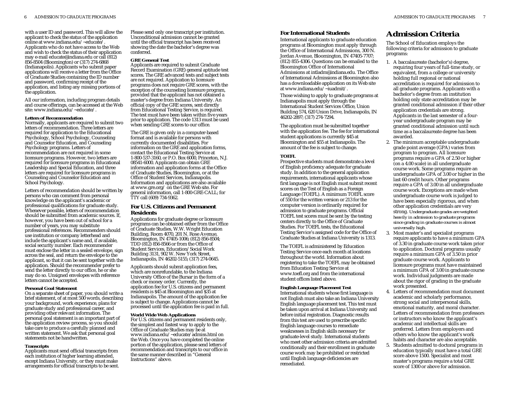with a user ID and password. This will allow the applicant to check the status of the application online at www.indiana.edu/~educate/. Applicants who do not have access to the Web and wish to check the status of their application may e-mail educate@indiana.edu or call (812) 856-8504 (Bloomington) or (317) 274-6868 (Indianapolis). Applicants who submit paper applications will receive a letter from the Office of Graduate Studies containing the ID number and password, confirming receipt of the application, and listing any missing portions of the application.

All our information, including program details and course offerings, can be accessed at the Web site: www.indiana.edu/~educate/.

#### **Letters of Recommendation**

Normally, applicants are required to submit two letters of recommendation. Three letters are required for application to the Educational Psychology, School Psychology, Counseling and Counselor Education, and Counseling Psychology programs. Letters of recommendation are not required in some licensure programs. However, two letters are required for licensure programs in Educational Leadership and Special Education, and three letters are required for licensure programs in Counseling and Counselor Education and School Psychology.

Letters of recommendation should be written by persons who can comment from personal knowledge on the applicant's academic or professional qualifications for graduate study. Whenever possible, letters of recommendation should be submitted from academic sources. If, however, you have been out of school for a number of years, you may substitute professional references. Recommenders should use institution or company letterhead and include the applicant's name and, if available, social security number. Each recommender must enclose the letter in a sealed envelope, sign across the seal, and return the envelope to the applicant, so that it can be sent together with the application. Should the recommender prefer to send the letter directly to our office, he or she may do so. Unsigned envelopes with reference letters cannot be accepted.

#### **Personal Goal Statement**

On a separate sheet of paper, you should write a brief statement, of at most 500 words, describing your background, work experience, plans for graduate study and professional career, and providing other relevant information. The personal goal statement is an important part of the application review process, so you should take care to produce a carefully planned and written statement. We ask that personal goal statements not be handwritten.

#### **Transcripts**

Applicants must send official transcripts from each institution of higher learning attended, except Indiana University, or they must make arrangements for official transcripts to be sent.

Please send only one transcript per institution. Unconditional admission cannot be granted until the official transcript has been received showing the date the bachelor's degree was conferred.

#### **GRE General Test**

Applicants are required to submit Graduate Record Examination (GRE) general aptitude test scores. The GRE advanced tests and subject tests are not required. Application to licensure programs does not require GRE scores, with the exception of the counseling licensure program, provided that the applicant has not obtained a master's degree from Indiana University. An official copy of the GRE scores, sent directly from Educational Testing Service, is required. The test must have been taken within five years prior to application. The code 1313 must be used when sending GRE scores to our office.

The GRE is given only in a computer-based format and is available for persons with currently documented disabilities. For information on the GRE and application forms, contact the Educational Testing Service at 1-800-537-3160, or P.O. Box 6000, Princeton, N.J. 08541-6000. Applicants can obtain GRE information and application forms at the Office of Graduate Studies, Bloomington, or at the Office of Student Services, Indianapolis. Information and applications are also available at www.gre.org/ on the GRE Web site. For general information, call 1-800-GRE-CALL; for TTY call (609) 734-9362.

### **For U.S. Citizens and Permanent Residents**

Applications for graduate degree or licensure programs can be obtained either from the Office of Graduate Studies, W.W. Wright Education Building, Room 4070, 201 N. Rose Avenue, Bloomington, IN 47405-1006; (812) 856-8504; TDD (812) 856-8566 or from the Office of Student Services, Education/Social Work Building 3131, 902 W. New York Street, Indianapolis, IN 46202-5155; (317) 274-0645.

Applicants should submit application fees, which are nonrefundable, to the Indiana University Office of the Bursar in the form of a check or money order. Currently, the application fee for U.S. citizens and permanent residents is \$45 at Bloomington and \$35 at Indianapolis. The amount of the application fee is subject to change. Applications cannot be processed until the application fee is paid in full.

#### **World Wide Web Applications**

For U.S. citizens and permanent residents only, the simplest and fastest way to apply to the Office of Graduate Studies may be at www.indiana.edu/~educate/admiss.html on the Web. Once you have completed the online portion of the application, please send letters of recommendation and transcripts to our office in the same manner described in "General Instructions" above.

# ADMISSION TO GRADUATE PROGRAMS 7

### **For International Students**

International applicants to graduate education programs at Bloomington must apply through the Office of International Admissions, 300 N. Jordan Avenue, Bloomington, IN 47405-7707; (812) 855-4306. Questions can be emailed to the Bloomington Office of International Admissions at intladm@indiana.edu. The Office of International Admissions at Bloomington also has a downloadable application on its Web site at www.indiana.edu/~iuadmit/.

Those wishing to apply to graduate programs at Indianapolis must apply through the International Student Services Office, Union Building 574, 620 Union Drive, Indianapolis, IN 46202-2897; (317) 274-7294.

The application must be submitted together with the application fee. The fee for international student applications is currently \$45 at Bloomington and \$55 at Indianapolis. The amount of the fee is subject to change.

#### **TOEFL**

Prospective students must demonstrate a level of English proficiency adequate for graduate study. In addition to the general application requirements, international applicants whose first language is not English must submit recent scores on the Test of English as a Foreign Language (TOEFL). A minimum TOEFL score of 550 for the written version or 213 for the computer version is ordinarily required for admission to graduate programs. Official TOEFL test scores must be sent by the testing centers directly to the Office of Graduate Studies. For TOEFL tests, the Educational Testing Service's assigned code for the Office of Graduate Studies at Indiana University is 1313.

The TOEFL is administered by Education Testing Service once each month at locations throughout the world. Information about registering to take the TOEFL may be obtained from Education Testing Service at www.toefl.org and from the international student offices listed above.

#### **English Language Placement Test**

International students whose first language is not English must also take an Indiana University English language placement test. This test must be taken upon arrival at Indiana University and before initial registration. Diagnostic results from this test are used to prescribe specific English language courses to remediate weaknesses in English skills necessary for graduate-level study. International students who meet other admission criteria are admitted conditionally and their enrollment in graduate course work may be prohibited or restricted until English language deficiencies are remediated.

# **Admission Criteria**

The School of Education employs the following criteria for admission to graduate programs:

- 1. A baccalaureate (bachelor's) degree, requiring four years of full-time study, or equivalent, from a college or university holding full regional or national accreditation is required for admission to all graduate programs. Applicants with a bachelor's degree from an institution holding only state accreditation may be granted conditional admission if their other application credentials are strong. Applicants in the last semester of a fouryear undergraduate program may be granted conditional admission until such time as a baccalaureate degree has been awarded.
- 2. The minimum acceptable undergraduate grade point average (GPA) varies from program to program. All licensure programs require a GPA of 2.50 or higher (on a 4.00 scale) in all undergraduate course work. Some programs require an undergraduate GPA of 3.00 or higher in the last 60 credit hours. Other programs require a GPA of 3.00 in all undergraduate course work. Exceptions are made when undergraduate course work is judged to have been especially rigorous, and when other application credentials are very strong. *Undergraduate grades are weighted heavily in admission to graduate programs since grading in graduate courses is almost universally high*.
- 3. Most master's and specialist programs require applicants to have a minimum GPA of 3.30 in graduate course work taken prior to application. Doctoral programs usually require a minimum GPA of 3.50 in prior graduate course work. Applicants to licensure programs must have maintained a minimum GPA of 3.00 in graduate course work. Individual judgments are made about the rigor of grading in the graduate work presented.
- 4. Letters of recommendation must document academic and scholarly performance, strong social and interpersonal skills, emotional maturity, and moral character. Letters of recommendation from professors or instructors who know the applicant's academic and intellectual skills are preferred. Letters from employers and others who know the applicant's work habits and character are also acceptable.
- 5. Students admitted to doctoral programs in education typically must have a total GRE score above 1500. Specialist and most master's programs require a total GRE score of 1300 or above for admission.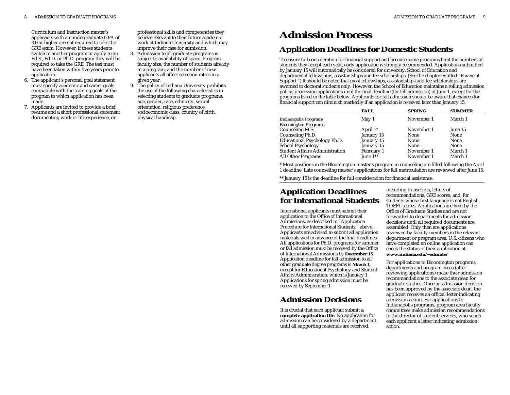Curriculum and Instruction master's applicants with an undergraduate GPA of 3.0 or higher are not required to take the GRE exam. However, if these students switch to another program or apply to an Ed.S., Ed.D. or Ph.D. program they will be required to take the GRE. The test must have been taken within five years prior to application.

- 6. The applicant's personal goal statement must specify academic and career goals compatible with the training goals of the program to which application has been made.
- 7. Applicants are invited to provide a brief resume and a short professional statement documenting work or life experience, or

professional skills and competencies they believe relevant to their future academic work at Indiana University and which may improve their case for admission.

- 8. Admission to all graduate programs is subject to availability of space. Program faculty size, the number of students already in a program, and the number of new applicants all affect selection ratios in a given year.
- 9. The policy of Indiana University prohibits the use of the following characteristics in selecting students to graduate programs: age, gender, race, ethnicity, sexual orientation, religious preference, socioeconomic class, country of birth, physical handicap.

# **Admission Process Application Deadlines for Domestic Students**

To ensure full consideration for financial support and because some programs limit the numbers of students they accept each year, early application is strongly recommended. Applications submitted by January 15 will automatically be considered for university, School of Education and departmental fellowships, assistantships and fee scholarships. (See the chapter entitled "Financial Support.") It should be noted that most fellowships, assistantships and fee scholarships are awarded to doctoral students only. However, the School of Education maintains a rolling admission policy, processing applications until the final deadline (for fall admission) of June 1, except for the programs listed in the table below. Applicants for fall admission should be aware that chances for financial support can diminish markedly if an application is received later than January 15.

| <b>SUMMER</b> |
|---------------|
| March 1       |
|               |
| June 15       |
| None          |
| None          |
| None          |
| March 1       |
| March 1       |
|               |

\* Most positions in the Bloomington master's program in counseling are filled following the April 1 deadline. Late counseling master's applications for fall matriculation are reviewed after June 15.

\*\* January 15 is the deadline for full consideration for financial assistance.

# **Application Deadlines for International Students**

International applicants must submit their application to the Office of International Admissions, as described in "Application Procedure for International Students," above. Applicants are advised to submit all application materials well in advance of the final deadlines. All applications for Ph.D. programs for summer or fall admission must be received by the Office of International Admissions by **December 15.** Application deadline for fall admission to all other graduate degree programs is **March 1**, except for Educational Psychology and Student Affairs Administration, which is January 1. Applications for spring admission must be received by September 1.

# **Admission Decisions**

It is crucial that each applicant submit **a complete application file**. No application for admission can be considered by a department until all supporting materials are received,

including transcripts, letters of recommendations, GRE scores, and, for students whose first language is not English, TOEFL scores. Applications are held by the Office of Graduate Studies and are not forwarded to departments for admission decisions until all required documents are assembled. Only then are applications reviewed by faculty members in the relevant department or program area. U.S. citizens who have completed an online application can check the status of their application at **www.indiana.edu/~educate/**

For applications to Bloomington programs, departments and program areas (after reviewing applications) make their admission recommendations to the associate dean for graduate studies*.* Once an admission decision has been approved by the associate dean, the applicant receives an official letter indicating admission action. For applications to Indianapolis programs, program area faculty committees make admission recommendations to the director of student services, who sends each applicant a letter indicating admission action.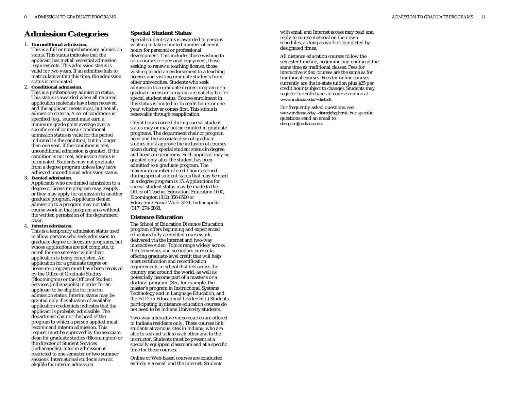# **Admission Categories**

#### 1. **Unconditional admission.**

This is a full or nonprobationary admission status. This status indicates that the applicant has met all essential admission requirements. This admission status is valid for two years. If an admittee fails to matriculate within this time, the admission status is terminated.

#### 2. **Conditional admission.**

This is a probationary admission status. This status is awarded when all required application materials have been received and the applicant meets most, but not all, admission criteria. A set of conditions is specified (e.g., student must earn a minimum grade point average over a specific set of courses). Conditional admission status is valid for the period indicated in the condition, but no longer than one year. If the condition is met, unconditional admission is granted. If the condition is not met, admission status is terminated. Students may not graduate from a degree program unless they have achieved unconditional admission status.

#### 3. **Denied admission.**

Applicants who are denied admission to a degree or licensure program may reapply, or they may apply for admission to another graduate program. Applicants denied admission to a program may not take course work in that program area without the written permission of the department chair.

#### 4. **Interim admission.**

This is a temporary admission status used to allow persons who seek admission to graduate degree or licensure programs, but whose applications are not complete, to enroll for one semester while their application is being completed. An application for a graduate degree or licensure program must have been received by the Office of Graduate Studies (Bloomington) or the Office of Student Services (Indianapolis) in order for an applicant to be eligible for interim admission status. Interim status may be granted only if evaluation of available application credentials indicates that the applicant is probably admissible. The department chair or the head of the program to which a person applied must recommend interim admission. This request must be approved by the associate dean for graduate studies (Bloomington) or the director of Student Services (Indianapolis). Interim admission is restricted to one semester or two summer sessions. International students are not eligible for interim admission.

### **Special Student Status**

Special student status is awarded to persons wishing to take a limited number of credit hours for personal or professional development. This includes those wishing to take courses for personal enjoyment, those seeking to renew a teaching license, those wishing to add an endorsement to a teaching license, and visiting graduate students from other universities. Students who seek admission to a graduate degree program or a graduate licensure program are not eligible for special student status. Course enrollment in this status is limited to 15 credit hours or one year, whichever comes first. This status is renewable through reapplication.

Credit hours earned during special student status may or may not be counted in graduate programs. The department chair or program head and the associate dean of graduate studies must approve the inclusion of courses taken during special student status in degree and licensure programs. Such approval may be granted only after the student has been admitted to a graduate program. The maximum number of credit hours earned during special student status that may be used in a degree program is 15. Applications for special student status may be made to the Office of Teacher Education, Education 1000, Bloomington (812) 856-8500 or Education/Social Work 3131, Indianapolis (317) 274-6868.

#### **Distance Education**

The School of Education Distance Education program offers beginning and experienced educators fully accredited coursework delivered via the Internet and two-way interactive video. Topics range widely across the elementary and secondary curricula, offering graduate-level credit that will help meet certification and recertification requirements in school districts across the country and around the world, as well as potentially become part of a master's or a doctoral program. (See, for example, the master's program in Instructional Systems Technology and in Language Education, and the Ed.D. in Educational Leadership.) Students participating in distance education courses do not need to be Indiana University students.

Two-way interactive video courses are offered to Indiana residents only. These courses link students at various sites in Indiana, who are able to see and talk to each other and to the instructor. Students must be present at a specially equipped classroom and at a specific time for these courses.

Online or Web-based courses are conducted entirely via email and the Internet. Students

with email and Internet access may read and reply to course material on their own schedules, as long as work is completed by designated times.

All distance education courses follow the semester timeline, beginning and ending at the same time as traditional classes. Fees for interactive video courses are the same as for traditional courses. Fees for online courses currently are the in-state tuition plus \$25 per credit hour (subject to change). Students may register for both types of courses online at *www.indiana.edu/~disted/*.

For frequently asked questions, see *www.indiana.edu/~disted/faq.html.* For specific questions send an email to *deregstr@indiana.edu.*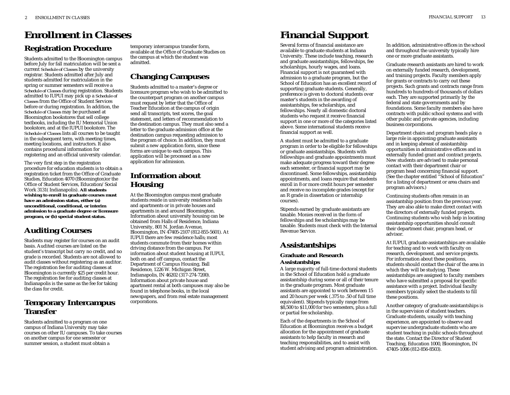# **Registration Procedure Enrollment in Classes**

Students admitted to the Bloomington campus before July for fall matriculation will be sent a current *Schedule of Classes* by the university registrar. Students admitted after July and students admitted for matriculation in the spring or summer semesters will receive a *Schedule of Classes* during registration. Students admitted to IUPUI may pick up a *Schedule of Classes* from the Office of Student Services before or during registration. In addition, the *Schedule of Classes* may be purchased at Bloomington bookstores that sell college textbooks, including the IU Memorial Union bookstore, and at the IUPUI bookstore. The *Schedule of Classes* lists all courses to be taught in the subsequent term, with meeting times, meeting locations, and instructors. It also contains procedural information for registering and an official university calendar.

The very first step in the registration procedure for education students is to obtain a registration ticket from the Office of Graduate Studies, Education 4070 (Bloomington)or the Office of Student Services, Education/Social Work 3131( Indianapolis). **All students wishing to enroll in graduate courses must have an admission status, either (a) unconditional, conditional, or interim admission to a graduate degree or licensure program, or (b) special student status.**

# **Auditing Courses**

Students may register for courses on an audit basis. Audited courses are listed on the student's transcript but carry no credit, and no grade is recorded. Students are not allowed to audit classes without registering as an auditor. The registration fee for auditing classes at Bloomington is currently \$25 per credit hour. The registration fee for auditing classes at Indianapolis is the same as the fee for taking the class for credit.

# **Temporary Intercampus Transfer**

Students admitted to a program on one campus of Indiana University may take courses on other IU campuses. To take courses on another campus for one semester or summer session, a student must obtain a

temporary intercampus transfer form, available at the Office of Graduate Studies on the campus at which the student was admitted.

# **Changing Campuses**

Students admitted to a master's degree or licensure program who wish to be admitted to the counterpart program on another campus must request by letter that the Office of Teacher Education at the campus of origin send all transcripts, test scores, the goal statement, and letters of recommendation to the destination campus. They must also send a letter to the graduate admission office at the destination campus requesting admission to the program of choice. In addition, they must submit a new application form, since these forms are unique to each campus. This application will be processed as a new application for admission.

# **Information about Housing**

At the Bloomington campus most graduate students reside in university residence halls and apartments or in private houses and apartments in and around Bloomington. Information about university housing can be obtained from Halls of Residence, Indiana University, 801 N. Jordan Avenue, Bloomington, IN 47405-2107 (812-855-5601). At IUPUI there are few residence halls; most students commute from their homes within driving distance from the campus. For information about student housing at IUPUI, both on and off campus, contact the Department of Campus Housing, Ball Residence, 1226 W. Michigan Street, Indianapolis, IN 46202 (317-274-7200). Information about private house and apartment rental at both campuses may also be found in telephone books, in the local newspapers, and from real estate management corporations.

# **Financial Support**

Several forms of financial assistance are available to graduate students at Indiana University. These include teaching, research and graduate assistantships, fellowships, fee scholarships, hourly wages, and loans. Financial support is not guaranteed with admission to a graduate program, but the School of Education has an excellent record of supporting graduate students. Generally, preference is given to doctoral students over master's students in the awarding of assistantships, fee scholarships, and fellowships. Nearly all domestic doctoral students who request it receive financial support in one or more of the categories listed above. Some international students receive financial support as well.

A student must be admitted to a graduate program in order to be eligible for fellowships or graduate assistantships. Students with fellowships and graduate appointments must make adequate progress toward their degree each semester, or financial support may be discontinued. Some fellowships, assistantship appointments, and loans require that students enroll in 8 or more credit hours per semester and receive no incomplete grades (except for an R grade in dissertation or internship courses).

Stipends earned by graduate assistants are taxable. Monies received in the form of fellowships and fee scholarships may be taxable. Students must check with the Internal Revenue Service.

# **Assistantships**

# **Graduate and Research Assistantships**

A large majority of full-time doctoral students in the School of Education hold a graduate assistantship during some or all of their tenure in the graduate program. Most graduate assistants are appointed to work between 15 and 20 hours per week (.375 to .50 of full time equivalent). Stipends typically range from \$8,500 to \$11,000 for two semesters, plus a full or partial fee scholarship.

Each of the departments in the School of Education at Bloomington receives a budget allocation for the appointment of graduate assistants to help faculty in research and teaching responsibilities, and to assist with student advising and program administration. In addition, administrative offices in the school and throughout the university typically hire one or more graduate assistants.

Graduate research assistants are hired to work on externally funded research, development, and training projects. Faculty members apply for grants or contracts to carry out these projects. Such grants and contracts range from hundreds to hundreds of thousands of dollars each. They are supported primarily by the federal and state governments and by foundations. Some faculty members also have contracts with public school systems and with other public and private agencies, including business corporations.

Department chairs and program heads play a large role in appointing graduate assistants and in keeping abreast of assistantship opportunities in administrative offices and in externally funded grant and contract projects. New students are advised to make personal contact with their department chair or program head concerning financial support. (See the chapter entitled "School of Education" for a listing of department or area chairs and program advisors.)

Continuing students often remain in an assistantship position from the previous year. They are also able to make direct contact with the directors of externally funded projects. Continuing students who wish help in locating assistantship opportunities should consult their department chair, program head, or advisor.

At IUPUI, graduate assistantships are available for teaching and to work with faculty on research, development, and service projects. For information about these positions, students should contact the chair of the area in which they will be studying. These assistantships are assigned to faculty members who have submitted a proposal for specific assistance with a project. Individual faculty members typically select the students to fill these positions.

Another category of graduate assistantships is in the supervision of student teachers. Graduate students, usually with teaching experience, are appointed to observe and supervise undergraduate students who are student teaching in public schools throughout the state. Contact the Director of Student Teaching, Education 1000, Bloomington, IN 47405-1006 (812-856-8503).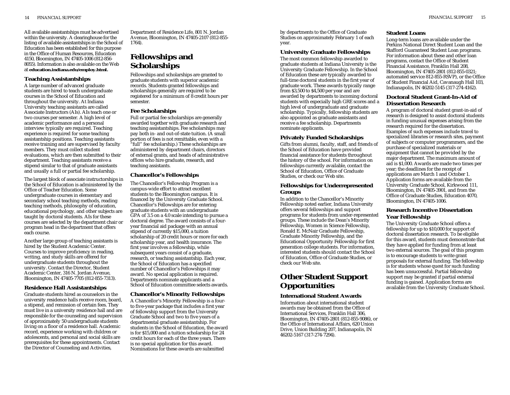All available assistantships must be advertised within the university. A clearinghouse for the listing of available assistantships in the School of Education has been established for this purpose in the Office of Human Resources, Education 4150, Bloomington, IN 47405-1006 (812-856- 8055). Information is also available on the Web at **education.indiana.edu/employ.html.** 

### **Teaching Assistantships**

A large number of advanced graduate students are hired to teach undergraduate courses in the School of Education and throughout the university. At Indiana University teaching assistants are called Associate Instructors (AIs). AIs teach one or two courses per semester. A high level of academic performance and a personal interview typically are required. Teaching experience is required for some teaching assistantship positions. Teaching assistants receive training and are supervised by faculty members. They must collect student evaluations, which are then submitted to their department. Teaching assistants receive a stipend similar to that of graduate assistants and usually a full or partial fee scholarship.

The largest block of associate instructorships in the School of Education is administered by the Office of Teacher Education. Some undergraduate courses in elementary and secondary school teaching methods, reading teaching methods, philosophy of education, educational psychology, and other subjects are taught by doctoral students. AIs for these courses are selected by the department chair or program head in the department that offers each course.

Another large group of teaching assistants is hired by the Student Academic Center. Courses to improve proficiency in reading, writing, and study skills are offered for undergraduate students throughout the university. Contact the Director, Student Academic Center, 316 N. Jordan Avenue, Bloomington, IN 47405-7705 (812-855-7313).

### **Residence Hall Assistantships**

Graduate students hired as counselors in the university residence halls receive room, board, a stipend, and remission of certain fees. They must live in a university residence hall and are responsible for the counseling and supervision of approximately 50 undergraduate students living on a floor of a residence hall. Academic record, experience working with children or adolescents, and personal and social skills are prerequisites for these appointments. Contact the Director of Counseling and Activities,

Department of Residence Life, 801 N. Jordan Avenue, Bloomington, IN 47405-2107 (812-855- 1764).

# **Fellowships and Scholarships**

Fellowships and scholarships are granted to graduate students with superior academic records. Students granted fellowships and scholarships generally are required to be registered for a minimum of 8 credit hours per semester.

### **Fee Scholarships**

Full or partial fee scholarships are generally awarded together with graduate research and teaching assistantships. Fee scholarships may pay both in- and out-of-state tuition. (A small portion of fees is not remittable, even with a "full" fee scholarship.) These scholarships are administered by department chairs, directors of external grants, and heads of administrative offices who hire graduate, research, and teaching assistants.

# **Chancellor's Fellowships**

The Chancellor's Fellowship Program is a campus-wide effort to attract excellent students to the Bloomington campus. It is financed by the University Graduate School. Chancellor's Fellowships are for entering graduate students with an undergraduate GPA of 3.5 on a 4.0 scale intending to pursue a doctoral degree. The award consists of a fouryear financial aid package with an annual stipend of currently \$15,000, a tuition scholarship of 20 credit hours or more for each scholarship year, and health insurance. The first year involves a fellowship, while subsequent years consist of a graduate, research, or teaching assistantship. Each year, the School of Education has a specified number of Chancellor's Fellowships it may award. No special application is required. Departments nominate applicants and a School of Education committee selects awards.

# **Chancellor's Minority Fellowships**

A Chancellor's Minority Fellowship is a fourto five-year package that includes a first year of fellowship support from the University Graduate School and two to five years of a departmental graduate assistantship. For students in the School of Education, the award is for \$15,000 and a tuition scholarship for 24 credit hours for each of the three years. There is no special application for this award. Nominations for these awards are submitted

by departments to the Office of Graduate Studies on approximately February 1 of each year.

# **University Graduate Fellowships**

The most common fellowship awarded to graduate students at Indiana University is the University Graduate Fellowship. In the School of Education these are typically awarded to full-time doctoral students in the first year of graduate work. These awards typically range from \$3,500 to \$4,500 per year and are awarded by departments to incoming doctoral students with especially high GRE scores and a high level of undergraduate and graduate scholarship. Typically, fellowship students are also appointed as graduate assistants and receive a fee scholarship. Departments nominate applicants.

### **Privately Funded Scholarships**

Gifts from alumni, faculty, staff, and friends of the School of Education have provided financial assistance for students throughout the history of the school. For information on fellowships currently available, contact the School of Education, Office of Graduate Studies, or check our Web site.

### **Fellowships for Underrepresented Groups**

In addition to the Chancellor's Minority Fellowship noted earlier, Indiana University offers several fellowships and support programs for students from under-represented groups. These include the Dean's Minority Fellowship, Women in Science Fellowship, Ronald E. McNair Graduate Fellowship, Graduate Minority Fellowship, and the Educational Opportunity Fellowship for first generation college students. For information, interested students should contact the School of Education, Office of Graduate Studies, or check our Web site.

# **Other Student Support Opportunities**

### **International Student Awards**

Information about international student awards may be obtained from the Office of International Services, Franklin Hall 306, Bloomington, IN 47405-2801 (812-855-9086), or the Office of International Affairs, 620 Union Drive, Union Building 207, Indianapolis, IN 46202-5167 (317-274-7294).

### **Student Loans**

Long-term loans are available under the Perkins National Direct Student Loan and the Stafford Guaranteed Student Loan programs. For information about these and other loan programs, contact the Office of Student Financial Assistance, Franklin Hall 208, Bloomington, IN 47405-2801 (812-855-0321; automated service 812-855-RSVP), or the Office of Student Financial Aid, Cavanaugh Hall 103, Indianapolis, IN 46202-5145 (317-274-4162).

### **Doctoral Student Grant-In-Aid of Dissertation Research**

A program of doctoral student grant-in-aid of research is designed to assist doctoral students in funding unusual expenses arising from the research required for the dissertation. Examples of such expenses include travel to specialized libraries or research sites, payment of subjects or computer programmers, and the purchase of specialized materials or equipment that cannot be provided by the major department. The maximum amount of aid is \$1,000. Awards are made two times per year; the deadlines for the receipt of applications are March 1 and October 1. Application forms are available from the University Graduate School, Kirkwood 111, Bloomington, IN 47405-3901, and from the Office of Graduate Studies, Education 4070, Bloomington, IN 47405-1006.

### **Research Incentive Dissertation Year Fellowship**

The University Graduate School offers a fellowship for up to \$10,000 for support of doctoral dissertation research. To be eligible for this award, students must demonstrate that they have applied for funding from at least two external sources. The goal of this program is to encourage students to write grant proposals for external funding. The fellowship is for students whose quest for such funding has been unsuccessful. Partial fellowship support may be granted if partial external funding is gained. Application forms are available from the University Graduate School.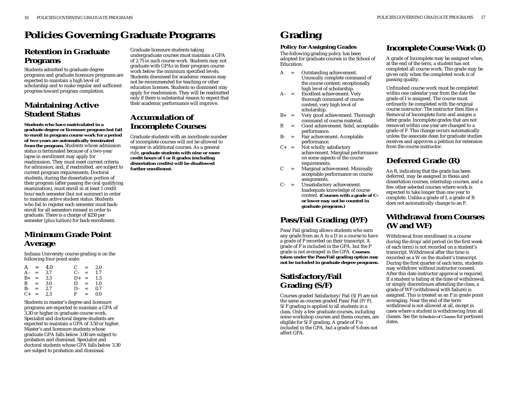# **Policies Governing Graduate Programs**

# **Retention in Graduate Programs**

Students admitted to graduate degree programs and graduate licensure programs are expected to maintain a high level of scholarship and to make regular and sufficient progress toward program completion.

# **Maintaining Active Student Status**

**Students who have matriculated in a graduate degree or licensure program but fail to enroll in program course work for a period of two years are automatically terminated from the program.** Students whose admission status is terminated because of a two-year lapse in enrollment may apply for readmission. They must meet current criteria for admission, and, if readmitted, are subject to current program requirements. Doctoral students, during the dissertation portion of their program (after passing the oral qualifying examination), must enroll in at least 1 credit hour each semester (but not summer) in order to maintain active student status. Students who fail to register each semester must backenroll for all semesters missed in order to graduate. There is a charge of \$250 per semester (plus tuition) for back-enrollment.

# **Minimum Grade Point Average**

Indiana University course grading is on the following four-point scale:

|      | $A =$     | 4.0 |    | $C =$             | 2.0 |
|------|-----------|-----|----|-------------------|-----|
| $A-$ | $=$ 3.7   |     |    | $C_{-}$ =         | 1.7 |
|      | $B+ =$    | 3.3 |    | $D_{+} = 1.3$     |     |
|      | $B =$     | 3.0 |    | $D =$             | 1.0 |
|      | $B - =$   | 2.7 | D- | $\equiv$ $\equiv$ | 0.7 |
|      | $C_{+}$ = | 2.3 |    | $F =$             | 0.0 |

Students in master's degree and licensure programs are expected to maintain a GPA of 3.30 or higher in graduate course work. Specialist and doctoral degree students are expected to maintain a GPA of 3.50 or higher. Master's and licensure students whose graduate GPA falls below 3.00 are subject to probation and dismissal. Specialist and doctoral students whose GPA falls below 3.30 are subject to probation and dismissal.

Graduate licensure students taking undergraduate courses must maintain a GPA of 2.75 in such course work. Students may not graduate with GPAs in their program course work below the minimum specified levels. Students dismissed for academic reasons may not be recommended for teaching or other education licenses. Students so dismissed may apply for readmission. They will be readmitted only if there is substantial reason to expect that their academic performance will improve.

# **Accumulation of Incomplete Courses**

Graduate students with an inordinate number of incomplete courses will not be allowed to register in additional courses. As a general rule, **graduate students with nine or more credit hours of I or R grades (excluding dissertation credits) will be disallowed further enrollment.**

# **Grading**

# **Policy for Assigning Grades**

The following grading policy has been adopted for graduate courses in the School of Education:

- A <sup>=</sup> Outstanding achievement. Unusually complete command of the course content; exceptionally high level of scholarship.
- A– <sup>=</sup> Excellent achievement. Very thorough command of course content; very high level of scholarship.
- $B<sub>+</sub>$  = Very good achievement. Thorough command of course material.
- B <sup>=</sup> Good achievement. Solid, acceptable performance.
- B– <sup>=</sup> Fair achievement. Acceptable performance.
- $C_+$  = Not wholly satisfactory achievement. Marginal performance on some aspects of the course requirements.
- C <sup>=</sup> Marginal achievement. Minimally acceptable performance on course assignments.
- C– = Unsatisfactory achievement. Inadequate knowledge of course content. **(Courses with a grade of C– or lower may not be counted in graduate programs.)**

# **Pass/Fail Grading (P/F)**

Pass/Fail grading allows students who earn any grade from an A to a D in a course to have a grade of P recorded on their transcript. A grade of F is included in the GPA, but the P grade is not averaged in the GPA. **Courses taken under the Pass/Fail grading option may not be included in graduate degree programs.**

# **Satisfactory/Fail Grading (S/F)**

Courses graded Satisfactory/Fail (S/F) are not the same as courses graded Pass/Fail (P/F). S/F grading is applied to all students in a class. Only a few graduate courses, including some workshop courses and thesis courses, are eligible for  $S/F$  grading. A grade of F is included in the GPA, but a grade of S does not affect GPA.

# **Incomplete Course Work (I)**

A grade of Incomplete may be assigned when, at the end of the term, a student has not completed all course work. This grade may be given only when the completed work is of passing quality.

Unfinished course work must be completed within one calendar year from the date the grade of I is assigned. The course must ordinarily be completed with the original course instructor. The instructor then files a Removal of Incomplete form and assigns a letter grade. Incomplete grades that are not removed within one year are changed to a grade of F. This change occurs automatically unless the associate dean for graduate studies receives and approves a petition for extension from the course instructor.

# **Deferred Grade (R)**

An R, indicating that the grade has been deferred, may be assigned in thesis and dissertation courses, internship courses, and a few other selected courses where work is expected to take longer than one year to complete. Unlike a grade of I, a grade of R does not automatically change to an F.

# **Withdrawal from Courses (W and WF)**

Withdrawal from enrollment in a course during the drop/add period (in the first week of each term) is not recorded on a student's transcript. Withdrawal after this time is recorded as a W on the student's transcript. During the first quarter of each term, students may withdraw without instructor consent. After this date instructor approval is required. If a student is failing at the time of withdrawal, or simply discontinues attending the class, a grade of WF (withdrawal with failure) is assigned. This is treated as an F in grade point averaging. Near the end of the term withdrawal is not allowed at all, except in cases where a student is withdrawing from all classes. See the *Schedule of Classes* for pertinent dates.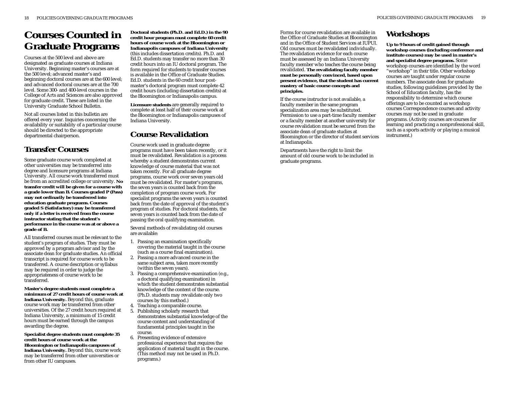# **Courses Counted in Graduate Programs**

Courses at the 500 level and above are designated as graduate courses at Indiana University. Beginning master's courses are at the 500 level; advanced master's and beginning doctoral courses are at the 600 level; and advanced doctoral courses are at the 700 level. Some 300- and 400-level courses in the College of Arts and Sciences are also approved for graduate credit. These are listed in the University Graduate School Bulletin.

Not all courses listed in this bulletin are offered every year. Inquiries concerning the availability or suitability of a particular course should be directed to the appropriate departmental chairperson.

# **Transfer Courses**

Some graduate course work completed at other universities may be transferred into degree and licensure programs at Indiana University. All course work transferred must be from an accredited college or university. **No transfer credit will be given for a course with a grade lower than B. Courses graded P (Pass) may not ordinarily be transferred into education graduate programs. Courses graded S (Satisfactory) may be transferred only if a letter is received from the course instructor stating that the student's performance in the course was at or above a grade of B.**

All transferred courses must be relevant to the student's program of studies. They must be approved by a program advisor and by the associate dean for graduate studies. An official transcript is required for course work to be transferred. A course description or syllabus may be required in order to judge the appropriateness of course work to be transferred.

**Master's degree students must complete a minimum of 27 credit hours of course work at Indiana University.** Beyond this, graduate course work may be transferred from other universities. Of the 27 credit hours required at Indiana University, a minimum of 15 credit hours must be earned through the campus awarding the degree.

**Specialist degree students must complete 35 credit hours of course work at the Bloomington or Indianapolis campuses of Indiana University.** Beyond this, course work may be transferred from other universities or from other IU campuses.

**Doctoral students (Ph.D. and Ed.D.) in the 90 credit hour program must complete 60 credit hours of course work at the Bloomington or Indianapolis campuses of Indiana University** (this includes dissertation credits). Ph.D. and Ed.D. students may transfer no more than 30 credit hours into an IU doctoral program. The form required for students to transfer courses is available in the Office of Graduate Studies. Ed.D. students in the 60 credit hour postmaster's doctoral program must complete 42 credit hours (including dissertation credits) at the Bloomington or Indianapolis campus.

**Licensure students** are generally required to complete at least half of their course work at the Bloomington or Indianapolis campuses of Indiana University.

# **Course Revalidation**

Course work used in graduate degree programs must have been taken recently, or it must be revalidated. Revalidation is a process whereby a student demonstrates current knowledge of course material that was not taken recently. For all graduate degree programs, course work over seven years old must be revalidated. For master's programs, the seven years is counted back from the completion of program course work. For specialist programs the seven years is counted back from the date of approval of the student's program of studies. For doctoral students, the seven years is counted back from the date of passing the oral qualifying examination.

Several methods of revalidating old courses are available:

- 1. Passing an examination specifically covering the material taught in the course (such as a course final examination).
- 2. Passing a more advanced course in the same subject area, taken more recently (within the seven years).
- 3. Passing a comprehensive examination (e.g., a doctoral qualifying examination) in which the student demonstrates substantial knowledge of the content of the course. (Ph.D. students may revalidate only two courses by this method.)
- 4. Teaching a comparable course.
- 5. Publishing scholarly research that demonstrates substantial knowledge of the course content and understanding of fundamental principles taught in the course.
- 6. Presenting evidence of extensive professional experience that requires the application of material taught in the course. (This method may not be used in Ph.D. programs.)

Forms for course revalidation are available in the Office of Graduate Studies at Bloomington and in the Office of Student Services at IUPUI. Old courses must be revalidated individually. The revalidation evidence for each course must be assessed by an Indiana University faculty member who teaches the course being revalidated. **The revalidating faculty member must be personally convinced, based upon present evidence, that the student has current mastery of basic course concepts and principles.**

If the course instructor is not available, a faculty member in the same program specialization area may be substituted. Permission to use a part-time faculty member or a faculty member at another university for course revalidation must be secured from the associate dean of graduate studies at Bloomington or the director of student services at Indianapolis.

Departments have the right to limit the amount of old course work to be included in graduate programs.

# **Workshops**

**Up to 9 hours of credit gained through workshop courses (including conference and institute courses) may be used in master's and specialist degree programs.** Some workshop courses are identified by the word "workshop" in their title. Other workshop courses are taught under regular course numbers. The associate dean for graduate studies, following guidelines provided by the School of Education faculty, has the responsibility to determine which course offerings are to be counted as workshop courses Correspondence courses and activity courses may not be used in graduate programs. (Activity courses are courses for learning and practicing a nonprofessional skill, such as a sports activity or playing a musical instrument.)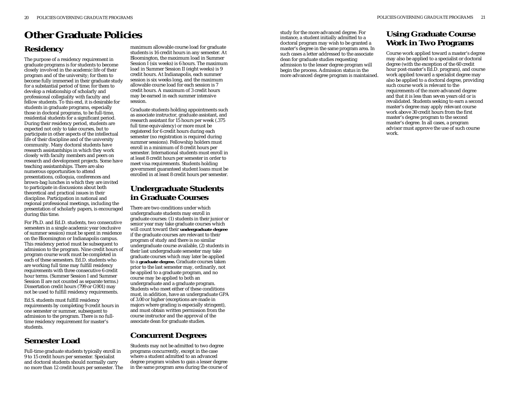# **Other Graduate Policies**

# **Residency**

The purpose of a residency requirement in graduate programs is for students to become closely involved in the academic life of their program and of the university; for them to become fully immersed in their graduate study for a substantial period of time; for them to develop a relationship of scholarly and professional collegiality with faculty and fellow students. To this end, it is desirable for students in graduate programs, especially those in doctoral programs, to be full-time, residential students for a significant period. During their residency period, students are expected not only to take courses, but to participate in other aspects of the intellectual life of their discipline and of the university community. Many doctoral students have research assistantships in which they work closely with faculty members and peers on research and development projects. Some have teaching assistantships. There are also numerous opportunities to attend presentations, colloquia, conferences and brown-bag lunches in which they are invited to participate in discussions about both theoretical and practical issues in their discipline. Participation in national and regional professional meetings, including the presentation of scholarly papers, is encouraged during this time.

For Ph.D. and Ed.D. students, two consecutive semesters in a single academic year (exclusive of summer session) must be spent in residence on the Bloomington or Indianapolis campus. This residency period must be subsequent to admission to the program. Nine credit hours of program course work must be completed in each of these semesters. Ed.D. students who are working full time may fulfill residency requirements with three consecutive 6 credit hour terms. (Summer Session I and Summer Session II are not counted as separate terms.) Dissertation credit hours (799 or G901) may not be used to fulfill residency requirements.

Ed.S. students must fulfill residency requirements by completing 9 credit hours in one semester or summer, subsequent to admission to the program. There is no fulltime residency requirement for master's students.

# **Semester Load**

Full-time graduate students typically enroll in 9 to 15 credit hours per semester. Specialist and doctoral students should normally carry no more than 12 credit hours per semester. The

maximum allowable course load for graduate students is 16 credit hours in any semester. At Bloomington, the maximum load in Summer Session I (six weeks) is 6 hours. The maximum load in Summer Session II (eight weeks) is 9 credit hours. At Indianapolis, each summer session is six weeks long, and the maximum allowable course load for each session is 7 credit hours. A maximum of 3 credit hours may be earned in each summer intensive session.

Graduate students holding appointments such as associate instructor, graduate assistant, and research assistant for 15 hours per week (.375 full time equivalency) or more must be registered for 6 credit hours during each semester (no registration is required during summer sessions). Fellowship holders must enroll in a minimum of 8 credit hours per semester. International students must enroll in at least 8 credit hours per semester in order to meet visa requirements. Students holding government guaranteed student loans must be enrolled in at least 8 credit hours per semester.

# **Undergraduate Students in Graduate Courses**

There are two conditions under which undergraduate students may enroll in graduate courses: (1) students in their junior or senior year may take graduate courses which will count toward their **undergraduate degree** if the graduate courses are relevant to their program of study and there is no similar undergraduate course available, (2) students in their last undergraduate semester may take graduate courses which may later be applied to a **graduate degree.** Graduate courses taken prior to the last semester may, ordinarily, not be applied to a graduate program, and no course may be applied to both an undergraduate and a graduate program. Students who meet either of these conditions must, in addition, have an undergraduate GPA of 3.00 or higher (exceptions are made in majors where grading is especially stringent), and must obtain written permission from the course instructor and the approval of the associate dean for graduate studies.

# **Concurrent Degrees**

Students may not be admitted to two degree programs concurrently, except in the case where a student admitted to an advanced degree program wishes to gain a lesser degree in the same program area during the course of

study for the more advanced degree. For instance, a student initially admitted to a doctoral program may wish to be granted a master's degree in the same program area. In such cases a letter addressed to the associate dean for graduate studies requesting admission to the lesser degree program will begin the process. Admission status in the more advanced degree program is maintained.

# **Using Graduate Course Work in Two Programs**

Course work applied toward a master's degree may also be applied to a specialist or doctoral degree (with the exception of the 60 credit hour post-master's Ed.D. program), and course work applied toward a specialist degree may also be applied to a doctoral degree, providing such course work is relevant to the requirements of the more advanced degree and that it is less than seven years old or is revalidated. Students seeking to earn a second master's degree may apply relevant course work above 30 credit hours from the first master's degree program to the second master's degree. In all cases, a program advisor must approve the use of such course work.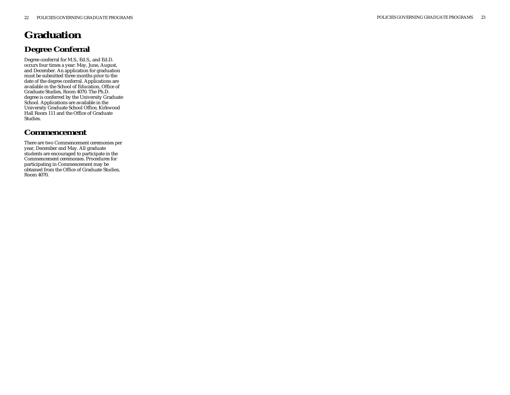# **Graduation Degree Conferral**

Degree conferral for M.S., Ed.S., and Ed.D. occurs four times a year: May, June, August, and December. An application for graduation must be submitted three months prior to the date of the degree conferral. Applications are available in the School of Education, Office of Graduate Studies, Room 4070. The Ph.D. degree is conferred by the University Graduate School. Applications are available in the University Graduate School Office, Kirkwood Hall Room 111 and the Office of Graduate Studies.

# **Commencement**

There are two Commencement ceremonies per year, December and May. All graduate students are encouraged to participate in the Commencement ceremonies. Procedures for participating in Commencement may be obtained from the Office of Graduate Studies, Room 4070.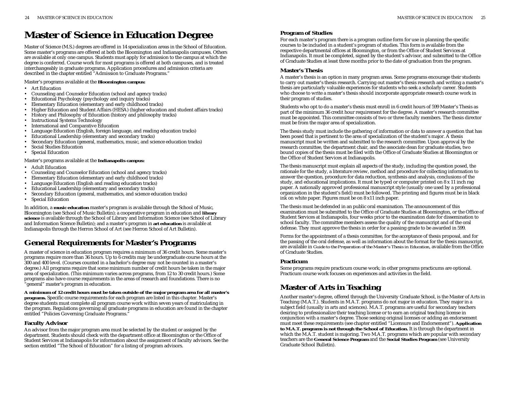# **Master of Science in Education Degree**

Master of Science (M.S.) degrees are offered in 14 specialization areas in the School of Education. Some master's programs are offered at both the Bloomington and Indianapolis campuses. Others are available at only one campus. Students must apply for admission to the campus at which the degree is conferred. Course work for most programs is offered at both campuses, and is treated interchangeably in graduate programs. Application procedures and admission criteria are described in the chapter entitled "Admission to Graduate Programs."

# Master's programs available at the **Bloomington campus:**

- Art Education
- •Counseling and Counselor Education (school and agency tracks)
- •Educational Psychology (psychology and inquiry tracks)
- •Elementary Education (elementary and early childhood tracks)
- •Higher Education and Student Affairs (HESA) (higher education and student affairs tracks)
- •History and Philosophy of Education (history and philosophy tracks)
- •Instructional Systems Technology
- •International and Comparative Education
- •Language Education (English, foreign language, and reading education tracks)
- •Educational Leadership (elementary and secondary tracks)
- •Secondary Education (general, mathematics, music, and science education tracks)
- •Social Studies Education
- •Special Education

# Master's programs available at the **Indianapolis campus:**

- •Adult Education
- •Counseling and Counselor Education (school and agency tracks)
- •Elementary Education (elementary and early childhood tracks)
- •Language Education (English and reading education tracks)
- •Educational Leadership (elementary and secondary tracks)
- •Secondary Education (general, mathematics, and science education tracks)
- •Special Education

In addition, a **music education** master's program is available through the School of Music, Bloomington (see School of Music Bulletin); a cooperative program in education and **library science** is available through the School of Library and Information Science (see School of Library and Information Science Bulletin); and a master's program in **art education** is available at Indianapolis through the Herron School of Art (see Herron School of Art Bulletin).

# **General Requirements for Master's Programs**

A master of science in education program requires a minimum of 36 credit hours. Some master's programs require more than 36 hours. Up to 6 credits may be undergraduate course hours at the 300 and 400 level. (Courses counted in a bachelor's degree may not be counted in a master's degree.) All programs require that some minimum number of credit hours be taken in the major area of specialization. (This minimum varies across programs, from 12 to 30 credit hours.) Some programs also have course requirements in the areas of research and foundations. There is no "general" master's program in education.

#### **A minimum of 12 credit hours must be taken outside of the major program area for all master's programs.** Specific course requirements for each program are listed in this chapter. Master's degree students must complete all program course work within seven years of matriculating in the program. Regulations governing all graduate programs in education are found in the chapter entitled "Policies Governing Graduate Programs."

# **Faculty Advisor**

An advisor from the major program area must be selected by the student or assigned by the department. Students should check with the department office at Bloomington or the Office of Student Services at Indianapolis for information about the assignment of faculty advisors. See the section entitled "The School of Education" for a listing of program advisors.

# **Program of Studies**

For each master's program there is a program outline form for use in planning the specific courses to be included in a student's program of studies. This form is available from the respective departmental offices at Bloomington, or from the Office of Student Services at Indianapolis. It must be completed, signed by the student's advisor, and submitted to the Office of Graduate Studies at least three months prior to the date of graduation from the program.

# **Master's Thesis**

A master's thesis is an option in many program areas. Some programs encourage their students to carry out master's thesis research. Carrying out master's thesis research and writing a master's thesis are particularly valuable experiences for students who seek a scholarly career. Students who choose to write a master's thesis should incorporate appropriate research course work in their program of studies.

Students who opt to do a master's thesis must enroll in 6 credit hours of 599 Master's Thesis as part of the minimum 36 credit hour requirement for the degree. A master's research committee must be appointed. This committee consists of two or three faculty members. The thesis director must be from the major area of specialization.

The thesis study must include the gathering of information or data to answer a question that has been posed that is pertinent to the area of specialization of the student's major. A thesis manuscript must be written and submitted to the research committee. Upon approval by the research committee, the department chair, and the associate dean for graduate studies, two bound copies of the thesis must be filed with the Office of Graduate Studies at Bloomington or the Office of Student Services at Indianapolis.

The thesis manuscript must explain all aspects of the study, including the question posed, the rationale for the study, a literature review, method and procedure for collecting information to answer the question, procedure for data reduction, synthesis and analysis, conclusions of the study, and educational implications. It must be typed or computer printed on 8 x 11 inch rag paper. A nationally approved professional manuscript style (usually one used by a professional organization in the student's field) must be followed. The printing and figures must be in black ink on white paper. Figures must be on 8 x11 inch paper.

The thesis must be defended in an public oral examination. The announcement of this examination must be submitted to the Office of Graduate Studies at Bloomington, or the Office of Student Services at Indianapolis, four weeks prior to the examination date for dissemination to school faculty. The committee members assess the quality of the manuscript and of the oral defense. They must approve the thesis in order for a passing grade to be awarded in 599.

Forms for the appointment of a thesis committee, for the acceptance of thesis proposal, and for the passing of the oral defense, as well as information about the format for the thesis manuscript, are available in *Guide to the Preparation of the Master's Thesis in Education*, available from the Office of Graduate Studies.

# **Practicum**

Some programs require practicum course work; in other programs practicums are optional. Practicum course work focuses on experiences and activities in the field.

# **Master of Arts in Teaching**

Another master's degree, offered through the University Graduate School, is the Master of Arts in Teaching (M.A.T.). Students in M.A.T. programs do not major in education. They major in a subject field (usually in arts and sciences). M.A.T. programs are useful for secondary teachers desiring to professionalize their teaching license or to earn an original teaching license in conjunction with a master's degree. Those seeking original licenses or adding an endorsement must meet these requirements (see chapter entitled "Licensure and Endorsement"). **Application to M.A.T. programs is not through the School of Education.** It is through the department in which the M.A.T. student is majoring. Two M.A.T. programs which are popular with secondary teachers are the **General Science Program** and the **Social Studies Program** (see University Graduate School Bulletin).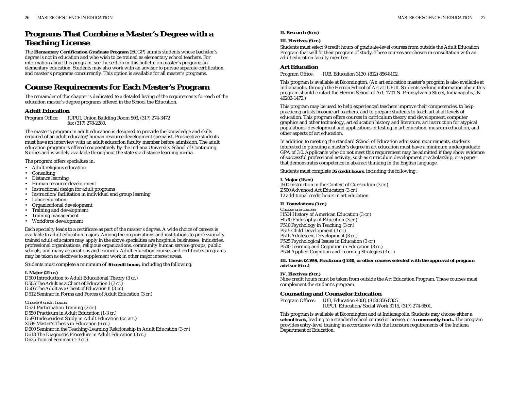# **Programs That Combine a Master's Degree with a Teaching License**

The **Elementary Certification Graduate Program** (ECGP) admits students whose bachelor's degree is not in education and who wish to be trained as elementary school teachers. For information about this program, see the section in this bulletin on master's programs in elementary education. Students may also work with an advisor to pursue separate certification and master's programs concurrently. This option is available for all master's programs.

# **Course Requirements for Each Master's Program**

The remainder of this chapter is dedicated to a detailed listing of the requirements for each of the education master's degree programs offered in the School the Education.

### **Adult Education**

Program Office: IUPUI, Union Building Room 503, (317) 274-3472 fax (317) 278-2280.

The master's program in adult education is designed to provide the knowledge and skills required of an adult educator/human resource development specialist. Prospective students must have an interview with an adult education faculty member before admission. The adult education program is offered cooperatively by the Indiana University School of Continuing Studies and is widely available throughout the state via distance learning media.

The program offers specialties in:

- Adult religious education
- Consulting
- •Distance learning
- •Human resource development
- •Instructional design for adult programs
- •Instruction/facilitation in individual and group learning
- •Labor education
- •Organizational development
- •Training and development
- Training management
- Workforce development

Each specialty leads to a certificate as part of the master's degree. A wide choice of careers is available to adult education majors. Among the organizations and institutions to professionally trained adult educators may apply in the above specialties are hospitals, businesses, industries, professional organizations, religious organizations, community human service groups, public schools, and many associations and councils. Adult education courses and certificates programs may be taken as electives to supplement work in other major interest areas.

Students must complete a minimum of **36 credit hours**, including the following:

### **I. Major (21 cr.)**

D500 Introduction to Adult Educational Theory (3 cr.) D505 The Adult as a Client of Education I (3 cr.) D506 The Adult as a Client of Education II (3 cr.) D512 Seminar in Forms and Forces of Adult Education (3 cr.)

*Choose 9 credit hours:* D521 Participation Training (2 cr.) D550 Practicum in Adult Education (1-3 cr.) D590 Independent Study in Adult Education (cr. arr.) X599 Master's Thesis in Education (6 cr.) D600 Seminar in the Teaching-Learning Relationship in Adult Education (3 cr.) D613 The Diagnostic Procedure in Adult Education (3 cr.) D625 Topical Seminar (1-3 cr.)

### **II. Research (6 cr.)**

#### **III. Electives (9 cr.)**

Students must select 9 credit hours of graduate-level courses from outside the Adult Education Program that will fit their program of study. These courses are chosen in consultation with an adult education faculty member.

### **Art Education**

Program Office: IUB, Education 3130, (812) 856-8102.

This program is available at Bloomington. (An art education master's program is also available at Indianapolis, through the Herron School of Art at IUPUI. Students seeking information about this program should contact the Herron School of Art, 1701 N. Pennsylvania Street, Indianapolis, IN 46202-1472.)

This program may be used to help experienced teachers improve their competencies, to help practicing artists become art teachers, and to prepare students to teach art at all levels of education. This program offers courses in curriculum theory and development, computer graphics and other technology, art education history and literature, art instruction for atypical populations, development and applications of testing in art education, museum education, and other aspects of art education.

In addition to meeting the standard School of Education admission requirements, students interested in pursuing a master's degree in art education must have a minimum undergraduate GPA of 3.0. Applicants who do not meet this requirement may be admitted if they show evidence of successful professional activity, such as curriculum development or scholarship, or a paper that demonstrates competence in abstract thinking in the English language.

Students must complete **36 credit hours**, including the following:

#### **I. Major (18 cr.)**

J500 Instruction in the Context of Curriculum (3 cr.) Z500 Advanced Art Education (3 cr.) 12 additional credit hours in art education.

#### **II. Foundations (3 cr.)**

*Choose one course:* H504 History of American Education (3 cr.) H530 Philosophy of Education (3 cr.) P510 Psychology in Teaching (3 cr.) P515 Child Development (3 cr.) P516 Adolescent Development (3 cr.) P525 Psychological Issues in Education (3 cr.) P540 Learning and Cognition in Education (3 cr.) P544 Applied Cognition and Learning Strategies (3 cr.)

**III. Thesis (Z599), Practicum (J538), or other courses selected with the approval of program advisor (6 cr.)**

### **IV. Electives (9 cr.)**

Nine credit hours must be taken from outside the Art Education Program. These courses must complement the student's program.

### **Counseling and Counselor Education**

Program Offices: IUB, Education 4008, (812) 856-8305. IUPUI, Education/Social Work 3115, (317) 274-6801.

This program is available at Bloomington and at Indianapolis. Students may choose either a **school track,** leading to a standard school counselor license, or a **community track.** The program provides entry-level training in accordance with the licensure requirements of the Indiana Department of Education.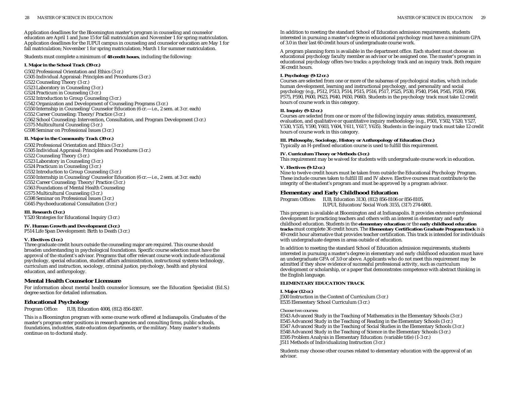Application deadlines for the Bloomington master's program in counseling and counselor education are April 1 and June 15 for fall matriculation and November 1 for spring matriculation. Application deadlines for the IUPUI campus in counseling and counselor education are May 1 for fall matriculation; November 1 for spring matriculation; March 1 for summer matriculation.

Students must complete a minimum of **48 credit hours**, including the following:

#### **I. Major in the School Track (39 cr.)**

G502 Professional Orientation and Ethics (3 cr.) G505 Individual Appraisal: Principles and Procedures (3 cr.) G522 Counseling Theory (3 cr.) G523 Laboratory in Counseling (3 cr.) G524 Practicum in Counseling (3 cr.) G532 Introduction to Group Counseling (3 cr.) G542 Organization and Development of Counseling Programs (3 cr.) G550 Internship in Counseling/Counselor Education (6 cr.—i.e., 2 sem. at 3 cr. each) G552 Career Counseling: Theory/Practice (3 cr.) G562 School Counseling: Intervention, Consultation, and Program Development (3 cr.) G575 Multicultural Counseling (3 cr.) G598 Seminar on Professional Issues (3 cr.)

#### **II. Major in the Community Track (39 cr.)**

G502 Professional Orientation and Ethics (3 cr.) G505 Individual Appraisal: Principles and Procedures (3 cr.) G522 Counseling Theory (3 cr.) G523 Laboratory in Counseling (3 cr.) G524 Practicum in Counseling (3 cr.) G532 Introduction to Group Counseling (3 cr.) G550 Internship in Counseling/Counselor Education (6 cr.—i.e., 2 sem. at 3 cr. each) G552 Career Counseling: Theory/Practice (3 cr.) G563 Foundations of Mental Health Counseling G575 Multicultural Counseling (3 cr.) G598 Seminar on Professional Issues (3 cr.) G645 Psychoeducational Consultation (3 cr.)

**III. Research (3 cr.)** Y520 Strategies for Educational Inquiry (3 cr.)

### **IV. Human Growth and Development (3 cr.)**

P514 Life Span Development: Birth to Death (3 cr.)

#### **V. Electives (3 cr.)**

Three graduate credit hours outside the counseling major are required. This course should broaden understanding in psychological foundations. Specific course selection must have the approval of the student's advisor. Programs that offer relevant course work include educational psychology, special education, student affairs administration, instructional systems technology, curriculum and instruction, sociology, criminal justice, psychology, health and physical education, and anthropology.

### **Mental Health Counselor Licensure**

For information about mental health counselor licensure, see the Education Specialist (Ed.S.) degree section for detailed information.

### **Educational Psychology**

Program Office: IUB, Education 4008, (812) 856-8307.

This is a Bloomington program with some course work offered at Indianapolis. Graduates of the master's program enter positions in research agencies and consulting firms, public schools, foundations, industries, state education departments, or the military. Many master's students continue on to doctoral study.

In addition to meeting the standard School of Education admission requirements, students interested in pursuing a master's degree in educational psychology must have a minimum GPA of 3.0 in their last 60 credit hours of undergraduate course work.

A program planning form is available in the department office. Each student must choose an educational psychology faculty member as advisor or be assigned one. The master's program in educational psychology offers two tracks: a psychology track and an inquiry track. Both require 36 credit hours.

#### **I. Psychology (9-12 cr.)**

Courses are selected from one or more of the subareas of psychological studies, which include human development, learning and instructional psychology, and personality and social psychology (e.g., P512, P513, P514, P515, P516, P517, P525, P530, P540, P544, P545, P550, P566, P575, P590, P600, P623, P640, P650, P660). Students in the psychology track must take 12 credit hours of course work in this category.

#### **II. Inquiry (9-12 cr.)**

Courses are selected from one or more of the following inquiry areas: statistics, measurement, evaluation, and qualitative or quantitative inquiry methodology (e.g., P501, Y502, Y520, Y527, Y530, Y535, Y590, Y603, Y604, Y611, Y617, Y635). Students in the inquiry track must take 12 credit hours of course work in this category.

**III. Philosophy, Sociology, History or Anthropology of Education (3 cr.)** Typically an H-prefixed education course is used to fulfill this requirement.

#### **IV. Curriculum Theory or Methods (3 cr.)**

This requirement may be waived for students with undergraduate course work in education.

#### **V. Electives (9-12 cr.)**

Nine to twelve credit hours must be taken from outside the Educational Psychology Program. These include courses taken to fulfill III and IV above. Elective courses must contribute to the integrity of the student's program and must be approved by a program advisor.

### **Elementary and Early Childhood Education**

Program Offices: IUB, Education 3130, (812) 856-8106 or 856-8105.

IUPUI, Education/Social Work 3155, (317) 274-6801.

This program is available at Bloomington and at Indianapolis. It provides extensive professional development for practicing teachers and others with an interest in elementary and early childhood education. Students in the **elementary education** or the **early childhood education tracks** must complete 36 credit hours. The **Elementary Certification Graduate Program track** is a 49 credit hour alternative that provides teacher certification. This track is intended for individuals with undergraduate degrees in areas outside of education.

In addition to meeting the standard School of Education admission requirements, students interested in pursuing a master's degree in elementary and early childhood education must have an undergraduate GPA of 3.0 or above. Applicants who do not meet this requirement may be admitted if they show evidence of successful professional activity, such as curriculum development or scholarship, or a paper that demonstrates competence with abstract thinking in the English language.

### **ELEMENTARY EDUCATION TRACK**

#### **I. Major (12 cr.)**

J500 Instruction in the Context of Curriculum (3 cr.) E535 Elementary School Curriculum (3 cr.)

#### *Choose two courses:*

E543 Advanced Study in the Teaching of Mathematics in the Elementary Schools (3 cr.) E545 Advanced Study in the Teaching of Reading in the Elementary Schools (3 cr.) E547 Advanced Study in the Teaching of Social Studies in the Elementary Schools (3 cr.) E548 Advanced Study in the Teaching of Science in the Elementary Schools (3 cr.) E595 Problem Analysis in Elementary Education: (variable title) (1-3 cr.) J511 Methods of Individualizing Instruction (3 cr.)

Students may choose other courses related to elementary education with the approval of an advisor.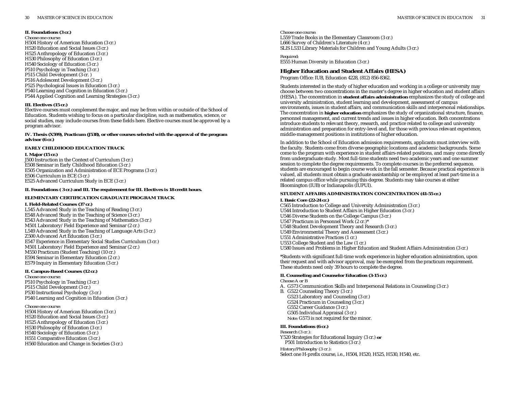#### **II. Foundations (3 cr.)**

*Choose one course:* H504 History of American Education (3 cr.) H520 Education and Social Issues (3 cr.) H525 Anthropology of Education (3 cr.) H530 Philosophy of Education (3 cr.) H540 Sociology of Education (3 cr.) P510 Psychology in Teaching (3 cr.) P515 Child Development (3 cr. ) P516 Adolescent Development (3 cr.) P525 Psychological Issues in Education (3 cr.) P540 Learning and Cognition in Education (3 cr.) P544 Applied Cognition and Learning Strategies (3 cr.)

#### **III. Electives (15 cr.)**

Elective courses must complement the major, and may be from within or outside of the School of Education. Students wishing to focus on a particular discipline, such as mathematics, science, or social studies, may include courses from these fields here. Elective courses must be approved by a program advisor.

#### **IV. Thesis (X599), Practicum (J538), or other courses selected with the approval of the program advisor (6 cr.)**

#### **EARLY CHILDHOOD EDUCATION TRACK**

**I. Major (15 cr.)** J500 Instruction in the Context of Curriculum (3 cr.) E508 Seminar in Early Childhood Education (3 cr.) E505 Organization and Administration of ECE Programs (3 cr.) E506 Curriculum in ECE (3 cr.) E525 Advanced Curriculum Study in ECE (3 cr.)

#### **II. Foundations ( 3 cr.) and III. The requirement for III. Electives is 18 credit hours.**

### **ELEMENTARY CERTIFICATION GRADUATE PROGRAM TRACK**

#### **I. Field-Related Courses (37 cr.)**

L545 Advanced Study in the Teaching of Reading (3 cr.) E548 Advanced Study in the Teaching of Science (3 cr.) E543 Advanced Study in the Teaching of Mathematics (3 cr.) M501 Laboratory/Field Experience and Seminar (2 cr.) L549 Advanced Study in the Teaching of Language Arts (3 cr.) Z500 Advanced Art Education (3 cr.) E547 Experience in Elementary Social Studies Curriculum (3 cr.) M501 Laboratory/Field Experience and Seminar (2 cr.) M550 Practicum (Student Teaching) (10 cr.) E594 Seminar in Elementary Education (2 cr.) E579 Inquiry in Elementary Education (3 cr.)

### **II. Campus-Based Courses (12 cr.)**

*Choose one course:* P510 Psychology in Teaching (3 cr.) P515 Child Development (3 cr.) P530 Instructional Psychology (3 cr.) P540 Learning and Cognition in Education (3 cr.)

#### *Choose one course:*

H504 History of American Education (3 cr.) H520 Education and Social Issues (3 cr.) H525 Anthropology of Education (3 cr.) H530 Philosophy of Education (3 cr.) H540 Sociology of Education (3 cr.) H551 Comparative Education (3 cr.) H560 Education and Change in Societies (3 cr.)

*Choose one course:* L559 Trade Books in the Elementary Classroom (3 cr.) L666 Survey of Children's Literature (4 cr.) SLIS L533 Library Materials for Children and Young Adults (3 cr.)

*Required:* E555 Human Diversity in Education (3 cr.)

### **Higher Education and Student Affairs (HESA)**

Program Office: IUB, Education 4228, (812) 856-8362.

Students interested in the study of higher education and working in a college or university may choose between two concentrations in the master's degree in higher education and student affairs (HESA). The concentration in **student affairs administration** emphasizes the study of college and university administration, student learning and development, assessment of campus environments, issues in student affairs, and communication skills and interpersonal relationships. The concentration in **higher education** emphasizes the study of organizational structure, finance, personnel management, and current trends and issues in higher education. Both concentrations introduce students to relevant theory, research, and practice related to college and university administration and preparation for entry-level and, for those with previous relevant experience, middle-management positions in institutions of higher education.

In addition to the School of Education admission requirements, applicants must interview with the faculty. Students come from diverse geographic locations and academic backgrounds. Some come to the program with experience in student affairs-related positions, and many come directly from undergraduate study. Most full-time students need two academic years and one summer session to complete the degree requirements. To complete courses in the preferred sequence, students are encouraged to begin course work in the fall semester. Because practical experience is valued, all students must obtain a graduate assistantship or be employed at least part-time in a related campus office while pursuing this degree. Students may take courses at either Bloomington (IUB) or Indianapolis (IUPUI).

#### **STUDENT AFFAIRS ADMINISTRATION CONCENTRATION (41-55 cr.)**

#### **I. Basic Core (22-24 cr.)**

C565 Introduction to College and University Administration (3 cr.) U544 Introduction to Student Affairs in Higher Education (3 cr.) U546 Diverse Students on the College Campus (3 cr.) U547 Practicum in Personnel Work (2 cr.)\* U548 Student Development Theory and Research (3 cr.) U549 Environmental Theory and Assessment (3 cr.) U551 Administrative Practices (1 cr.) U553 College Student and the Law (1 cr.) U580 Issues and Problems in Higher Education and Student Affairs Administration (3 cr.)

\*Students with significant full-time work experience in higher education administration, upon their request and with advisor approval, may be exempted from the practicum requirement. These students need only 39 hours to complete the degree.

#### **II. Counseling and Counselor Education (3-15 cr.)**

*Choose A or B* A. G573 Communication Skills and Interpersonal Relations in Counseling (3 cr.) B. G522 Counseling Theory (3 cr.) G523 Laboratory and Counseling (3 cr.) G524 Practicum in Counseling (3 cr.) G552 Career Guidance (3 cr.) G505 Individual Appraisal (3 cr.) *Note:* G573 is not required for the minor.

### **III. Foundations (6 cr.)**

*Research (3 cr.):* Y520 Strategies for Educational Inquiry (3 cr.) **or** P501 Introduction to Statistics (3 cr.)

*History/Philosophy (3 cr.):*

Select one H-prefix course, i.e., H504, H520, H525, H530, H540, etc.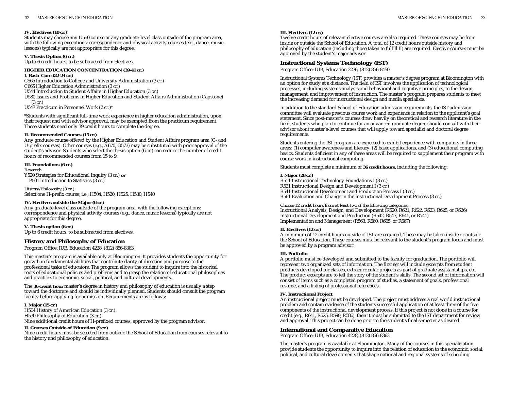#### **IV. Electives (10 cr.)**

Students may choose any U550 course or any graduate-level class outside of the program area, with the following exceptions: correspondence and physical activity courses (e.g., dance, music lessons) typically are not appropriate for this degree.

#### **V. Thesis Option (6 cr.)**

Up to 6 credit hours, to be subtracted from electives.

## **HIGHER EDUCATION CONCENTRATION (39-41 cr.)**

#### **I. Basic Core (22-24 cr.)**

C565 Introduction to College and University Administration (3 cr.)

- C665 Higher Education Administration (3 cr.)
- U544 Introduction to Student Affairs in Higher Education (3 cr.)
- U580 Issues and Problems in Higher Education and Student Affairs Administration (Capstone) (3 cr.)

U547 Practicum in Personnel Work (2 cr.)\*

\*Students with significant full-time work experience in higher education administration, upon their request and with advisor approval, may be exempted from the practicum requirement. These students need only 39 credit hours to complete the degree.

#### **II. Recommended Courses (15 cr.)**

Any graduate course offered by the Higher Education and Student Affairs program area (C- and U-prefix courses). Other courses (e.g., A670, G573) may be substituted with prior approval of the student's advisor. Students who select the thesis option (6 cr.) can reduce the number of credit hours of recommended courses from 15 to 9.

### **III. Foundations (6 cr.)**

*Research:*

Y520 Strategies for Educational Inquiry (3 cr.) **or** P501 Introduction to Statistics (3 cr.)

*History/Philosophy (3 cr.):* Select one H-prefix course, i.e., H504, H520, H525, H530, H540

#### **IV. Electives outside the Major (6 cr.)**

Any graduate-level class outside of the program area, with the following exceptions: correspondence and physical activity courses (e.g., dance, music lessons) typically are not appropriate for this degree.

#### **V. Thesis option (6 cr.)**

Up to 6 credit hours, to be subtracted from electives.

### **History and Philosophy of Education**

Program Office: IUB, Education 4228, (812) 856-8363.

This master's program is available only at Bloomington. It provides students the opportunity for growth in fundamental abilities that contribute clarity of direction and purpose to the professional tasks of educators. The program allows the student to inquire into the historical roots of educational policies and problems and to grasp the relation of educational philosophies and practices to economic, social, political, and cultural developments.

The **36 credit hour** master's degree in history and philosophy of education is usually a step toward the doctorate and should be individually planned. Students should consult the program faculty before applying for admission. Requirements are as follows:

#### **I. Major (15 cr.)**

H504 History of American Education (3 cr.) H530 Philosophy of Education (3 cr.) Nine additional credit hours of H-prefixed courses, approved by the program advisor.

#### **II. Courses Outside of Education (9 cr.)**

Nine credit hours must be selected from outside the School of Education from courses relevant to the history and philosophy of education.

#### **III. Electives (12 cr.)**

Twelve credit hours of relevant elective courses are also required. These courses may be from inside or outside the School of Education. A total of 12 credit hours outside history and philosophy of education (including those taken to fulfill II) are required. Elective courses must be approved by the student's major advisor.

### **Instructional Systems Technology (IST)**

Program Office: IUB, Education 2276, (812) 856-8450

Instructional Systems Technology (IST) provides a master's degree program at Bloomington with an option for study at a distance. The field of IST involves the application of technological processes, including systems analysis and behavioral and cognitive principles, to the design, management, and improvement of instruction. The master's program prepares students to meet the increasing demand for instructional design and media specialists.

In addition to the standard School of Education admission requirements, the IST admission committee will evaluate previous course work and experience in relation to the applicant's goal statement. Since post-master's courses draw heavily on theoretical and research literature in the field, students who plan to continue for an advanced graduate degree should consult with their advisor about master's-level courses that will apply toward specialist and doctoral degree requirements.

Students entering the IST program are expected to exhibit experience with computers in three areas: (1) computer awareness and literacy, (2) basic applications, and (3) educational computing basics. Students deficient in any of these areas will be required to supplement their program with course work in instructional computing.

Students must complete a minimum of **36 credit hours,** including the following:

#### **I. Major (28 cr.)**

R511 Instructional Technology Foundations I (3 cr.) R521 Instructional Design and Development I (3 cr.) R541 Instructional Development and Production Process I (3 cr.) R561 Evaluation and Change in the Instructional Development Process (3 cr.)

*Choose 12 credit hours from at least two of the following categories:* Instructional Analysis, Design, and Development (R620, R621, R622, R623, R625, or R626) Instructional Development and Production (R542, R547, R641, or R741) Implementation and Management (R563, R660, R665, or R667)

#### **II. Electives (12 cr.)**

A minimum of 12 credit hours outside of IST are required. These may be taken inside or outside the School of Education. These courses must be relevant to the student's program focus and must be approved by a program advisor.

#### **III. Portfolio**

A portfolio must be developed and submitted to the faculty for graduation. The portfolio will represent two organized sets of information. The first set will include excerpts from student products developed for classes, extracurricular projects as part of graduate assistantships, etc. The product excerpts are to tell the story of the student's skills. The second set of information will consist of items such as a completed program of studies, a statement of goals, professional resume, and a listing of professional references.

#### **IV. Instructional Project**

An instructional project must be developed. The project must address a real world instructional problem and contain evidence of the students successful application of at least three of the five components of the instructional development process. If this project is not done in a course for credit (e.g., R641, R625, R590, R586), then it must be submitted to the IST department for review and approval. This project can be done prior to the student's final semester as desired.

### **International and Comparative Education**

Program Office: IUB, Education 4228, (812) 856-8363.

The master's program is available at Bloomington. Many of the courses in this specialization provide students the opportunity to inquire into the relation of education to the economic, social, political, and cultural developments that shape national and regional systems of schooling.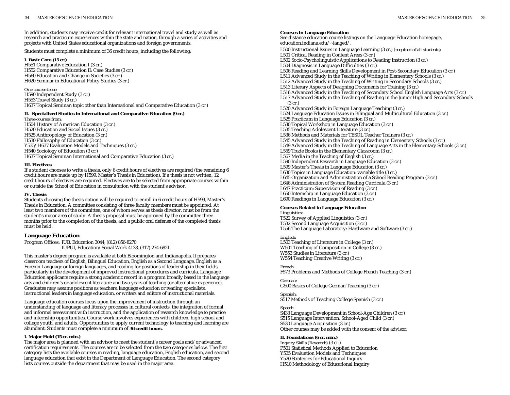In addition, students may receive credit for relevant international travel and study as well as research and practicum experiences within the state and nation, through a series of activities and projects with United States educational organizations and foreign governments.

Students must complete a minimum of 36 credit hours, including the following:

#### **I. Basic Core (15 cr.)**

H551 Comparative Education I (3 cr.) H552 Comparative Education II: Case Studies (3 cr.) H560 Education and Change in Societies (3 cr.) H620 Seminar in Educational Policy Studies (3 cr.)

*One course from:* H590 Independent Study (3 cr.) H553 Travel Study (3 cr.) H637 Topical Seminar: topic other than International and Comparative Education (3 cr.)

#### **II. Specialized Studies in International and Comparative Education (9 cr.)**

*Three courses from:* H504 History of American Education (3 cr.) H520 Education and Social Issues (3 cr.) H525 Anthropology of Education (3 cr.) H530 Philosophy of Education (3 cr.) Y535/H637 Evaluation Models and Techniques (3 cr.) H540 Sociology of Education (3 cr.) H637 Topical Seminar: International and Comparative Education (3 cr.)

#### **III. Electives**

If a student chooses to write a thesis, only 6 credit hours of electives are required (the remaining 6 credit hours are made up by H599, Master's Thesis in Education). If a thesis is not written, 12 credit hours of electives are required. Electives are to be selected from appropriate courses within or outside the School of Education in consultation with the student's advisor.

#### **IV. Thesis**

Students choosing the thesis option will be required to enroll in 6 credit hours of H599, Master's Thesis in Education. A committee consisting of three faculty members must be appointed. At least two members of the committee, one of whom serves as thesis director, must be from the student's major area of study. A thesis proposal must be approved by the committee three months prior to the completion of the thesis, and a public oral defense of the completed thesis must be held.

### **Language Education**

Program Offices: IUB, Education 3044, (812) 856-8270 IUPUI, Education/Social Work 4138, (317) 274-6821.

This master's degree program is available at both Bloomington and Indianapolis. It prepares classroom teachers of English, Bilingual Education, English as a Second Language, English as a Foreign Language or foreign languages, and reading for positions of leadership in their fields, particularly in the development of improved instructional procedures and curricula. Language Education applicants require a strong academic record in a program broadly based in the language arts and children's or adolescent literature and two years of teaching (or alternative experience). Graduates may assume positions as teachers, language education or reading specialists, instructional leaders in language education, or writers and editors of instructional materials.

Language education courses focus upon the improvement of instruction through an understanding of language and literacy processes in cultural contexts, the integration of formal and informal assessment with instruction, and the application of research knowledge to practice and internship opportunities. Course work involves experiences with children, high school and college youth, and adults. Opportunities to apply current technology to teaching and learning are abundant. Students must complete a minimum of **36 credit hours.**

#### **I. Major Field (15 cr. min.)**

The major area is planned with an advisor to meet the student's career goals and/or advanced certification requirements. The courses are to be selected from the two categories below. The first category lists the available courses in reading, language education, English education, and second language education that exist in the Department of Language Education. The second category lists courses outside the department that may be used in the major area.

#### **Courses in Language Education**

See distance education course listings on the Language Education homepage, education.indiana.edu/~langed/. L500 Instructional Issues in Language Learning (3 cr.) *(required of all students)* L501 Critical Reading in Content Areas (3 cr.) L502 Socio-Psycholinguistic Applications to Reading Instruction (3 cr.) L504 Diagnosis in Language Difficulties (3 cr.) L506 Reading and Learning Skills Development in Post-Secondary Education (3 cr.) L511 Advanced Study in the Teaching of Writing in Elementary Schools (3 cr.) L512 Advanced Study in the Teaching of Writing in Secondary Schools (3 cr.) L513 Literary Aspects of Designing Documents for Training (3 cr.) L516 Advanced Study in the Teaching of Secondary School English Language Arts (3 cr.) L517 Advanced Study in the Teaching of Reading in the Junior High and Secondary Schools (3 cr.) L520 Advanced Study in Foreign Language Teaching (3 cr.) L524 Language Education Issues in Bilingual and Multicultural Education (3 cr.) L525 Practicum in Language Education (3 cr.) L530 Topical Workshop in Language Education (3 cr.) L535 Teaching Adolescent Literature (3 cr.) L536 Methods and Materials for TESOL Teacher Trainers (3 cr.) L545 Advanced Study in the Teaching of Reading in Elementary Schools (3 cr.) L549 Advanced Study in the Teaching of Language Arts in the Elementary Schools (3 cr.) L559 Trade Books in the Elementary Classroom (3 cr.) L567 Media in the Teaching of English (3 cr.) L590 Independent Research in Language Education (3 cr.) L599 Master's Thesis in Language Education (3 cr.) L630 Topics in Language Education: variable title (3 cr.) L645 Organization and Administration of a School Reading Program (3 cr.) L646 Administration of System Reading Curricula (3 cr.) L647 Practicum: Supervision of Reading (3 cr.) L650 Internship in Language Education (3 cr.) L690 Readings in Language Education (3 cr.)

#### **Courses Related to Language Education** *Linguistics:*

T522 Survey of Applied Linguistics (3 cr.) T532 Second Language Acquisition (3 cr.) T556 The Language Laboratory: Hardware and Software (3 cr.)

#### *English:*

L503 Teaching of Literature in College (3 cr.) W501 Teaching of Composition in College (3 cr.) W553 Studies in Literature (3 cr.) W554 Teaching Creative Writing (3 cr.)

### *French:*

F573 Problems and Methods of College French Teaching (3 cr.)

# *German:*

G500 Basics of College German Teaching (3 cr.)

*Spanish:* S517 Methods of Teaching College Spanish (3 cr.)

#### *Speech:*

S433 Language Development in School-Age Children (3 cr.) S515 Language Intervention: School-Aged Child (3 cr.) S530 Language Acquisition (3 cr.) Other courses may be added with the consent of the advisor.

### **II. Foundations (6 cr. min.)**

*Inquiry Skills (Research)* (3 cr.) P501 Statistical Methods Applied to Education Y535 Evaluation Models and Techniques Y520 Strategies for Educational Inquiry H510 Methodology of Educational Inquiry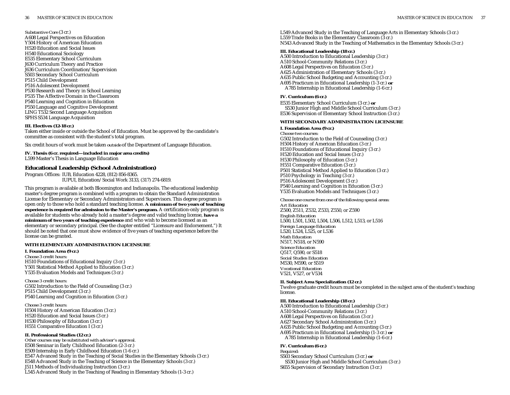*Substantive Core* (3 cr.) A608 Legal Perspectives on Education Y504 History of American Education H520 Education and Social Issues H540 Educational Sociology E535 Elementary School Curriculum J630 Curriculum Theory and Practice J636 Curriculum Coordination/Supervision S503 Secondary School Curriculum P515 Child Development P516 Adolescent Development P530 Research and Theory in School Learning P535 The Affective Domain in the Classroom P540 Learning and Cognition in Education P550 Language and Cognitive Development LING T532 Second Language Acquisition SPHS S534 Language Acquisition

#### **III. Electives (12-18 cr.)**

Taken either inside or outside the School of Education. Must be approved by the candidate's committee as consistent with the student's total program.

Six credit hours of work must be taken *outside* of the Department of Language Education.

**IV. Thesis (6 cr. required—included in major area credits)** L599 Master's Thesis in Language Education

### **Educational Leadership (School Administration)**

Program Offices: IUB, Education 4228, (812) 856-8365. IUPUI, Education/Social Work 3133, (317) 274-6819.

This program is available at both Bloomington and Indianapolis. The educational leadership master's degree program is combined with a program to obtain the Standard Administration License for Elementary or Secondary Administrators and Supervisors. This degree program is open only to those who hold a standard teaching license. **A minimum of two years of teaching experience is required for admission to the Master's program.** A certification-only program is available for students who already hold a master's degree and valid teaching license, **have a minimum of two years of teaching experience** and who wish to become licensed as an elementary or secondary principal. (See the chapter entitled "Licensure and Endorsement.") It should be noted that one must show evidence of five years of teaching experience before the license can be granted.

#### **WITH ELEMENTARY ADMINISTRATION LICENSURE**

**I. Foundation Area (9 cr.)** *Choose 3 credit hours:* H510 Foundations of Educational Inquiry (3 cr.) Y501 Statistical Method Applied to Education (3 cr.) Y535 Evaluation Models and Techniques (3 cr.)

*Choose 3 credit hours:* G502 Introduction to the Field of Counseling (3 cr.) P515 Child Development (3 cr.) P540 Learning and Cognition in Education (3 cr.)

*Choose 3 credit hours:* H504 History of American Education (3 cr.) H520 Education and Social Issues (3 cr.) H530 Philosophy of Education (3 cr.) H551 Comparative Education I (3 cr.)

#### **II. Professional Studies (12 cr.)**

*Other courses may be substituted with advisor's approval.* E508 Seminar in Early Childhood Education (2-3 cr.) E509 Internship in Early Childhood Education (1-6 cr.) E547 Advanced Study in the Teaching of Social Studies in the Elementary Schools (3 cr.) E548 Advanced Study in the Teaching of Science in the Elementary Schools (3 cr.) J511 Methods of Individualizing Instruction (3 cr.) L545 Advanced Study in the Teaching of Reading in Elementary Schools (1-3 cr.)

L549 Advanced Study in the Teaching of Language Arts in Elementary Schools (3 cr.) L559 Trade Books in the Elementary Classroom  $(3 \text{ cr.})$ N543 Advanced Study in the Teaching of Mathematics in the Elementary Schools (3 cr.)

### **III. Educational Leadership (18 cr.)**

A500 Introduction to Educational Leadership (3 cr.) A510 School-Community Relations (3 cr.) A608 Legal Perspectives on Education (3 cr.) A625 Administration of Elementary Schools (3 cr.) A635 Public School Budgeting and Accounting (3 cr.) A695 Practicum in Educational Leadership (1-3 cr.) **or** A785 Internship in Educational Leadership (1-6 cr.)

### **IV. Curriculum (6 cr.)**

E535 Elementary School Curriculum (3 cr.) **or** S530 Junior High and Middle School Curriculum (3 cr.) E536 Supervision of Elementary School Instruction (3 cr.)

### **WITH SECONDARY ADMINISTRATION LICENSURE**

**I. Foundation Area (9 cr.)** *Choose two courses:* G502 Introduction to the Field of Counseling (3 cr.) H504 History of American Education (3 cr.) H510 Foundations of Educational Inquiry (3 cr.) H520 Education and Social Issues (3 cr.) H530 Philosophy of Education (3 cr.) H551 Comparative Education (3 cr.) P501 Statistical Method Applied to Education (3 cr.) P510 Psychology in Teaching (3 cr.) P516 Adolescent Development (3 cr.) P540 Learning and Cognition in Education (3 cr.) Y535 Evaluation Models and Techniques (3 cr.)

*Choose one course from one of the following special areas: Art Education* Z500, Z511, Z532, Z533, Z550, or Z590 *English Education* L500, L501, L502, L504, L506, L512, L513, or L516 *Foreign Language Education* L520, L524, L525, or L536 *Math Education* N517, N518, or N590 *Science Education* Q517, Q590, or S518 *Social Studies Education* M530, M590, or S519 *Vocational Education* V521, V527, or V534

### **II. Subject Area Specialization (12 cr.)**

Twelve graduate credit hours must be completed in the subject area of the student's teaching license.

#### **III. Educational Leadership (18 cr.)**

A500 Introduction to Educational Leadership (3 cr.) A510 School-Community Relations (3 cr.) A608 Legal Perspectives on Education (3 cr.) A627 Secondary School Administration (3 cr.) A635 Public School Budgeting and Accounting (3 cr.) A695 Practicum in Educational Leadership (1-3 cr.) **or** A785 Internship in Educational Leadership (1-6 cr.)

#### **IV. Curriculum (6 cr.)**

*Required:* S503 Secondary School Curriculum (3 cr.) **or** S530 Junior High and Middle School Curriculum (3 cr.) S655 Supervision of Secondary Instruction (3 cr.)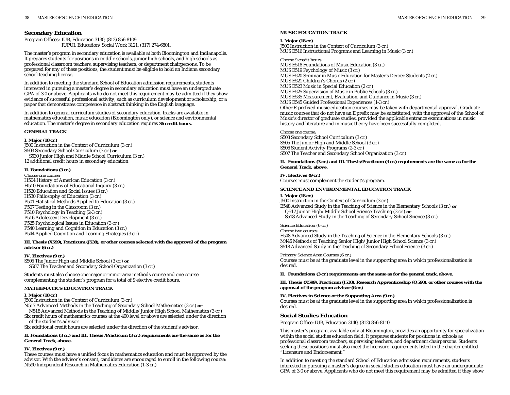Program Offices: IUB, Education 3130, (812) 856-8109. IUPUI, Education/Social Work 3121, (317) 274-6801.

The master's program in secondary education is available at both Bloomington and Indianapolis. It prepares students for positions in middle schools, junior high schools, and high schools as professional classroom teachers, supervising teachers, or department chairpersons. To be prepared for any of these positions, the student must be eligible to hold an Indiana secondary school teaching license.

In addition to meeting the standard School of Education admission requirements, students interested in pursuing a master's degree in secondary education must have an undergraduate GPA of 3.0 or above. Applicants who do not meet this requirement may be admitted if they show evidence of successful professional activity, such as curriculum development or scholarship, or a paper that demonstrates competence in abstract thinking in the English language.

In addition to general curriculum studies of secondary education, tracks are available in mathematics education, music education (Bloomington only), or science and environmental education. The master's degree in secondary education requires **36 credit hours**.

### **GENERAL TRACK**

### **I. Major (18 cr.)**

J500 Instruction in the Context of Curriculum (3 cr.) S503 Secondary School Curriculum (3 cr.) **or** S530 Junior High and Middle School Curriculum (3 cr.) 12 additional credit hours in secondary education

### **II. Foundations (3 cr.)**

*Choose one course:* H504 History of American Education (3 cr.) H510 Foundations of Educational Inquiry (3 cr.) H520 Education and Social Issues (3 cr.) H530 Philosophy of Education (3 cr.) P501 Statistical Methods Applied to Education (3 cr.) P507 Testing in the Classroom (3 cr.) P510 Psychology in Teaching (2-3 cr.) P516 Adolescent Development (3 cr.) P525 Psychological Issues in Education (3 cr.) P540 Learning and Cognition in Education (3 cr.) P544 Applied Cognition and Learning Strategies (3 cr.)

#### **III. Thesis (X599), Practicum (J538), or other courses selected with the approval of the program advisor (6 cr.)**

### **IV. Electives (9 cr.)**

S505 The Junior High and Middle School (3 cr.) **or** S507 The Teacher and Secondary School Organization (3 cr.)

Students must also choose one major or minor area methods course and one course complementing the student's program for a total of 9 elective credit hours.

### **MATHEMATICS EDUCATION TRACK**

### **I. Major (18 cr.)**

J500 Instruction in the Context of Curriculum (3 cr.)

N517 Advanced Methods in the Teaching of Secondary School Mathematics (3 cr.) **or**

N518 Advanced Methods in the Teaching of Middle/Junior High School Mathematics (3 cr.)

Six credit hours of mathematics courses at the 400 level or above are selected under the direction of the student's advisor.

Six additional credit hours are selected under the direction of the student's advisor.

#### **II. Foundations (3 cr.) and III. Thesis /Practicum (3 cr.) requirements are the same as for the General Track, above.**

### **IV. Electives (9 cr.)**

These courses must have a unified focus in mathematics education and must be approved by the advisor. With the advisor's consent, candidates are encouraged to enroll in the following course: N590 Independent Research in Mathematics Education (1-3 cr.)

### **MUSIC EDUCATION TRACK**

### **I. Major (18 cr.)**

J500 Instruction in the Context of Curriculum (3 cr.) MUS E516 Instructional Programs and Learning in Music (3 cr.)

#### *Choose 9 credit hours:*

MUS E518 Foundations of Music Education (3 cr.) MUS E519 Psychology of Music (3 cr.) MUS E520 Seminar in Music Education for Master's Degree Students (2 cr.) MUS E521 Children's Chorus (2 cr.) MUS E523 Music in Special Education (2 cr.) MUS E525 Supervision of Music in Public Schools (3 cr.) MUS E535 Measurement, Evaluation, and Guidance in Music (3 cr.) MUS E545 Guided Professional Experiences (1-3 cr.) Other E-prefixed music education courses may be taken with departmental approval. Graduate music courses that do not have an E prefix may be substituted, with the approval of the School of Music's director of graduate studies, provided the applicable entrance examinations in music history and literature and in music theory have been successfully completed.

### *Choose one course:*

S503 Secondary School Curriculum (3 cr.) S505 The Junior High and Middle School (3 cr.) S506 Student Activity Programs (2-3 cr.) S507 The Teacher and Secondary School Organization (3 cr.)

**II. Foundations (3 cr.) and III. Thesis/Practicum (3 cr.) requirements are the same as for the General Track, above.**

**IV. Electives (9 cr.)** Courses must complement the student's program.

### **SCIENCE AND ENVIRONMENTAL EDUCATION TRACK**

**I. Major (18 cr.)**

J500 Instruction in the Context of Curriculum (3 cr.) E548 Advanced Study in the Teaching of Science in the Elementary Schools (3 cr.) **or** Q517 Junior High/Middle School Science Teaching (3 cr.) **or** S518 Advanced Study in the Teaching of Secondary School Science (3 cr.)

### *Science Education (6 cr.)*

*Choose two courses:* E548 Advanced Study in the Teaching of Science in the Elementary Schools (3 cr.) M446 Methods of Teaching Senior High/Junior High School Science (3 cr.) S518 Advanced Study in the Teaching of Secondary School Science (3 cr.)

*Primary Science Area Courses (6 cr.)* Courses must be at the graduate level in the supporting area in which professionalization is desired.

**II. Foundations (3 cr.) requirements are the same as for the general track, above.**

**III. Thesis (X599), Practicum (J538), Research Apprenticeship (Q590), or other courses with the approval of the program advisor (6 cr.)**

**IV. Electives in Science or the Supporting Area (9 cr.)** Courses must be at the graduate level in the supporting area in which professionalization is desired.

# **Social Studies Education**

Program Office: IUB, Education 3140, (812) 856-8110.

This master's program, available only at Bloomington, provides an opportunity for specialization within the social studies education field. It prepares students for positions in schools as professional classroom teachers, supervising teachers, and department chairpersons. Students seeking these positions must also meet the licensure requirements listed in the chapter entitled "Licensure and Endorsement."

In addition to meeting the standard School of Education admission requirements, students interested in pursuing a master's degree in social studies education must have an undergraduate GPA of 3.0 or above. Applicants who do not meet this requirement may be admitted if they show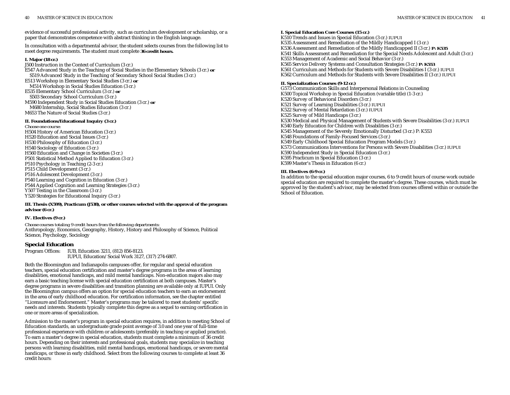evidence of successful professional activity, such as curriculum development or scholarship, or a paper that demonstrates competence with abstract thinking in the English language.

In consultation with a departmental advisor, the student selects courses from the following list to meet degree requirements. The student must complete **36 credit hours.**

#### **I. Major (18 cr.)**

J500 Instruction in the Context of Curriculum (3 cr.) E547 Advanced Study in the Teaching of Social Studies in the Elementary Schools (3 cr.) **or** S519 Advanced Study in the Teaching of Secondary School Social Studies (3 cr.) E513 Workshop in Elementary Social Studies (3 cr.) **or** M514 Workshop in Social Studies Education (3 cr.) E535 Elementary School Curriculum (3 cr.) **or** S503 Secondary School Curriculum (3 cr.) M590 Independent Study in Social Studies Education (3 cr.) **or** M680 Internship, Social Studies Education (3 cr.) M653 The Nature of Social Studies (3 cr.) **II. Foundations/Educational Inquiry (3 cr.)**

*Choose one course:* H504 History of American Education (3 cr.) H520 Education and Social Issues (3 cr.) H530 Philosophy of Education (3 cr.) H540 Sociology of Education (3 cr.) H560 Education and Change in Societies (3 cr.) P501 Statistical Method Applied to Education (3 cr.) P510 Psychology in Teaching (2-3 cr.) P515 Child Development (3 cr.) P516 Adolescent Development (3 cr.) P540 Learning and Cognition in Education (3 cr.) P544 Applied Cognition and Learning Strategies (3 cr.) Y507 Testing in the Classroom (3 cr.) Y520 Strategies for Educational Inquiry (3 cr.)

#### **III. Thesis (X599), Practicum (J538), or other courses selected with the approval of the program advisor (6 cr.)**

#### **IV. Electives (9 cr.)**

*Choose courses totaling 9 credit hours from the following departments:* Anthropology, Economics, Geography, History, History and Philosophy of Science, Political Science, Psychology, Sociology

### **Special Education**

Program Offices: IUB, Education 3211, (812) 856-8123. IUPUI, Education/Social Work 3127, (317) 274-6807.

Both the Bloomington and Indianapolis campuses offer, for regular and special education teachers, special education certification and master's degree programs in the areas of learning disabilities, emotional handicaps, and mild mental handicaps. Non-education majors also may earn a basic teaching license with special education certification at both campuses. Master's degree programs in severe disabilities and transition planning are available only at IUPUI. Only the Bloomington campus offers an option for special education teachers to earn an endorsement in the area of early childhood education. For certification information, see the chapter entitled "Licensure and Endorsement." Master's programs may be tailored to meet students' specific needs and interests. Students typically complete this degree as a sequel to earning certification in one or more areas of specialization.

Admission to the master's program in special education requires, in addition to meeting School of Education standards, an undergraduate grade point average of 3.0 and one year of full-time professional experience with children or adolescents (preferably in teaching or applied practice). To earn a master's degree in special education, students must complete a minimum of 36 credit hours. Depending on their interests and professional goals, students may specialize in teaching persons with learning disabilities, mild mental handicaps, emotional handicaps, or severe mental handicaps, or those in early childhood. Select from the following courses to complete at least 36 credit hours:

### **I. Special Education Core Courses (15 cr.)**

K510 Trends and Issues in Special Education (3 cr.) *IUPUI* K535 Assessment and Remediation of the Mildly Handicapped I (3 cr.) K536 Assessment and Remediation of the Mildly Handicapped II (3 cr.) *P: K535* K541 Skills Assessment and Remediation for the Special Needs Adolescent and Adult (3 cr.) K553 Management of Academic and Social Behavior (3 cr.) K565 Service Delivery Systems and Consultation Strategies (3 cr.) *P: K553* K561 Curriculum and Methods for Students with Severe Disabilities I (3 cr.) *IUPUI* K562 Curriculum and Methods for Students with Severe Disabilities II (3 cr.) *IUPUI*

#### **II. Specialization Courses (9-12 cr.)**

G573 Communication Skills and Interpersonal Relations in Counseling K500 Topical Workshop in Special Education (variable title) (1-3 cr.) K520 Survey of Behavioral Disorders (3 cr.) K521 Survey of Learning Disabilities (3 cr.) *IUPUI* K522 Survey of Mental Retardation (3 cr.) *IUPUI* K525 Survey of Mild Handicaps (3 cr.) K530 Medical and Physical Management of Students with Severe Disabilities (3 cr.) *IUPUI* K540 Early Education for Children with Disabilities (3 cr.) K545 Management of the Severely Emotionally Disturbed (3 cr.) P: K553 K548 Foundations of Family-Focused Services (3 cr.) K549 Early Childhood Special Education Program Models (3 cr.) K573 Communications Interventions for Persons with Severe Disabilities (3 cr.) *IUPUI* K590 Independent Study in Special Education (3 cr.) K595 Practicum in Special Education (3 cr.) K599 Master's Thesis in Education (6 cr.)

#### **III. Electives (6-9 cr.)**

In addition to the special education major courses, 6 to 9 credit hours of course work outside special education are required to complete the master's degree. These courses, which must be approved by the student's advisor, may be selected from courses offered within or outside the School of Education.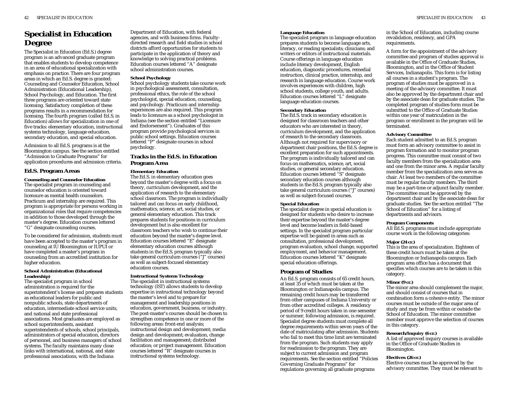# **Specialist in Education Degree**

The Specialist in Education (Ed.S.) degree program is an advanced graduate program that enables students to develop competence in an area of educational specialization with emphasis on practice. There are four program areas in which an Ed.S. degree is granted: Counseling and Counselor Education, School Administration (Educational Leadership), School Psychology, and Education. The first three programs are oriented toward state licensing. Satisfactory completion of these programs results in a recommendation for licensing. The fourth program (called Ed.S. in Education) allows for specialization in one of five tracks: elementary education, instructional systems technology, language education, secondary education, and special education*.*

Admission to all Ed.S. programs is at the Bloomington campus. See the section entitled "Admission to Graduate Programs" for application procedures and admission criteria.

# **Ed.S. Program Areas**

**Counseling and Counselor Education** The specialist program in counseling and counselor education is oriented toward licensure as mental health counselors. Practicum and internship are required. This program is appropriate for persons working in organizational roles that require competencies in addition to those developed through the master's degree. Education courses lettered "G" designate counseling courses.

To be considered for admission, students must have been accepted to the master's program in counseling at IU Bloomington or IUPUI or have completed a master's program in counseling from an accredited institution for higher education.

#### **School Administration (Educational Leadership)**

The specialist program in school administration is required for the superintendent's license and prepares students as educational leaders for public and nonpublic schools, state departments of education, intermediate school service units, and national and state professional associations. Most graduates are employed as school superintendents, assistant superintendents of schools, school principals, administrators of special education, directors of personnel, and business managers of school systems. The faculty maintains many close links with international, national, and state professional associations, with the Indiana

Department of Education, with federal agencies, and with business firms. Facultydirected research and field studies in school districts afford opportunities for students to participate in the application of theory and knowledge to solving practical problems. Education courses lettered "A" designate school administration courses.

#### **School Psychology**

School psychology students take course work in psychological assessment, consultation, professional ethics, the role of the school psychologist, special education, counseling, and psychology. Practicum and internship experiences are also required. This program leads to licensure as a school psychologist in Indiana (see the section entitled "Licensure and Endorsement"). Graduates of this program provide psychological services in public school settings. Education courses lettered "P" designate courses in school psychology.

## **Tracks in the Ed.S. in Education Program Area**

#### **Elementary Education**

The Ed.S. in elementary education goes beyond the master's degree with a focus on theory, curriculum development, and the application of research to the elementary school classroom. The program is individually tailored and can focus on early childhood, mathematics, science, art, social studies, or general elementary education. This track prepares students for positions in curriculum development but is also excellent for classroom teachers who wish to continue their education beyond the master's degree level. Education courses lettered "E" designate elementary education courses although students in the Ed.S. program typically also take general curriculum courses ("J" courses) as well as subject-focused elementary education courses.

#### **Instructional Systems Technology**

The specialist in instructional systems technology (IST) allows students to develop expertise in instructional technology beyond the master's level and to prepare for management and leadership positions in education, government, business, or industry. The post-master's courses should be chosen to strengthen competence in one or more of the following areas: front-end analysis; instructional design and development; media design and development; evaluation, change facilitation and management; distributed education; or project management. Education courses lettered "R" designate courses in instructional systems technology.

The specialist program in language education prepares students to become language arts, literacy, or reading specialists; clinicians; and writers or editors of instructional materials. Course offerings in language education include literacy development, English education, diagnostic procedures, remedial instruction, clinical practice, internship, and research in language education. Course work involves experiences with children, high school students, college youth, and adults. Education courses lettered "L" designate language education courses.

#### **Secondary Education**

The Ed.S. track in secondary education is designed for classroom teachers and other educators who are interested in theory, curriculum development, and the application of research to the secondary classroom. Although not required for supervisory or department chair positions, the Ed.S. degree is excellent preparation for such appointments. The program is individually tailored and can focus on mathematics, science, art, social studies, or general secondary education. Education courses lettered "S" designate secondary education courses although students in the Ed.S. program typically also take general curriculum courses ("J" courses) as well as subject-focused courses.

#### **Special Education**

The specialist degree in special education is designed for students who desire to increase their expertise beyond the master's degree level and become leaders in field-based settings. In the specialist program particular expertise will be gained in areas such as consultation, professional development, program evaluation, school change, supported employment, and behavior management. Education courses lettered "K" designate special education offerings.

### **Program of Studies**

An Ed.S. program consists of 65 credit hours, at least 35 of which must be taken at the Bloomington or Indianapolis campus. The remaining credit hours may be transferred from other campuses of Indiana University or from other accredited colleges. A residency period of 9 credit hours taken in one semester or summer, following admission, is required. Specialist degree students must complete all degree requirements within seven years of the date of matriculating after admission. Students who fail to meet this time limit are terminated from the program. Such students may apply for readmission to the program. They are subject to current admission and program requirements. See the section entitled "Policies Governing Graduate Programs" for regulations governing all graduate programs

in the School of Education, including course revalidation, residency, and GPA requirements.

A form for the appointment of the advisory committee and program of studies approval is available in the Office of Graduate Studies, Bloomington, and in the Office of Student Services, Indianapolis. This form is for listing all courses in a student's program. The program of studies must be approved in a meeting of the advisory committee. It must also be approved by the department chair and by the associate dean for graduate studies. The completed program of studies form must be submitted to the Office of Graduate Studies within one year of matriculation in the program or enrollment in the program will be terminated.

#### **Advisory Committee**

Each student admitted to an Ed.S. program must form an advisory committee to assist in program formation and to monitor program progress. This committee must consist of two faculty members from the specialization area and one from the minor area. A regular faculty member from the specialization area serves as chair. At least two members of the committee must be regular faculty members. The third may be a part-time or adjunct faculty member. The committee must be approved by the department chair and by the associate dean for graduate studies. See the section entitled "The School of Education" for a listing of departments and advisors.

#### **Program Components**

All Ed.S. programs must include appropriate course work in the following categories:

#### **Major (24 cr.)**

This is the area of specialization. Eighteen of these credit hours must be taken at the Bloomington or Indianapolis campus. Each program area office has a document that specifies which courses are to be taken in this category.

#### **Minor (9 cr.)**

The minor area should complement the major, and should consist of courses that in combination form a cohesive entity. The minor courses must be outside of the major area of study and may be from within or outside the School of Education. The minor committee member must approve the selection of courses in this category.

### **Research/Inquiry (6 cr.)**

A list of approved inquiry courses is available in the Office of Graduate Studies in Bloomington.

#### **Electives (26 cr.)**

Elective courses must be approved by the advisory committee. They must be relevant to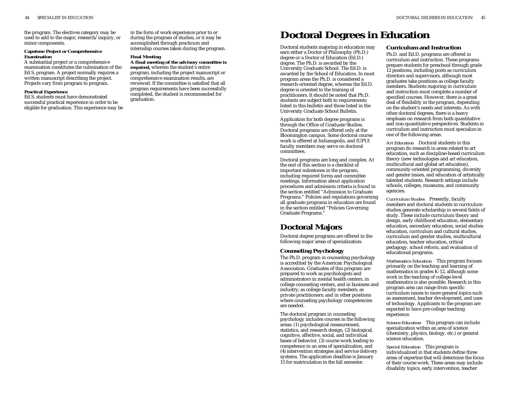minor components.

#### **Capstone Project or Comprehensive Examination**

A substantial project or a comprehensive examination constitutes the culmination of the Ed.S. program. A project normally requires a written manuscript describing the project. Projects vary from program to program.

#### **Practical Experience**

Ed.S. students must have demonstrated successful practical experience in order to be eligible for graduation. This experience may be in the form of work experience prior to or during the program of studies, or it may be accomplished through practicum and internship courses taken during the program.

# **Final Meeting**

**A final meeting of the advisory committee is required,** wherein the student's entire program, including the project manuscript or comprehensive examination results, are reviewed. If the committee is satisfied that all program requirements have been successfully completed, the student is recommended for graduation.

# the program. The electives category may be in the form of work experience prior to or<br>used to add to the major, research/inquiry, or during the program of studies, or it may be **Doctoral Degrees in Education**

Doctoral students majoring in education may earn either a Doctor of Philosophy (Ph.D.) degree or a Doctor of Education (Ed.D.) degree. The Ph.D. is awarded by the University Graduate School. The Ed.D. is awarded by the School of Education. In most program areas the Ph.D. is considered a research-oriented degree, whereas the Ed.D. degree is oriented to the training of practitioners. It should be noted that Ph.D. students are subject both to requirements listed in this bulletin and those listed in the University Graduate School Bulletin.

Application for both degree programs is through the Office of Graduate Studies. Doctoral programs are offered only at the Bloomington campus. Some doctoral course work is offered at Indianapolis, and IUPUI faculty members may serve on doctoral committees.

Doctoral programs are long and complex. At the end of this section is a checklist of important milestones in the program, including required forms and committee meetings. Information about application procedures and admission criteria is found in the section entitled "Admission to Graduate Programs." Policies and regulations governing all graduate programs in education are found in the section entitled "Policies Governing Graduate Programs."

# **Doctoral Majors**

Doctoral degree programs are offered in the following major areas of specialization:

### **Counseling Psychology**

The Ph.D. program in counseling psychology is accredited by the American Psychological Association. Graduates of this program are prepared to work as psychologists and administrators in mental health centers, in college counseling centers, and in business and industry; as college faculty members; as private practitioners; and in other positions where counseling psychology competencies are needed.

The doctoral program in counseling psychology includes courses in the following areas: (1) psychological measurement, statistics, and research design, (2) biological, cognitive, affective, social, and individual bases of behavior, (3) course work leading to competence in an area of specialization, and (4) intervention strategies and service delivery systems. The application deadline is January 15 for matriculation in the fall semester.

#### **Curriculum and Instruction**

Ph.D. and Ed.D. programs are offered in curriculum and instruction. These programs prepare students for preschool through grade 12 positions, including posts as curriculum directors and supervisors, although most graduates take positions as college faculty members. Students majoring in curriculum and instruction must complete a number of specified courses. However, there is a great deal of flexibility in the program, depending on the student's needs and interests. As with other doctoral degrees, there is a heavy emphasis on research from both quantitative and non-quantitative perspectives. Students in curriculum and instruction must specialize in one of the following areas:

*Art Education* Doctoral students in this program do research in areas related to art education, such as discipline-based curriculum theory (new technologies and art education, multicultural and global art education), community-oriented programming, diversity and gender issues, and education of artistically talented students. Research settings include schools, colleges, museums, and community agencies.

*Curriculum Studies* Presently, faculty members and doctoral students in curriculum studies generate scholarship in several fields of study. These include curriculum theory and design, early childhood education, elementary education, secondary education, social studies education, curriculum and cultural studies, curriculum and gender studies, multicultural education, teacher education, critical pedagogy, school reform, and evaluation of educational programs.

*Mathematics Education* This program focuses primarily on the teaching and learning of mathematics in grades K-12, although some work in the teaching of college-level mathematics is also possible. Research in this program area can range from specific curriculum issues to more general topics such as assessment, teacher development, and uses of technology. Applicants to the program are expected to have pre-college teaching experience.

*Science Education* This program can include specialization within an area of science (chemistry, physics, biology, etc.) or general science education.

*Special Education* This program is individualized in that students define three areas of expertise that will determine the focus of their course work. These areas may include disability topics, early intervention, teacher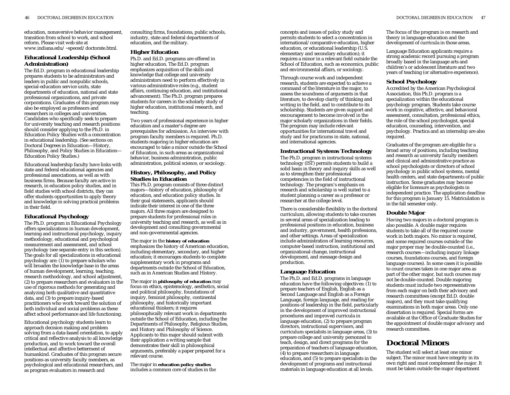education, nonaversive behavior management, transition from school to work, and school reform. Please visit web site at www.indiana.edu/~speced/doctorate.html.

# **Educational Leadership (School Administration)**

The Ed.D. program in educational leadership prepares students to be administrators and leaders in public and nonpublic schools, special-education service units, state departments of education, national and state professional organizations, and private corporations. Graduates of this program may also be employed as professors and researchers in colleges and universities. Candidates who specifically seek to prepare for university teaching and research positions should consider applying to the Ph.D. in Education Policy Studies with a concentration in educational leadership. (See sections on Doctoral Degrees in Education—History, Philosophy, and Policy Studies in Education— Education Policy Studies.)

Educational leadership faculty have links with state and federal educational agencies and professional associations, as well as with business firms. Because faculty are active in research, in education policy studies, and in field studies with school districts, they can offer students opportunities to apply theory and knowledge in solving practical problems in their field.

# **Educational Psychology**

The Ph.D. program in Educational Psychology offers specializations in human development, learning and instructional psychology, inquiry methodology, educational and psychological measurement and assessment, and school psychology (see separate entry in this section). The goals for all specializations in educational psychology are: (1) to prepare scholars who will broaden the knowledge base in the areas of human development, learning, teaching, research methodology, and school adjustment, (2) to prepare researchers and evaluators in the use of rigorous methods for generating and analyzing both qualitative and quantitative data, and (3) to prepare inquiry-based practitioners who work toward the solution of both individual and social problems as these affect school performance and life functioning.

Educational psychology students learn to approach decision making and problem solving from a data-based orientation, to apply critical and reflective analysis to all knowledge production, and to work toward the overall intellectual and affective betterment of humankind. Graduates of this program secure positions as university faculty members, as psychological and educational researchers, and as program evaluators in research and

consulting firms, foundations, public schools, industry, state and federal departments of education, and the military.

### **Higher Education**

Ph.D. and Ed.D. programs are offered in higher education. The Ed.D. program emphasizes acquisition of the skills and knowledge that college and university administrators need to perform effectively in various administrative roles (e.g., student affairs, continuing education, and institutional advancement). The Ph.D. program prepares students for careers in the scholarly study of higher education, institutional research, and teaching.

Two years of professional experience in higher education and a master's degree are prerequisites for admission. An interview with program faculty members is required. Ph.D. students majoring in higher education are encouraged to take a minor outside the School of Education, in such areas as organizational behavior, business administration, public administration, political science, or sociology.

## **History, Philosophy, and Policy Studies in Education**

This Ph.D. program consists of three distinct majors—history of education, philosophy of education, and education policy studies. In their goal statements, applicants should indicate their interest in one of the three majors. All three majors are designed to prepare students for professional roles in university teaching and research, as well as in development and consulting governmental and non-governmental agencies.

#### The major in the **history of education** emphasizes the history of American education, including elementary, secondary, and higher education; it encourages students to complete supplementary work in programs and departments outside the School of Education, such as in American Studies and History.

The major in **philosophy of education** may focus on ethics, epistemology, aesthetics, social and political philosophy, foundations of inquiry, feminist philosophy, continental philosophy, and historically important educational thinkers; it requires philosophically relevant work in departments outside the School of Education, including the Departments of Philosophy, Religious Studies, and History and Philosophy of Science. Applicants to this major should submit with their application a writing sample that demonstrates their skill in philosophical arguments, preferably a paper prepared for a relevant course.

The major in **education policy studies** includes a common core of studies in the

concepts and issues of policy study and permits students to select a concentration in international/comparative education, higher education, or educational leadership (U.S. elementary and secondary education); it requires a minor in a relevant field outside the School of Education, such as economics, public and environmental affairs, or sociology.

Through course work and independent research, students are expected to achieve a command of the literature in the major, to assess the soundness of arguments in that literature, to develop clarity of thinking and writing in the field, and to contribute to its scholarship. Students are given support and encouragement to become involved in the major scholarly organizations in their fields. The program may include relevant opportunities for international travel and study and for practicums in state, national, and international agencies.

### **Instructional Systems Technology**

The Ph.D. program in instructional systems technology (IST) permits students to build a solid basis in theory and inquiry skills as well as to strengthen their professional competencies in the field of instructional technology. The program's emphasis on research and scholarship is well suited to a student planning a career as a professor or researcher at the college level.

There is considerable flexibility in the doctoral curriculum, allowing students to take courses in several areas of specialization leading to professional positions in education, business and industry, government, health professions, and other settings. Areas of specialization include administration of learning resources, computer-based instruction, institutional and organizational change, instructional development, and message design and production.

# **Language Education**

The Ph.D. and Ed.D. programs in language education have the following objectives: (1) to prepare teachers of English, English as a Second Language and English as a Foreign Language, foreign language, and reading for positions of leadership in the field, particularly in the development of improved instructional procedures and improved curricula in language education, (2) to prepare program directors, instructional supervisors, and curriculum specialists in language areas, (3) to prepare college and university personnel to teach, design, and direct programs for the preparation of teachers of language education, (4) to prepare researchers in language education, and (5) to prepare specialists in the development of programs and instructional materials in language education at all levels.

The focus of the program is on research and theory in language education and the development of curricula in those areas.

Language Education applicants require a strong academic record pursuing a program broadly based in the language arts and children's or adolescent literature and two years of teaching (or alternative experience).

### **School Psychology**

Accredited by the American Psychological Association, this Ph.D. program is a specialization within the educational psychology program. Students take course work in cognitive, affective, and behavioral assessment, consultation, professional ethics, the role of the school psychologist, special education, counseling, intervention, and psychology. Practica and an internship are also required.

Graduates of the program are eligible for a broad array of positions, including teaching and research as university faculty members and clinical and administrative practice as school psychologists or directors of school psychology in public school systems, mental health centers, and state departments of public instruction. Some graduates may become eligible for licensure as psychologists in independent practice. The application deadline for this program is January 15. Matriculation is in the fall semester only.

# **Double Major**

Having two majors in a doctoral program is also possible. A double major requires students to take all of the required course work in both majors. No minor is required, and some required courses outside of the major proper may be double-counted (i.e., research courses—including inquiry linkage courses, foundations courses, and foreign language courses). In some cases it is possible to count courses taken in one major area as part of the other major, but such courses may not be double-counted. Double majoring students must include two representatives from each major on both their advisory and research committees (except Ed.D. double majors), and they must take qualifying examinations in both major areas. Only one dissertation is required. Special forms are available at the Office of Graduate Studies for the appointment of double major advisory and research committees.

# **Doctoral Minors**

The student will select at least one minor subject. The minor must have integrity in its own right and must complement the major. It must be taken outside the major department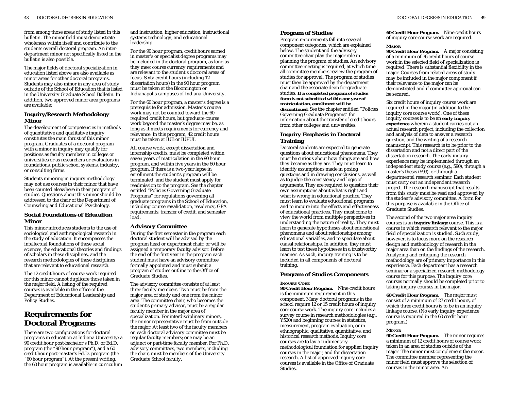from among those areas of study listed in this bulletin. The minor field must demonstrate wholeness within itself and contribute to the students overall doctoral program. An interdepartment minor not specifically listed in the bulletin is also possible.

The major fields of doctoral specialization in education listed above are also available as minor areas for other doctoral programs. Students may also minor in any area of study outside of the School of Education that is listed in the University Graduate School Bulletin. In addition, two approved minor area programs are available:

# **Inquiry/Research Methodology Minor**

The development of competencies in methods of quantitative and qualitative inquiry constitutes the main thrust of this minor program. Graduates of a doctoral program with a minor in inquiry may qualify for positions as faculty members in colleges or universities or as researchers or evaluators in foundations, public school systems, industry, or consulting firms.

Students minoring in inquiry methodology may not use courses in their minor that have been counted elsewhere in their program of studies. Questions about this minor should be addressed to the chair of the Department of Counseling and Educational Psychology.

### **Social Foundations of Education Minor**

This minor introduces students to the use of sociological and anthropological research in the study of education. It encompasses the intellectual foundations of these social sciences, the educational theories and findings of scholars in these disciplines, and the research methodologies of these disciplines that are relevant to educational research.

The 12 credit hours of course work required for this minor cannot duplicate those taken in the major field. A listing of the required courses is available in the office of the Department of Educational Leadership and Policy Studies.

# **Requirements for Doctoral Programs**

There are two configurations for doctoral programs in education at Indiana University: a 90 credit hour post-bachelor's Ph.D. or Ed.D. program (the "90 hour program"), and a 60 credit hour post-master's Ed.D. program (the "60 hour program"). At the present writing, the 60 hour program is available in curriculum

and instruction, higher education, instructional systems technology, and educational leadership.

For the 90 hour program, credit hours earned in master's or specialist degree programs may be included in the doctoral program, as long as they meet course currency requirements and are relevant to the student's doctoral areas of focus. Sixty credit hours (including 12 dissertation hours) in the 90 hour program must be taken at the Bloomington or Indianapolis campuses of Indiana University.

For the 60 hour program, a master's degree is a prerequisite for admission. Master's course work may not be counted toward the 60 required credit hours, but graduate course work beyond the master's degree may be, as long as it meets requirements for currency and relevance. In this program, 42 credit hours must be taken at IUB or IUPUI.

All course work, except dissertation and internship credits, must be completed within seven years of matriculation in the 90 hour program, and within five years in the 60 hour program. If there is a two-year lapse in enrollment the student's program will be terminated, and the student must apply for readmission to the program. See the chapter entitled "Policies Governing Graduate Programs" for regulations governing all graduate programs in the School of Education, including course revalidation, residency, GPA requirements, transfer of credit, and semester load.

# **Advisory Committee**

During the first semester in the program each doctoral student will be advised by the program head or department chair, or will be assigned a temporary faculty advisor. Before the end of the first year in the program each student must have an advisory committee formally appointed and must submit a program of studies outline to the Office of Graduate Studies.

The advisory committee consists of at least three faculty members. Two must be from the major area of study and one from the minor area. The committee chair, who becomes the student's primary advisor, must be a regular faculty member in the major area of specialization. For interdisciplinary minors, the minor representative must be from outside the major. At least two of the faculty members on each doctoral advisory committee must be regular faculty members; one may be an adjunct or part-time faculty member. For Ph.D. advisory committees, two members, including the chair, must be members of the University Graduate School faculty.

# **Program of Studies**

Program requirements fall into several component categories, which are explained below. The student and the advisory committee chair play the major role in planning the program of studies. An advisory committee meeting is required, at which time all committee members review the program of studies for approval. The program of studies must then be approved by the department chair and the associate dean for graduate studies. *If a completed program of studies form is not submitted within one year of matriculation, enrollment will be discontinued***.** See the chapter entitled "Policies Governing Graduate Programs" for information about the transfer of credit hours from other colleges and universities.

## **Inquiry Emphasis in Doctoral Training**

Doctoral students are expected to generate questions about educational phenomena. They must be curious about how things are and how they became as they are. They must learn to identify assumptions made in posing questions and in drawing conclusions, as well as to judge the consistency and logic of arguments. They are required to question their own assumptions about what is right and what is wrong in educational practice. They must learn to evaluate educational programs and to inquire into the effects and effectiveness of educational practices. They must come to view the world from multiple perspectives in understanding the nature of reality. They must learn to generate hypotheses about educational phenomena and about relationships among educational variables, and to speculate about causal relationships. In addition, they must learn to test these hypotheses in a trustworthy manner. As such, inquiry training is to be included in all components of doctoral training.

# **Program of Studies Components**

### **INQUIRY CORE**

**90 Credit Hour Program.** Nine credit hours is the minimum requirement in this component. Many doctoral programs in the school require 12 or 15 credit hours of inquiry core course work. The inquiry core includes a survey course in research methodologies (e.g., Y520) and beginning courses in statistics, measurement, program evaluation, or in ethnographic, qualitative, quantitative, and historical research methods. Inquiry core courses are to lay a rudimentary methodological foundation for applied inquiry courses in the major, and for dissertation research. A list of approved inquiry core courses is available in the Office of Graduate Studies.

**60 Credit Hour Program.** Nine credit hours of inquiry core course work are required.

### **MAJOR**

**90 Credit Hour Program.** A major consisting of a minimum of 36 credit hours of course work in the selected field of specialization is required. There is substantial flexibility in the major. Courses from related areas of study may be included in the major component if their relevance to the major can be demonstrated and if committee approval can be secured.

Six credit hours of inquiry course work are required in the major (in addition to the inquiry core course work). One of these inquiry courses is to be an **early inquiry experience** wherein a student carries out an actual research project, including the collection and analysis of data to answer a research question, and the writing of a research manuscript. This research is to be prior to the dissertation and not a direct part of the dissertation research. The early inquiry experience may be implemented through an independent study course (e.g., 590), through a master's thesis (599), or through a departmental research seminar. Each student must carry out an independent research project. The research manuscript that results from this study must be read and approved by the student's advisory committee. A form for this purpose is available in the Office of Graduate Studies.

The second of the two major area inquiry courses is an **inquiry linkage** course. This is a course in which research relevant to the major field of specialization is studied. Such study, however, is to focus more on the research design and methodology of research in the major area than on the findings of the research. Analyzing and critiquing the research methodology are of primary importance in this experience. Each department has a research seminar or a specialized research methodology course for this purpose. The inquiry core courses normally should be completed prior to taking inquiry courses in the major.

**60 Credit Hour Program.** The major must consist of a minimum of 27 credit hours, of which three credit hours is to be in an inquiry linkage course. (No early inquiry experience course is required in the 60 credit hour program.)

### **MINOR**

**90 Credit Hour Program.** The minor requires a minimum of 12 credit hours of course work taken in an area of studies outside of the major. The minor must complement the major. The committee member representing the minor field must approve the selection of courses in the minor area. An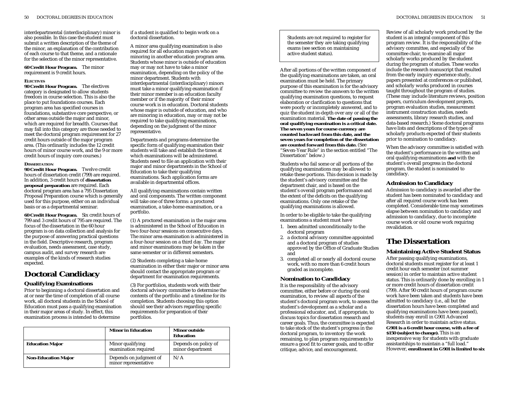interdepartmental (interdisciplinary) minor is also possible. In this case the student must submit a written description of the theme of the minor, an explanation of the contribution of each course to that theme, and a rationale for the selection of the minor representative.

#### **60 Credit Hour Program.** The minor requirement is 9 credit hours.

#### **ELECTIVES**

**90 Credit Hour Program.** The electives category is designated to allow students freedom in course selection. This is also the place to put foundations courses. Each program area has specified courses in foundations, substantive core perspective, or other areas outside the major and minor, which are required for breadth. Courses that may fall into this category are those needed to meet the doctoral program requirement for 27 credit hours outside of the major program area. (This ordinarily includes the 12 credit hours of minor course work, and the 9 or more credit hours of inquiry core courses.)

#### **DISSERTATION**

**90 Credit Hour Program.** Twelve credit hours of dissertation credit (799) are required. In addition, 3 credit hours of **dissertation proposal preparation** are required. Each doctoral program area has a 795 Dissertation Proposal Preparation course which is generally used for this purpose, either on an individual basis or as a departmental seminar.

**60 Credit Hour Program.** Six credit hours of 799 and 3 credit hours of 795 are required. The focus of the dissertation in the 60 hour program is on data collection and analysis for the purpose of answering practical questions in the field. Descriptive research, program evaluation, needs assessment, case study, campus audit, and survey research are examples of the kinds of research studies expected.

# **Doctoral Candidacy**

### **Qualifying Examinations**

Prior to beginning a doctoral dissertation and at or near the time of completion of all course work, all doctoral students in the School of Education must pass a qualifying examination in their major areas of study. In effect, this examination process is intended to determine

if a student is qualified to begin work on a doctoral dissertation.

A minor area qualifying examination is also required for all education majors who are minoring in another education program area. Students whose minor is outside of education may or may not have to take a minor examination, depending on the policy of the minor department. Students with interdepartmental (interdisciplinary) minors must take a minor qualifying examination if their minor member is an education faculty member or if the majority of their minor course work is in education. Doctoral students whose major is outside of education, and who are minoring in education, may or may not be required to take qualifying examinations, depending on the judgment of the minor representative.

Departments and programs determine the specific form of qualifying examination their students will take and establish the times at which examinations will be administered. Students need to file an application with their major and minor departments in the School of Education to take their qualifying examinations. Such application forms are available in departmental offices.

All qualifying examinations contain written and oral components. The written component will take one of three forms: a proctored examination, a take-home examination, or a portfolio.

(1) A proctored examination in the major area is administered in the School of Education in two four-hour sessions on consecutive days. The minor area examination is administered in a four-hour session on a third day. The major and minor examinations may be taken in the same semester or in different semesters.

(2) Students completing a take-home examination in either their major or minor area should contact the appropriate program or department for examination requirements.

(3) For portfolios, students work with their doctoral advisory committee to determine the contents of the portfolio and a timeline for its completion. Students choosing this option should see their advisors regarding specific requirements for preparation of their portfolios.

|                            | <b>Minor in Education</b>                      | <b>Minor outside</b><br><b>Education</b> |
|----------------------------|------------------------------------------------|------------------------------------------|
| <b>Education Major</b>     | Minor qualifying<br>examination required       | Depends on policy of<br>minor department |
| <b>Non-Education Major</b> | Depends on judgment of<br>minor representative | N/A                                      |

Students are not required to register for the semester they are taking qualifying exams (see section on maintaining active student status).

After all portions of the written component of the qualifying examinations are taken, an oral examination must be held. The primary purpose of this examination is for the advisory committee to review the answers to the written qualifying examination questions, to request elaboration or clarification to questions that were poorly or incompletely answered, and to quiz the student in-depth over any or all of the examination material. **The date of passing the oral qualifying examination is a critical date. The seven years for course currency are counted backward from this date, and the seven years for completion of the dissertation are counted forward from this date.** (See "Seven-Year Rule" in the section entitled "The Dissertation" below.)

Students who fail some or all portions of the qualifying examinations may be allowed to retake these portions. This decision is made by the student's advisory committee and the department chair, and is based on the student's overall program performance and the extent of the deficits on the qualifying examinations. Only one retake of the qualifying examinations is allowed.

In order to be eligible to take the qualifying examinations a student must have

- 1. been admitted unconditionally to the doctoral program
- 2. a doctoral advisory committee appointed and a doctoral program of studies approved by the Office of Graduate Studies and
- 3. completed all or nearly all doctoral course work, with no more than 6 credit hours graded as incomplete.

### **Nomination to Candidacy**

It is the responsibility of the advisory committee, either before or during the oral examination, to review all aspects of the student's doctoral program work, to assess the student's development as a scholar and a professional educator, and, if appropriate, to discuss topics for dissertation research and career goals. Thus, the committee is expected to take stock of the student's progress in the doctoral program, to inventory the work remaining, to plan program requirements to ensure a good fit to career goals, and to offer critique, advice, and encouragement.

50 DOCTORAL DEGREES IN EDUCATION DOCTORAL DEGREES IN EDUCATION 51

Review of all scholarly work produced by the student is an integral component of this program review. It is the responsibility of the advisory committee, and especially of the committee chair, to examine all major scholarly works produced by the student during the program of studies. These works include the research manuscript that resulted from the early inquiry experience study, papers presented at conferences or published, and scholarly works produced in courses taught throughout the program of studies. (These may include literature reviews, position papers, curriculum development projects, program evaluation studies, measurement instrument construction studies, needs assessments, library research studies, and data-based research.) Some doctoral programs have lists and descriptions of the types of scholarly products expected of their students prior to nomination to candidacy.

When the advisory committee is satisfied with the student's performance in the written and oral qualifying examinations **and** with the student's overall progress in the doctoral program, the student is nominated to candidacy.

### **Admission to Candidacy**

Admission to candidacy is awarded after the student has been nominated to candidacy and after all required course work has been completed. Considerable time may sometimes elapse between nomination to candidacy and admission to candidacy, due to incomplete course work or old course work requiring revalidation.

# **The Dissertation**

# **Maintaining Active Student Status**

After passing qualifying examinations, doctoral students must register for at least 1 credit hour each semester (not summer session) in order to maintain active student status. This is ordinarily done by enrolling in 1 or more credit hours of dissertation credit (799). After 90 credit hours of program course work have been taken and students have been admitted to candidacy (i.e., all but the dissertation hours have been completed and qualifying examinations have been passed), students may enroll in G901 Advanced Research in order to maintain active status. **G901 is a 6 credit hour course, with a fee of \$150 (subject to change).** This is an inexpensive way for students with graduate assistantships to maintain a "full load." However, **enrollment in G901 is limited to six**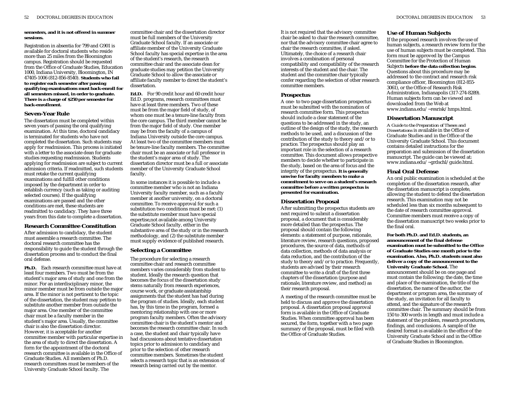#### **semesters, and it is not offered in summer sessions.**

Registration in absentia for 799 and G901 is available for doctoral students who reside more than 25 miles from the Bloomington campus. Registration should be requested from the Office of Graduate Studies, Education 1000, Indiana University, Bloomington, IN 47405-1006 (812-856-8540). **Students who fail to register each semester after passing qualifying examinations must back-enroll for all semesters missed, in order to graduate. There is a charge of \$250 per semester for back-enrollment.**

## **Seven-Year Rule**

The dissertation must be completed within seven years of passing the oral qualifying examination. At this time, doctoral candidacy is terminated for students who have not completed the dissertation. Such students may apply for readmission. This process is initiated with a letter to the associate dean for graduate studies requesting readmission. Students applying for readmission are subject to current admission criteria. If readmitted, such students must retake the current qualifying examinations and fulfill other conditions imposed by the department in order to establish currency (such as taking or auditing selected courses). If the qualifying examinations are passed and the other conditions are met, these students are readmitted to candidacy. They have three years from this date to complete a dissertation.

### **Research Committee Constitution**

After admission to candidacy, the student must assemble a research committee. The doctoral research committee has the responsibility to guide the student through the dissertation process and to conduct the final oral defense.

**Ph.D.** Each research committee must have at least four members. Two must be from the student's major area of study and one from the minor. For an interdisciplinary minor, the minor member must be from outside the major area. If the minor is not pertinent to the topic of the dissertation, the student may petition to substitute another member from outside the major area. One member of the committee chair must be a faculty member in the student's major area. Usually, the committee chair is also the dissertation director. However, it is acceptable for another committee member with particular expertise in the area of study to direct the dissertation. A form for the appointment of the doctoral research committee is available in the Office of Graduate Studies. All members of Ph.D. research committees must be members of the University Graduate School faculty. The

committee chair and the dissertation director must be full members of the University Graduate School faculty. If an associate or affiliate member of the University Graduate School faculty has special expertise in the area of the student's research, the research committee chair and the associate dean for graduate studies may petition the University Graduate School to allow the associate or affiliate faculty member to direct the student's dissertation.

**Ed.D.** For 90 credit hour and 60 credit hour Ed.D. programs, research committees must have at least three members. Two of these must be from the major field of study, of whom one must be a tenure-line faculty from the core campus. The third member cannot be from the major field of study. One member may be from the faculty of a campus of Indiana University outside the core campus. At least two of the committee members must be tenure-line faculty members. The committee chair must be an associate or full professor in the student's major area of study. The dissertation director must be a full or associate member of the University Graduate School faculty.

In some instances it is possible to include a committee member who is not an Indiana University faculty member, such as a faculty member at another university, on a doctoral committee. To receive approval for such a substitution two conditions must be met: (1) the substitute member must have special expertise,not available among University Graduate School faculty, either in the substantive area of the study or in the research methodology, and (2) the substitute member must supply evidence of published research.

#### **Selecting a Committee**

The procedure for selecting a research committee chair and research committee members varies considerably from student to student. Ideally the research question that becomes the focus of the dissertation study stems naturally from research experiences, course work, or graduate assistantship assignments that the student has had during the program of studies. Ideally, each student has, by this time in the program, formed a mentoring relationship with one or more program faculty members. Often the advisory committee chair is the student's mentor and becomes the research committee chair. In such a case, the student and chair typically have had discussions about tentative dissertation topics prior to admission to candidacy and prior to the selection of other research committee members. Sometimes the student selects a research topic that is an extension of research being carried out by the mentor.

It is not required that the advisory committee chair be asked to chair the research committee, nor that the advisory committee chair agree to chair the research committee, if asked. Ultimately, the choice of a research chair involves a combination of personal compatibility and compatibility of the research interests of the student and the chair. The student and the committee chair typically confer regarding the selection of other research

#### **Prospectus**

committee members.

A one- to two-page dissertation prospectus must be submitted with the nomination of research committee form. This prospectus should include a clear statement of the questions to be addressed in the study, an outline of the design of the study, the research methods to be used, and a discussion of the contribution of the study to theory and/or to practice. The prospectus should play an important role in the selection of a research committee. This document allows prospective members to decide whether to participate in the study, based on the area of focus and the integrity of the prospectus. **It is generally unwise for faculty members to make a commitment to serve on a student's research committee before a written prospectus is presented for examination.**

#### **Dissertation Proposal**

After submitting the prospectus students are next required to submit a dissertation proposal, a document that is considerably more detailed than the prospectus. The proposal should contain the following elements: a statement of purpose, rationale, literature review, research questions, proposed procedures, the source of data, methods of data collection, methods of data analysis or data reduction, and the contribution of the study to theory and/or to practice. Frequently, students are advised by their research committee to write a draft of the first three chapters of the dissertation (purpose and rationale, literature review, and method) as their research proposal.

A meeting of the research committee must be held to discuss and approve the dissertation proposal. A dissertation proposal approval form is available in the Office of Graduate Studies. When committee approval has been secured, the form, together with a two page summary of the proposal, must be filed with the Office of Graduate Studies.

### **Use of Human Subjects**

If the proposed research involves the use of human subjects, a research review form for the use of human subjects must be completed. This form must be approved by the Campus Committee for the Protection of Human Subjects **before the data collection begins**. Questions about this procedure may be addressed to the contract and research risk compliance officer, Bloomington (812-855- 3061), or the Office of Research Risk Administration, Indianapolis (317-274-8289). Human subjects form can be viewed and downloaded from the Web at www.indiana.edu/~resrisk/hmps.html.

### **Dissertation Manuscript**

*A Guide to the Preparation of Theses and Dissertations* is available in the Office of Graduate Studies and in the Office of the University Graduate School. This document contains detailed instructions for the preparation and submission of the dissertation manuscript. The guide can be viewed at: www.indiana.edu/~grdschl/guide.html.

### **Final Oral Defense**

An oral public examination is scheduled at the completion of the dissertation research, after the dissertation manuscript is complete, allowing the student to defend the dissertation research. This examination may not be scheduled less than six months subsequent to the date of research committee approval. Committee members must receive a copy of the dissertation manuscript two weeks prior to the final oral.

**For both Ph.D. and Ed.D. students, an announcement of the final defense examination must be submitted to the Office of Graduate Studies one month prior to the examination. Also, Ph.D. students must also deliver a copy of the announcement to the University Graduate School.** The announcement should be on one page and must contain the following: the date, the time and place of the examination, the title of the dissertation, the name of the author, the department or program area, the summary of the study, an invitation for all faculty to attend, and the signature of the research committee chair. The summary should be from 150 to 300 words in length and must include a statement of the problem, research procedures, findings, and conclusions. A sample of the desired format is available in the office of the University Graduate School and in the Office of Graduate Studies in Bloomington.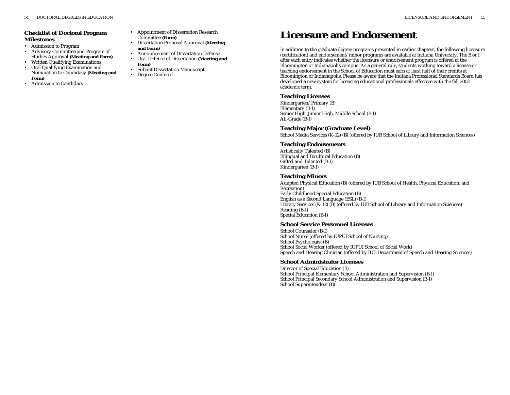- Admission to Program
- • Advisory Committee and Program of Studies Approval **(Meeting and Form)**
- •Written Qualifying Examinations
- • Oral Qualifying Examination and Nomination to Candidacy **(Meeting and Form)**
- •Admission to Candidacy
- Appointment of Dissertation Research Committee **(Form)**
- Dissertation Proposal Approval **(Meeting and Form)**
- •Announcement of Dissertation Defense
- Oral Defense of Dissertation **(Meeting and Form)**
- •Submit Dissertation Manuscript
- Degree Conferral

# **Licensure and Endorsement**

In addition to the graduate degree programs presented in earlier chapters, the following licensure (certification) and endorsement/minor programs are available at Indiana University. The B or I after each entry indicates whether the licensure or endorsement program is offered at the Bloomington or Indianapolis campus. As a general rule, students working toward a license or teaching endorsement in the School of Education must earn at least half of their credits at Bloomington or Indianapolis. Please be aware that the Indiana Professional Standards Board has developed a new system for licensing educational professionals effective with the fall 2002 academic term.

# **Teaching Licenses**

Kindergarten/Primary (B) Elementary (B-I) Senior High, Junior High, Middle School (B-I) All-Grade (B-I)

### **Teaching Major (Graduate Level)**

School Media Services (K-12) (B) (offered by IUB School of Library and Information Sciences)

### **Teaching Endorsements**

Artistically Talented (B) Bilingual and Bicultural Education (B) Gifted and Talented (B-I) Kindergarten (B-I)

### **Teaching Minors**

Adapted Physical Education (B) (offered by IUB School of Health, Physical Education, and Recreation) Early Childhood Special Education (B) English as a Second Language (ESL) (B-I) Library Services (K-12) (B) (offered by IUB School of Library and Information Sciences) Reading (B-I) Special Education (B-I)

### **School Service Personnel Licenses**

School Counselor (B-I) School Nurse (offered by IUPUI School of Nursing) School Psychologist (B) School Social Worker (offered by IUPUI School of Social Work) Speech and Hearing Clinician (offered by IUB Department of Speech and Hearing Sciences)

### **School Administrator Licenses**

Director of Special Education (B) School Principal Elementary School Administration and Supervision (B-I) School Principal Secondary School Administration and Supervision (B-I) School Superintendent (B)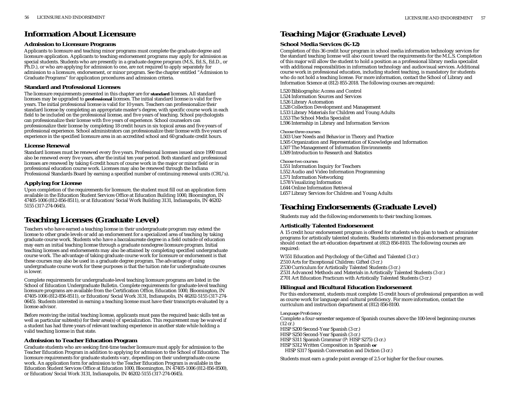# **Information About Licensure**

# **Admission to Licensure Programs**

Applicants to licensure and teaching minor programs must complete the graduate degree and licensure application. Applicants to teaching endorsement programs may apply for admission as special students. Students who are presently in a graduate degree program (M.S., Ed.S., Ed.D., or Ph.D.), or who are applying for admission to one, are not required to apply separately for admission to a licensure, endorsement, or minor program. See the chapter entitled "Admission to Graduate Programs" for application procedures and admission criteria.

# **Standard and Professional Licenses**

The licensure requirements presented in this chapter are for **standard** licenses. All standard licenses may be upgraded to **professional** licenses. The initial standard license is valid for five years. The initial professional license is valid for 10 years. Teachers can professionalize their standard license by completing an appropriate master's degree, with specific course work in each field to be included on the professional license, and five years of teaching. School psychologists can professionalize their license with five years of experience. School counselors can professionalize their license by completing 18 credit hours in six topical areas and five years of professional experience. School administrators can professionalize their license with five years of experience in the specified licensure area in an accredited school and 60 graduate credit hours.

# **License Renewal**

Standard licenses must be renewed every five years. Professional licenses issued since 1990 must also be renewed every five years, after the initial ten year period. Both standard and professional licenses are renewed by taking 6 credit hours of course work in the major or minor field or in professional education course work. Licenses may also be renewed through the Indiana Professional Standards Board by earning a specified number of continuing renewal units (CRU's).

# **Applying for License**

Upon completion of the requirements for licensure, the student must fill out an application form available in the Education Student Services Office at Education Building 1000, Bloomington, IN 47405-1006 (812-856-8511), or at Education/Social Work Building 3131, Indianapolis, IN 46202- 5155 (317-274-0645).

# **Teaching Licenses (Graduate Level)**

Teachers who have earned a teaching license in their undergraduate program may extend the license to other grade levels or add an endorsement for a specialized area of teaching by taking graduate course work. Students who have a baccalaureate degree in a field outside of education may earn an initial teaching license through a graduate nondegree licensure program. Initial teaching licenses and endorsements may also be attained by completing specified undergraduate course work. The advantage of taking graduate course work for licensure or endorsement is that these courses may also be used in a graduate degree program. The advantage of using undergraduate course work for these purposes is that the tuition rate for undergraduate courses is lower.

Complete requirements for undergraduate-level teaching licensure programs are listed in the School of Education Undergraduate Bulletin. Complete requirements for graduate-level teaching licensure programs are available from the Certification Office, Education 1000, Bloomington, IN 47405-1006 (812-856-8511), or Education/Social Work 3131, Indianapolis, IN 46202-5155 (317-274- 0645). Students interested in earning a teaching license must have their transcripts evaluated by a license advisor.

Before receiving the initial teaching license, applicants must pass the required basic skills test as well as particular subtest(s) for their area(s) of specialization. This requirement may be waived if a student has had three years of relevant teaching experience in another state while holding a valid teaching license in that state.

# **Admission to Teacher Education Program**

Graduate students who are seeking first-time teacher licensure must apply for admission to the Teacher Education Program in addition to applying for admission to the School of Education. The licensure requirements for graduate students vary, depending on their undergraduate course work. An application form for admission to the Teacher Education Program is available in the Education Student Services Office at Education 1000, Bloomington, IN 47405-1006 (812-856-8500), or Education/Social Work 3131, Indianapolis, IN 46202-5155 (317-274-0645).

# **Teaching Major (Graduate Level)**

# **School Media Services (K-12)**

Completion of this 36 credit hour program in school media information technology services for the standard teaching license will also count toward the requirements for the M.L.S. Completion of this major will allow the student to hold a position as a professional library media specialist with additional responsibilities in information technology and audiovisual services. Additional course work in professional education, including student teaching, is mandatory for students who do not hold a teaching license. For more information, contact the School of Library and Information Science at (812) 855-2018. The following courses are required:

L520 Bibliographic Access and Control L524 Information Sources and Services L526 Library Automation L528 Collection Development and Management L533 Library Materials for Children and Young Adults L553 The School Media Specialist L596 Internship in Library and Information Services

### *Choose three courses:*

L503 User Needs and Behavior in Theory and Practice L505 Organization and Representation of Knowledge and Information L507 The Management of Information Environments L509 Introduction to Research and Statistics

*Choose two courses:* L551 Information Inquiry for Teachers L552 Audio and Video Information Programming L571 Information Networking L578 Visualizing Information L644 Online Information Retrieval L657 Library Services for Children and Young Adults

# **Teaching Endorsements (Graduate Level)**

Students may add the following endorsements to their teaching licenses.

# **Artistically Talented Endorsement**

A 15 credit hour endorsement program is offered for students who plan to teach or administer programs for artistically talented students. Students interested in this endorsement program should contact the art education department at (812) 856-8103. The following courses are required:

W551 Education and Psychology of the Gifted and Talented (3 cr.)

Z510 Arts for Exceptional Children: Gifted (3 cr.)

Z530 Curriculum for Artistically Talented Students (3 cr.)

- Z531 Advanced Methods and Materials in Artistically Talented Students (3 cr.)
- Z701 Art Education Practicum with Artistically Talented Students (3 cr.)

# **Bilingual and Bicultural Education Endorsement**

For this endorsement, students must complete 15 credit hours of professional preparation as well as course work for language and cultural proficiency. For more information, contact the curriculum and instruction department at (812) 856-8100.

# *Language Proficiency*

Complete a four-semester sequence of Spanish courses above the 100-level beginning courses  $(12 \text{ cr.})$ 

HISP S200 Second-Year Spanish (3 cr.)

HISP S250 Second-Year Spanish (3 cr.)

HISP S311 Spanish Grammar (P: HISP S275) (3 cr.)

HISP S312 Written Composition in Spanish **or** HISP S317 Spanish Conversation and Diction (3 cr.)

Students must earn a grade point average of 2.5 or higher for the four courses.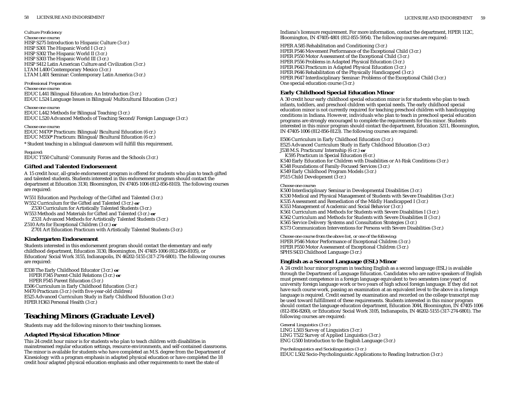#### *Culture Proficiency*

*Choose one course:* HISP S275 Introduction to Hispanic Culture (3 cr.) HISP S301 The Hispanic World I (3 cr.) HISP S302 The Hispanic World II (3 cr.) HISP S303 The Hispanic World III (3 cr.) HISP S412 Latin American Culture and Civilization (3 cr.) LTAM L400 Contemporary Mexico (3 cr.) LTAM L401 Seminar: Contemporary Latin America (3 cr.)

### *Professional Preparation*

*Choose one course:* EDUC L441 Bilingual Education: An Introduction (3 cr.) EDUC L524 Language Issues in Bilingual/Multicultural Education (3 cr.)

```
Choose one course:
EDUC L442 Methods for Bilingual Teaching (3 cr.)
EDUC L520 Advanced Methods of Teaching Second/Foreign Language (3 cr.)
```
*Choose one course:* EDUC M470\* Practicum: Bilingual/Bicultural Education (6 cr.) EDUC M550\* Practicum: Bilingual/Bicultural Education (6 cr.)

\* Student teaching in a bilingual classroom will fulfill this requirement.

*Required:* EDUC T550 Cultural/Community Forces and the Schools (3 cr.)

# **Gifted and Talented Endorsement**

A 15 credit hour, all-grade endorsement program is offered for students who plan to teach gifted and talented students. Students interested in this endorsement program should contact the department at Education 3130, Bloomington, IN 47405-1006 (812-856-8103). The following courses are required:

W551 Education and Psychology of the Gifted and Talented (3 cr.) W552 Curriculum for the Gifted and Talented (3 cr.) **or** 

Z530 Curriculum for Artistically Talented Students (3 cr.)

W553 Methods and Materials for Gifted and Talented (3 cr.) **or**  Z531 Advanced Methods for Artistically Talented Students (3 cr.)

Z510 Arts for Exceptional Children (3 cr.) **or**

Z701 Art Education Practicum with Artistically Talented Students (3 cr.)

# **Kindergarten Endorsement**

Students interested in this endorsement program should contact the elementary and early childhood department, Education 3130, Bloomington, IN 47405-1006 (812-856-8105), or Education/Social Work 3155, Indianapolis, IN 46202-5155 (317-274-6801). The following courses are required:

E338 The Early Childhood Educator (3 cr.) **or** HPER F345 Parent-Child Relations (3 cr.) **or** HPER F545 Parent Education (3 cr.) E506 Curriculum in Early Childhood Education (3 cr.) M470 Practicum (3 cr.) (with five-year-old children) E525 Advanced Curriculum Study in Early Childhood Education (3 cr.) HPER H363 Personal Health (3 cr.)

# **Teaching Minors (Graduate Level)**

Students may add the following minors to their teaching licenses.

# **Adapted Physical Education Minor**

This 24 credit hour minor is for students who plan to teach children with disabilities in mainstreamed regular education settings, resource environments, and self-contained classrooms. The minor is available for students who have completed an M.S. degree from the Department of Kinesiology with a program emphasis in adapted physical education or have completed the 18 credit hour adapted physical education emphasis and other requirements to meet the state of

Indiana's licensure requirement. For more information, contact the department, HPER 112C, Bloomington, IN 47405-4801 (812-855-5954). The following courses are required:

HPER A585 Rehabilitation and Conditioning (3 cr.) HPER P546 Movement Performance of the Exceptional Child (3 cr.) HPER P550 Motor Assessment of the Exceptional Child (3 cr.) HPER P556 Problems in Adapted Physical Education (3 cr.) HPER P643 Practicum in Adapted Physical Education (3 cr.) HPER P646 Rehabilitation of the Physically Handicapped (3 cr.) HPER P647 Interdisciplinary Seminar: Problems of the Exceptional Child (3 cr.) One special education course (3 cr.)

# **Early Childhood Special Education Minor**

A 30 credit hour early childhood special education minor is for students who plan to teach infants, toddlers, and preschool children with special needs. The early childhood special education minor is not currently required for teaching preschool children with handicapping conditions in Indiana. However, individuals who plan to teach in preschool special education programs are strongly encouraged to complete the requirements for this minor. Students interested in this minor program should contact the department, Education 3211, Bloomington, IN 47405-1006 (812-856-8123). The following courses are required:

E506 Curriculum in Early Childhood Education (3 cr.) E525 Advanced Curriculum Study in Early Childhood Education (3 cr.) J538 M.S. Practicum/Internship (6 cr.) **or** K595 Practicum in Special Education (6 cr.) K540 Early Education for Children with Disabilities or At-Risk Conditions (3 cr.) K548 Foundations of Family-Focused Services (3 cr.) K549 Early Childhood Program Models (3 cr.) P515 Child Development (3 cr.)

#### *Choose one course:*

K500 Interdisciplinary Seminar in Developmental Disabilities (3 cr.) K530 Medical and Physical Management of Students with Severe Disabilities (3 cr.) K535 Assessment and Remediation of the Mildly Handicapped I (3 cr.) K553 Management of Academic and Social Behavior (3 cr.) K561 Curriculum and Methods for Students with Severe Disabilities I (3 cr.) K562 Curriculum and Methods for Students with Severe Disabilities II (3 cr.) K565 Service Delivery Systems and Consultation Strategies (3 cr.) K573 Communication Interventions for Persons with Severe Disabilities (3 cr.)

*Choose one course from the above list, or one of the following:* HPER P546 Motor Performance of Exceptional Children (3 cr.) HPER P550 Motor Assessment of Exceptional Children (3 cr.) SPHS S433 Childhood Language (3 cr.)

# **English as a Second Language (ESL) Minor**

A 24 credit hour minor program in teaching English as a second language (ESL) is available through the Department of Language Education. Candidates who are native speakers of English must present competence in a foreign language equivalent to two semesters (one year) of university foreign language work or two years of high school foreign language. If they did not have such course work, passing an examination at an equivalent level to the above in a foreign language is required. Credit earned by examination and recorded on the college transcript may be used toward fulfillment of these requirements. Students interested in this minor program should contact the language education department, Education 3044, Bloomington, IN 47405-1006 (812-856-8260), or Education/Social Work 3105, Indianapolis, IN 46202-5155 (317-274-6801). The following courses are required:

*General Linguistics (3 cr.)* LING L503 Survey of Linguistics (3 cr.) LING T522 Survey of Applied Linguistics (3 cr.) ENG G500 Introduction to the English Language (3 cr.)

*Psycholinguistics and Sociolinguistics (3 cr.)* EDUC L502 Socio-Psycholinguistic Applications to Reading Instruction (3 cr.)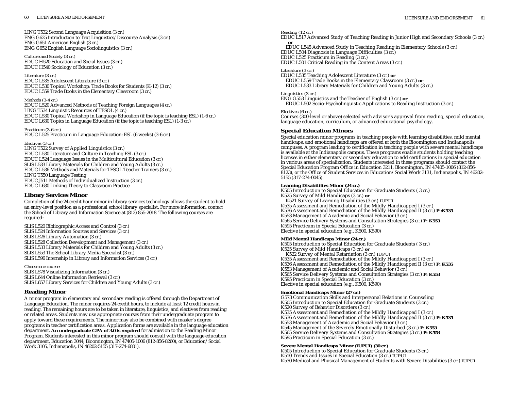LING T532 Second Language Acquisition (3 cr.) ENG G625 Introduction to Text Linguistics/Discourse Analysis (3 cr.) ENG G651 American English (3 cr.) ENG G652 English Language Sociolinguistics (3 cr.)

*Culture and Society (3 cr.)* EDUC H520 Education and Social Issues (3 cr.) EDUC H540 Sociology of Education (3 cr.)

*Literature (3 cr.)* EDUC L535 Adolescent Literature (3 cr.) EDUC L530 Topical Workshop: Trade Books for Students (K-12) (3 cr.) EDUC L559 Trade Books in the Elementary Classroom (3 cr.)

#### *Methods (3-4 cr.)* EDUC L520 Advanced Methods of Teaching Foreign Languages (4 cr.) LING T534 Linguistic Resources of TESOL (4 cr.) EDUC L530 Topical Workshop in Language Education (if the topic is teaching ESL) (1-6 cr.) EDUC L630 Topics in Language Education (if the topic is teaching ESL) (1-3 cr.)

*Practicum (3-6 cr.)* EDUC L525 Practicum in Language Education: ESL (6 weeks) (3-6 cr.)

*Electives (3 cr.)* LING T522 Survey of Applied Linguistics (3 cr.) EDUC L530 Literature and Culture in Teaching ESL (3 cr.) EDUC L524 Language Issues in the Multicultural Education (3 cr.) SLIS L533 Library Materials for Children and Young Adults (3 cr.) EDUC L536 Methods and Materials for TESOL Teacher Trainers (3 cr.) LING T550 Language Testing EDUC J511 Methods of Individualized Instruction (3 cr.) EDUC L630 Linking Theory to Classroom Practice

# **Library Services Minor**

Completion of the 24 credit hour minor in library services technology allows the student to hold an entry-level position as a professional school library specialist. For more information, contact the School of Library and Information Science at (812) 855-2018. The following courses are required:

SLIS L520 Bibliographic Access and Control (3 cr.) SLIS L524 Information Sources and Services (3 cr.) SLIS L526 Library Automation (3 cr.) SLIS L528 Collection Development and Management (3 cr.) SLIS L533 Library Materials for Children and Young Adults (3 cr.) SLIS L553 The School Library Media Specialist (3 cr.) SLIS L596 Internship in Library and Information Services (3 cr.)

*Choose one course:* SLIS L578 Visualizing Information (3 cr.) SLIS L644 Online Information Retrieval (3 cr.) SLIS L657 Library Services for Children and Young Adults (3 cr.)

# **Reading Minor**

A minor program in elementary and secondary reading is offered through the Department of Language Education. The minor requires 24 credit hours, to include at least 12 credit hours in reading. The remaining hours are to be taken in literature, linguistics, and electives from reading or related areas. Students may use appropriate courses from their undergraduate program to apply toward these requirements. The minor may also be combined with master's degree programs in teacher certification areas. Application forms are available in the language education department. **An undergraduate GPA of 3.0 is required** for admission to the Reading Minor Program. Students interested in this minor program should consult with the language education department, Education 3044, Bloomington, IN 47405-1006 (812-856-8260), or Education/Social Work 3105, Indianapolis, IN 46202-5155 (317-274-6801).

### *Reading (12 cr.)*

EDUC L517 Advanced Study of Teaching Reading in Junior High and Secondary Schools (3 cr.) **or**

EDUC L545 Advanced Study in Teaching Reading in Elementary Schools (3 cr.)

EDUC L504 Diagnosis in Language Difficulties (3 cr.) EDUC L525 Practicum in Reading (3 cr.)

EDUC L501 Critical Reading in the Content Areas (3 cr.)

### *Literature (3 cr.)*

EDUC L535 Teaching Adolescent Literature (3 cr.) **or** EDUC L559 Trade Books in the Elementary Classroom (3 cr.) **or** EDUC L533 Library Materials for Children and Young Adults (3 cr.)

### *Linguistics (3 cr.)*

ENG G553 Linguistics and the Teacher of English (3 cr.) **or** EDUC L502 Socio-Psycholinguistic Applications to Reading Instruction (3 cr.)

### *Electives (6 cr.)*

Courses (300-level or above) selected with advisor's approval from reading, special education, language education, curriculum, or advanced educational psychology.

### **Special Education Minors**

Special education minor programs in teaching people with learning disabilities, mild mental handicaps, and emotional handicaps are offered at both the Bloomington and Indianapolis campuses. A program leading to certification in teaching people with severe mental handicaps is available at the Indianapolis campus. These programs enable students holding teaching licenses in either elementary or secondary education to add certifications in special education in various areas of specialization. Students interested in these programs should contact the Special Education Program Office in Education 3211, Bloomington, IN 47405-1006 (812-856- 8123), or the Office of Student Services in Education/Social Work 3131, Indianapolis, IN 46202- 5155 (317-274-0045).

### **Learning Disabilities Minor (24 cr.)**

K505 Introduction to Special Education for Graduate Students ( 3 cr.) K525 Survey of Mild Handicaps (3 cr.) **or** K521 Survey of Learning Disabilities (3 cr.) *IUPUI* K535 Assessment and Remediation of the Mildly Handicapped I (3 cr.) K536 Assessment and Remediation of the Mildly Handicapped II (3 cr.) **P :K535** K553 Management of Academic and Social Behavior (3 cr.) K565 Service Delivery Systems and Consultation Strategies (3 cr.) **P: K553** K595 Practicum in Special Education (3 cr.) Elective in special education (e.g., K500, K590)

### **Mild Mental Handicaps Minor (24 cr.)**

K505 Introduction to Special Education for Graduate Students ( 3 cr.) K525 Survey of Mild Handicaps (3 cr.) **or** K522 Survey of Mental Retardation (3 cr.) *IUPUI* K535 Assessment and Remediation of the Mildly Handicapped I (3 cr.) K536 Assessment and Remediation of the Mildly Handicapped II (3 cr.) **P: K535** K553 Management of Academic and Social Behavior (3 cr.) K565 Service Delivery Systems and Consultation Strategies (3 cr.) **P: K553** K595 Practicum in Special Education (3 cr.) Elective in special education (e.g., K500, K590)

### **Emotional Handicaps Minor (27 cr.)**

G573 Communication Skills and Interpersonal Relations in Counseling K505 Introduction to Special Education for Graduate Students (3 cr.) K520 Survey of Behavior Disorders (3 cr.) K535 Assessment and Remediation of the Mildly Handicapped I (3 cr.) K536 Assessment and Remediation of the Mildly Handicapped II (3 cr.) **P: K535** K553 Management of Academic and Social Behavior (3 cr.) K545 Management of the Severely Emotionally Disturbed (3 cr.) **P: K553** K565 Service Delivery Systems and Consultation Strategies (3 cr.) **P: K553** K595 Practicum in Special Education (3 cr.)

### **Severe Mental Handicaps Minor (IUPUI) (30 cr.)**

K505 Introduction to Special Education for Graduate Students (3 cr.) K510 Trends and Issues in Special Education (3 cr.) *IUPUI*  K530 Medical and Physical Management of Students with Severe Disabilities (3 cr.) *IUPUI*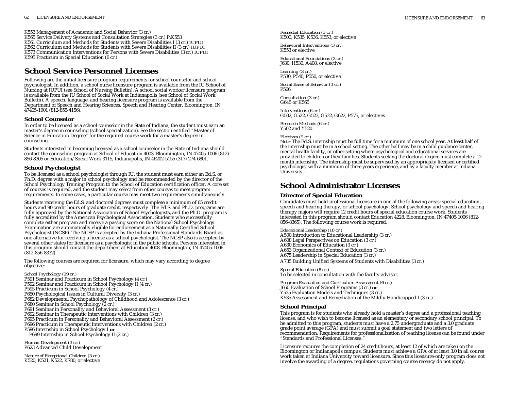LICENSURE AND ENDORSEMENT 63

K553 Management of Academic and Social Behavior (3 cr.) K565 Service Delivery Systems and Consultation Strategies (3 cr.) P:K553 K561 Curriculum and Methods for Students with Severe Disabilities I (3 cr.) *IUPUI*  K562 Curriculum and Methods for Students with Severe Disabilities II (3 cr.) *IUPUI* K573 Communication Interventions for Persons with Severe Disabilities (3 cr.) *IUPUI* K595 Practicum in Special Education (6 cr.)

# **School Service Personnel Licenses**

Following are the initial licensure program requirements for school counselor and school psychologist. In addition, a school nurse licensure program is available from the IU School of Nursing at IUPUI (see School of Nursing Bulletin). A school social worker licensure program is available from the IU School of Social Work at Indianapolis (see School of Social Work Bulletin). A speech, language, and hearing licensure program is available from the Department of Speech and Hearing Sciences, Speech and Hearing Center, Bloomington, IN 47405-1901 (812-855-4156).

### **School Counselor**

In order to be licensed as a school counselor in the State of Indiana, the student must earn an master's degree in counseling (school specialization). See the section entitled "Master of Science in Education Degree" for the required course work for a master's degree in counseling.

Students interested in becoming licensed as a school counselor in the State of Indiana should contact the counseling program at School of Education 4003, Bloomington, IN 47405-1006 (812) 856-8305 or Education/Social Work 3115, Indianapolis, IN 46202-5155 (317) 274-6801.

# **School Psychologist**

To be licensed as a school psychologist through IU, the student must earn either an Ed.S. or Ph.D. degree with a major in school psychology and be recommended by the director of the School Psychology Training Program to the School of Education certification officer. A core set of courses is required, and the student may select from other courses to meet program requirements. In some cases, a particular course may meet two requirements simultaneously.

Students receiving the Ed.S. and doctoral degrees must complete a minimum of 65 credit hours and 90 credit hours of graduate credit, respectively. The Ed.S. and Ph.D. programs are fully approved by the National Association of School Psychologists, and the Ph.D. program is fully accredited by the American Psychological Association. Students who successfully complete either program and receive a passing score on the National School Psychology Examination are automatically eligible for endorsement as a Nationally Certified School Psychologist (NCSP). The NCSP is accepted by the Indiana Professional Standards Board as one alternative for receiving a license as a school psychologist. The NCSP also is accepted by several other states for licensure as a psychologist in the public schools. Persons interested in this program should contact the department at Education 4008, Bloomington, IN 47405-1006 (812-856-8332).

The following courses are required for licensure, which may vary according to degree objective:

```
School Psychology (29 cr.)
P591 Seminar and Practicum in School Psychology (4 cr.)
P592 Seminar and Practicum in School Psychology II (4 cr.)
P595 Practicum in School Psychology (4 cr.)
P650 Psychological Issues in Cultural Diversity (3 cr.)
P682 Developmental Psychopathology of Childhood and Adolescence (3 cr.)
P680 Seminar in School Psychology (2 cr.)
P691 Seminar in Personality and Behavioral Assessment (3 cr.)
P692 Seminar in Therapeutic Interventions with Children (3 cr.)
P695 Practicum in Personality and Behavioral Assessment (2 cr.)
P696 Practicum in Therapeutic Interventions with Children (2 cr.)
P596 Internship in School Psychology I or
  P699 Internship in School Psychology II (2 cr.)
```
*Human Development (3 cr.)* P623 Advanced Child Development

*Nature of Exceptional Children (3 cr.)* K520, K521, K522, K780, or elective *Remedial Education (3 cr.)* K500, K535, K536, K553, or elective

*Behavioral Interventions (3 cr.)* K553 or elective

*Educational Foundations (3 cr.)* J630, H530, A408, or elective

*Learning (3 cr.)* P530, P540, P550, or elective

*Social Bases of Behavior (3 cr.)* P566

*Consultation (3 cr.)* G645 or K565

*Interventions (6 cr.)* G502, G522, G523, G532, G622, P575, or electives

*Research Methods (6 cr.)* Y502 and Y520

### *Electives (9 cr.)*

*Note:* The Ed.S. internship must be full time for a minimum of one school year. At least half of the internship must be in a school setting. The other half may be in a child guidance center, mental health facility, or other setting where psychological and educational services are provided to children or their families. Students seeking the doctoral degree must complete a 12 month internship. The internship must be supervised by an appropriately licensed or certified psychologist with a minimum of three years experience, and by a faculty member at Indiana University.

# **School Administrator Licenses**

# **Director of Special Education**

Candidates must hold professional licensure in one of the following areas: special education, speech and hearing therapy, or school psychology. School psychology and speech and hearing therapy majors will require 12 credit hours of special education course work. Students interested in this program should contact Education 4228, Bloomington, IN 47405-1006 (812- 856-8365). The following course work is required:

*Educational Leadership (18 cr.)* A500 Introduction to Educational Leadership (3 cr.) A608 Legal Perspectives on Education (3 cr.) A630 Economics of Education (3 cr.) A653 Organizational Context of Education (3 cr.) A675 Leadership in Special Education (3 cr.) A735 Building Unified Systems of Students with Disabilities (3 cr.)

*Special Education (8 cr.)* To be selected in consultation with the faculty advisor.

*Program Evaluation and Curriculum Assessment (6 cr.)* J660 Evaluation of School Programs (3 cr.) **or** Y535 Evaluation Models and Techniques (3 cr.) K535 Assessment and Remediation of the Mildly Handicapped I (3 cr.)

# **School Principal**

This program is for students who already hold a master's degree and a professional teaching license, and who wish to become licensed as an elementary or secondary school principal. To be admitted to this program, students must have a 2.75 undergraduate and a 3.0 graduate grade point average (GPA) and must submit a goal statement and two letters of recommendation. Requirements for professionalization of teaching license can be found under "Standards and Professional Licenses."

Licensure requires the completion of 24 credit hours, at least 12 of which are taken on the Bloomington or Indianapolis campus. Students must achieve a GPA of at least 3.0 in all course work taken at Indiana University toward licensure. Since this licensure-only program does not involve the awarding of a degree, regulations governing course recency do not apply.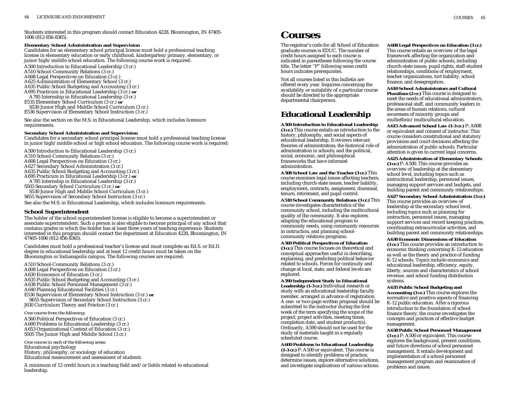Students interested in this program should contact Education 4228, Bloomington, IN 47405-<br>1006 (812-856-8365). **COUI**SES

### **Elementary School Administration and Supervision**

Candidates for an elementary school principal license must hold a professional teaching license in elementary education or early childhood, kindergarten/primary, elementary, or junior high/middle school education. The following course work is required:

A500 Introduction to Educational Leadership (3 cr.) A510 School-Community Relations (3 cr.) A608 Legal Perspectives on Education (3 cr.) A625 Administration of Elementary School (3 cr.) A635 Public School Budgeting and Accounting (3 cr.) A695 Practicum in Educational Leadership (3 cr.) **or** A785 Internship in Educational Leadership (3 cr.) E535 Elementary School Curriculum (3 cr.) **or** 

S530 Junior High and Middle School Curriculum (3 cr.) E536 Supervision of Elementary School Instruction (3 cr.)

See also the section on the M.S. in Educational Leadership, which includes licensure requirements.

#### **Secondary School Administration and Supervision**

Candidates for a secondary school principal license must hold a professional teaching license in junior high/middle school or high school education. The following course work is required:

A500 Introduction to Educational Leadership (3 cr.)

A510 School-Community Relations (3 cr.)

A608 Legal Perspectives on Education (3 cr.)

A627 Secondary School Administration (3 cr.)

A635 Public School Budgeting and Accounting (3 cr.)

A695 Practicum in Educational Leadership (3 cr.) **or**

A785 Internship in Educational Leadership (3 cr.)

S503 Secondary School Curriculum (3 cr.) **or** 

S530 Junior High and Middle School Curriculum (3 cr.) S655 Supervision of Secondary School Instruction (3 cr.)

See also the M.S. in Educational Leadership, which includes licensure requirements.

### **School Superintendent**

The holder of the school superintendent license is eligible to become a superintendent or associate superintendent. Such a person is also eligible to become principal of any school that contains grades in which the holder has at least three years of teaching experience. Students interested in this program should contact the department at Education 4228, Bloomington, IN 47405-1006 (812-856-8365).

Candidates must hold a professional teacher's license and must complete an Ed.S. or Ed.D. degree in educational leadership and at least 12 credit hours must be taken on the Bloomington or Indianapolis campus. The following courses are required:

A510 School-Community Relations (3 cr.) A608 Legal Perspectives on Education (3 cr.) A630 Economics of Education (3 cr.) A635 Public School Budgeting and Accounting (3 cr.) A638 Public School Personnel Management (3 cr.) A640 Planning Educational Facilities (3 cr.) E536 Supervision of Elementary School Instruction (3 cr.) **or** S655 Supervision of Secondary School Instruction (3 cr.)

J630 Curriculum Theory and Practice (3 cr.)

#### *One course from the following:*

A560 Political Perspectives of Education (3 cr.) A600 Problems in Educational Leadership (3 cr.) A653 Organizational Context of Education (3 cr.) S505 The Junior High and Middle School (3 cr.)

*One course in each of the following areas:* Educational psychology History, philosophy, or sociology of education Educational measurement and assessment of students

A minimum of 12 credit hours in a teaching field and/or fields related to educational leadership.

The registrar's code for all School of Education graduate courses is EDUC. The number of credit hours assigned to each course is indicated in parentheses following the course title. The letter "P" following some credit hours indicates prerequisites.

Not all courses listed in this bulletin are offered every year. Inquiries concerning the availability or suitability of a particular course should be directed to the appropriate departmental chairperson.

# **Educational Leadership**

### **A500 Introduction to Educational Leadership**

**(3 cr.)** This course entails an introduction to the history, philosophy, and social aspects of educational leadership. It reviews relevant theories of administration; the historical role of administration in schools; and the political, social, economic, and philosophical frameworks that have informed administration.

**A508 School Law and the Teacher (3 cr.)** This course examines legal issues affecting teachers, including church-state issues, teacher liability, employment, contracts, assignment, dismissal, tenure, retirement, and pupil control.

**A510 School Community Relations (3 cr.)** This course investigates characteristics of the community school, including the multicultural quality of the community. It also explores adapting the educational program to community needs, using community resources in instruction, and planning schoolcommunity relations programs.

**A560 Political Perspectives of Education (3 cr.)** This course focuses on theoretical and conceptual approaches useful in describing, explaining, and predicting political behavior related to schools. Forces for continuity and change at local, state, and federal levels are explored.

**A590 Independent Study in Educational Leadership (1-3 cr.)** Individual research or study with an educational leadership faculty member, arranged in advance of registration. A one- or two-page written proposal should be submitted to the instructor during the first week of the term specifying the scope of the project, project activities, meeting times, completion date, and student product(s). Ordinarily, A590 should not be used for the study of materials taught in a regularly scheduled course.

**A600 Problems in Educational Leadership (1-3 cr.)** P: A500 or equivalent. This course is designed to identify problems of practice, determine issues, explore alternative solutions, and investigate implications of various actions.

### **A608 Legal Perspectives on Education (3 cr.)**

This course entails an overview of the legal framework affecting the organization and administration of public schools, including church-state issues, pupil rights, staff-student relationships, conditions of employment, teacher organizations, tort liability, school finance, and desegregation.

**A610 School Administrators and Cultural Pluralism (2 cr.)** This course is designed to meet the needs of educational administrators, professional staff, and community leaders in the areas of human relations, cultural awareness of minority groups and multiethnic/multicultural education.

**A615 Advanced School Law (1-3 cr.)** P: A608 or equivalent and consent of instructor. This course considers constitutional and statutory provisions and court decisions affecting the administration of public schools. Particular attention is given to current legal concerns.

**A625 Administration of Elementary Schools (3 cr.)** P: A500. This course provides an overview of leadership at the elementary school level, including topics such as instructional leadership, personnel issues, managing support services and budgets, and building parent and community relationships.

**A627 Secondary School Administration (3 cr.)** This course provides an overview of leadership at the secondary school level, including topics such as planning for instruction, personnel issues, managing support services and record keeping practices, coordinating extracurricular activities, and building parent and community relationships.

**A630 Economic Dimensions of Education (3 cr.)** This course provides an introduction to economic thinking concerning K-12 education as well as the theory and practice of funding K-12 schools. Topics include economics and educational leadership, efficiency, equity, liberty, sources and characteristics of school revenue, and school funding distribution systems.

**A635 Public School Budgeting and Accounting (3 cr.)** This course explores the normative and positive aspects of financing K-12 public education. After a rigorous introduction to the foundation of school finance theory, the course investigates the concepts and practices of effective budget management.

**A638 Public School Personnel Management**

**(3 cr.)** P: A500 or equivalent. This course explores the background, present conditions, and future directions of school personnel management. It entails development and implementation of a school personnel management program and examination of problems and issues.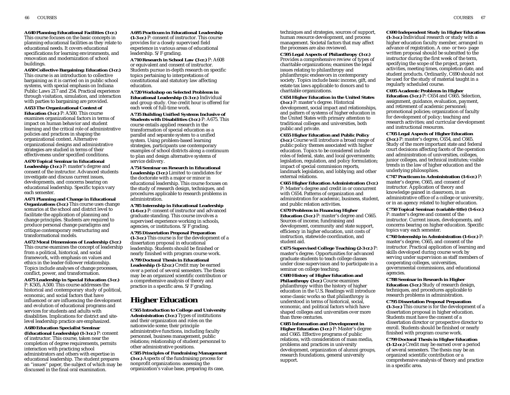**A640 Planning Educational Facilities (3 cr.)** This course focuses on the basic concepts in planning educational facilities as they relate to educational needs. It covers educational specifications for learning environments, and renovation and modernization of school buildings.

**A650 Collective Bargaining: Education (3 cr.)** This course is an introduction to collective bargaining as it is carried on in public school systems, with special emphasis on Indiana Public Laws 217 and 254. Practical experience through visitation, simulation, and interaction with parties to bargaining are provided.

**A653 The Organizational Context of**

**Education (3 cr.)** P: A500. This course examines organizational factors in terms of impact on human behavior and student learning and the critical role of administrative policies and practices in shaping the organizational context. Alternative organizational designs and administrative strategies are studied in terms of their effectiveness under specified conditions.

**A670 Topical Seminar in Educational Leadership (3 cr.)** P: master's degree and consent of the instructor. Advanced students investigate and discuss current issues, developments, and concerns bearing on educational leadership. Specific topics vary each semester.

**A671 Planning and Change in Educational Organizations (3 cr.)** This course uses change scenarios at the school and district level to facilitate the application of planning and change principles. Students are required to produce personal change paradigms and critique contemporary restructuring and transformational models.

**A672 Moral Dimensions of Leadership (3 cr.)** This course examines the concept of leadership from a political, historical, and social framework, with emphasis on values and ethics in the leader-follower relationship. Topics include analyses of change processes, conflict, power, and transformation.

**A675 Leadership in Special Education (3 cr.)** P: K505, A500. This course addresses the historical and contemporary study of political, economic, and social factors that have influenced or are influencing the development and evolution of educational programs and services for students and adults with disabilities. Implications for district and sitelevel leadership practice are emphasized.

**A680 Education Specialist Seminar (Educational Leadership) (1-3 cr.)** P: consent of instructor. This course, taken near the completion of degree requirements, permits interaction with practicing school administrators and others with expertise in educational leadership. The student prepares an "issues" paper, the subject of which may be discussed in the final oral examination.

**A695 Practicum in Educational Leadership (1-3 cr.)** P: consent of instructor. This course provides for a closely supervised field experience in various areas of educational leadership. S/F grading.

**A710 Research in School Law (3 cr.)** P: A608 or equivalent and consent of instructor. Students pursue in-depth research on specific topics pertaining to interpretations of constitutional and statutory law affecting education.

**A720 Workshop on Selected Problems in Educational Leadership (1-3 cr.)** Individual and group study. One credit hour is offered for each week of full-time work.

**A735 Building Unified Systems Inclusive of Students with Disabilities (3 cr.)** P: A675. This course entails applied research in the transformation of special education as a parallel and separate system to a unified system. Using problem-based learning strategies, participants use contemporary examples of school districts along a continuum to plan and design alternative systems of service delivery.

**A754 Seminar on Research in Educational Leadership (3 cr.)** Limited to candidates for the doctorate with a major or minor in educational leadership. This course focuses on the study of research design, techniques, and procedures applicable to research problems in administration.

**A785 Internship in Educational Leadership (1-6 cr.)** P: consent of instructor and advanced graduate standing. This course involves a supervised experience working in schools, agencies, or institutions. S/F grading.

**A795 Dissertation Proposal Preparation (1-3 cr.)** This course is for the development of a dissertation proposal in educational leadership. Students should be finished or nearly finished with program course work.

**A799 Doctoral Thesis in Educational Leadership (1-12 cr.)** Credit may be earned over a period of several semesters. The thesis may be an organized scientific contribution or a comprehensive analysis of theory and practice in a specific area. S/F grading.

# **Higher Education**

**C565 Introduction to College and University Administration (3 cr.)** Types of institutions and their organization and roles on the nationwide scene; their principle administrative functions, including faculty personnel, business management, public relations; relationship of student personnel to other administrative positions.

**C585 Principles of Fundraising Management (3 cr.)** Aspects of the fundraising process for nonprofit organizations: assessing the organization's value base, preparing its case,

techniques and strategies, sources of support, human resource development, and process management. Societal factors that may affect the processes are also reviewed.

**C595 Legal Aspects of Philanthropy (3 cr.)** Provides a comprehensive review of types of charitable organizations; examines the legal issues relating to philanthropy and philanthropic endeavors in contemporary society. Topics include basic income, gift, and estate tax laws applicable to donors and to charitable organizations.

**C654 Higher Education in the United States (3 cr.)** P: master's degree. Historical development, social impact and relationships, and pattern of systems of higher education in the United States with primary attention to traditional colleges and universities, both public and private.

**C655 Higher Education and Public Policy (3 cr.)** Course will introduce a broad range of public policy themes associated with higher education. Topics to be considered include roles of federal, state, and local governments; legislation, regulation, and policy formulation; impact of special commission reports, landmark legislation, and lobbying; and other external relations.

**C665 Higher Education Administration (3 cr.)** P: Master's degree and credit in or concurrent with C654. Patterns of organization and administration for academic, business, student, and public relation activities.

**C670 Problems in Financing Higher Education (3 cr.)** P: master's degree and C665. Sources of income, fundraising and development, community and state support, efficiency in higher education, unit costs of instruction, statewide coordination, and student aid.

**C675 Supervised College Teaching (2-3 cr.)** P: master's degree. Opportunities for advanced graduate students to teach college classes under close supervision and to participate in a seminar on college teaching.

**C680 History of Higher Education and Philanthropy (3 cr.)** Course examines philanthropy within the history of higher education in the U.S. Readings will introduce some classic works so that philanthropy is understood in terms of historical, social, economic, and political factors which have shaped colleges and universities over more than three centuries.

**C685 Information and Development in Higher Education (3 cr.)** P: Master's degree and C665. Effective programs of public relations, with consideration of mass media, problems and practices in university development, organization of alumni groups, research foundations, general university support.

### **C690 Independent Study in Higher Education**

**(1-3 cr.)** Individual research or study with a higher education faculty member, arranged in advance of registration. A one- or two- page written proposal should be submitted to the instructor during the first week of the term, specifying the scope of the project, project activities, meeting times, completion date, and student products. Ordinarily, C690 should not be used for the study of material taught in a regularly scheduled course.

**C695 Academic Problems in Higher Education (3 cr.)** P: C654 and C665. Selection, assignment, guidance, evaluation, payment, and retirement of academic personnel; promotional policies; organization of faculty for development of policy; teaching and research activities; and curricular development and instructional resources.

**C705 Legal Aspects of Higher Education**

**(3 cr.)** P: master's degree, C654, and C665. Study of the more important state and federal court decisions affecting facets of the operation and administration of universities, colleges, junior colleges, and technical institutes; visible trends in the law of higher education and the underlying philosophies.

**C747 Practicum in Administration (1-6 cr.)** P: master's degree, C665, and consent of instructor. Application of theory and knowledge gained in classroom, in an administrative office of a college or university, or in an agency related to higher education.

**C750 Topical Seminar: (variable title) (1-6 cr.)** P: master's degree and consent of the instructor. Current issues, developments, and concerns bearing on higher education. Specific topics vary each semester.

**C760 Internship in Administration (1-6 cr.)** P: master's degree, C665, and consent of the instructor. Practical application of learning and skills developed during course work by serving under supervision as staff members of cooperating colleges, universities, governmental commissions, and educational agencies.

**C788 Seminar in Research in Higher Education (3 cr.)** Study of research design, techniques, and procedures applicable to research problems in administration.

**C795 Dissertation Proposal Preparation (1-3 cr.)** This course is for the development of a dissertation proposal in higher education. Students must have the consent of a dissertation director or prospective director to enroll. Students should be finished or nearly finished with program course work.

**C799 Doctoral Thesis in Higher Education (1-12 cr.)** Credit may be earned over a period of several semesters. The thesis may be an organized scientific contribution or a comprehensive analysis of theory and practice in a specific area.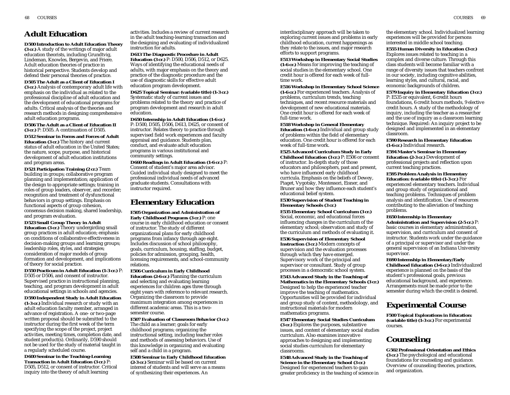# **Adult Education**

**D500 Introduction to Adult Education Theory (3 cr.)** A study of the writings of major adult education theorists, including Grundtvig, Lindeman, Knowles, Bergevin, and Friere. Adult education theories of practice in historical perspective. Students develop and defend their personal theories of practice.

# **D505 The Adult as a Client of Education I**

**(3 cr.)** Analysis of contemporary adult life with emphasis on the individual as related to the professional discipline of adult education and the development of educational programs for adults. Critical analysis of the theories and research methods in designing comprehensive adult education programs.

**D506 The Adult as a Client of Education II (3 cr.)** P: D505. A continuation of D505.

**D512 Seminar in Forms and Forces of Adult Education (3 cr.)** The history and current status of adult education in the United States; the nature, scope, purpose, and historical development of adult education institutions and program areas.

**D521 Participation Training (2 cr.)** Team building in groups; collaborative program planning and implementation; application of the design to appropriate settings; training in roles of group leaders, observer, and recorder; recognition and treatment of dysfunctional behaviors in group settings. Emphasis on functional aspects of group cohesion, consensus decision making, shared leadership, and program evaluation.

### **D523 Small Group Theory in Adult**

**Education (3 cr.)** Theory undergirding small group practices in adult education; emphasis on conditions of collaborative effectiveness in decision-making groups and learning groups; leadership roles, styles, and strategies; consideration of major models of group formation and development, and implications of theory for social practice.

**D550 Practicum in Adult Education (1-3 cr.)** P: D505 or D506, and consent of instructor. Supervised practice in instructional planning, teaching, and program development in adult educational settings in schools and agencies.

**D590 Independent Study in Adult Education (1-3 cr.)** Individual research or study with an adult education faculty member, arranged in advance of registration. A one- or two-page written proposal should be submitted to the instructor during the first week of the term specifying the scope of the project, project activities, meeting times, completion date, and student product(s). Ordinarily, D590 should not be used for the study of material taught in a regularly scheduled course.

**D600 Seminar in the Teaching-Learning Transaction in Adult Education (3 cr.)** P: D505, D512, or consent of instructor. Critical inquiry into the theory of adult learning

activities. Includes a review of current research in the adult teaching-learning transaction and the designing and evaluating of individualized instruction for adults.

**D613 The Diagnostic Procedure in Adult Education (3 cr.)** P: D500, D506, D512, or D625. Ways of identifying the educational needs of adults, with major emphasis on the theory and practice of the diagnostic procedure and the use of diagnostic skills for effective adult education program development.

**D625 Topical Seminar: (variable title) (1-3 cr.)** Systematic study of current issues and problems related to the theory and practice of program development and research in adult education.

**D650 Internship in Adult Education (1-6 cr.)** P: D500, D505, D506, D613, D625, or consent of instructor. Relates theory to practice through supervised field work experiences and faculty appraisal and guidance. Students plan, conduct, and evaluate adult education programs in various institutional and community settings.

**D660 Readings in Adult Education (1-6 cr.)** P: Consent of student's major area advisor. Guided individual study designed to meet the professional individual needs of advanced graduate students. Consultations with instructor required.

# **Elementary Education**

**E505 Organization and Administration of Early Childhood Programs (3 cr.)** P: one course in early childhood education or consent of instructor. The study of different organizational plans for early childhood programs from infancy through age eight. Includes discussion of school philosophy, goals, curriculum, housing, staffing, budget, policies for admission, grouping, health, licensing requirements, and school-community relations.

**E506 Curriculum in Early Childhood Education (2-6 cr.)** Planning the curriculum and selecting and evaluating learning experiences for children ages three through eight years with reference to relevant research. Organizing the classroom to provide maximum integration among experiences in different academic areas. This is a twosemester course.

**E507 Evaluation of Classroom Behavior (3 cr.)**

The child as a learner; goals for early childhood programs; organizing the instructional setting, including teacher roles and methods of assessing behaviors. Use of this knowledge in organizing and evaluating self and a child in a program.

**E508 Seminar in Early Childhood Education (2-3 cr.)** Seminar will be based on current interest of students and will serve as a means of synthesizing their experiences. An

interdisciplinary approach will be taken to exploring current issues and problems in early childhood education, current happenings as they relate to the issues, and major research efforts to support programs.

### **E513 Workshop in Elementary Social Studies**

**(1-6 cr.)** Means for improving the teaching of social studies in the elementary school. One credit hour is offered for each week of fulltime work.

**E516 Workshop in Elementary School Science (1-6 cr.)** For experienced teachers. Analysis of problems, curriculum trends, teaching techniques, and recent resource materials and development of new educational materials. One credit hour is offered for each week of full-time work.

**E518 Workshop in General Elementary Education (1-6 cr.)** Individual and group study of problems within the field of elementary education. One credit hour is offered for each week of full-time work.

**E525 Advanced Curriculum Study in Early Childhood Education (3 cr.)** P: E506 or consent of instructor. In-depth study of those educators and philosophers, past and present, who have influenced early childhood curricula. Emphasis on the beliefs of Dewey, Piaget, Vygotsky, Montessori, Eisner, and Bruner and how they influence each student's educational belief system.

#### **E530 Supervision of Student Teaching in Elementary Schools (3 cr.)**

**E535 Elementary School Curriculum (3 cr.)** Social, economic, and educational forces influencing changes in the curriculum of the elementary school; observation and study of the curriculum and methods of evaluating it.

**E536 Supervision of Elementary School Instruction (3 cr.)** Modern concepts of supervision and the evaluation processes through which they have emerged. Supervisory work of the principal and supervisor or consultant. Study of group processes in a democratic school system.

**E543 Advanced Study in the Teaching of Mathematics in the Elementary Schools (3 cr.)** Designed to help the experienced teacher improve the teaching of mathematics. Opportunities will be provided for individual and group study of content, methodology, and instructional materials for modern mathematics programs.

**E547 Elementary Social Studies Curriculum (3 cr.)** Explores the purposes, substantive issues, and content of elementary social studies curriculum. Also examines innovative approaches to designing and implementing social studies curriculum for elementary classrooms.

**E548 Advanced Study in the Teaching of Science in the Elementary School (3 cr.)** Designed for experienced teachers to gain greater proficiency in the teaching of science in the elementary school. Individualized learning experiences will be provided for persons interested in middle school teaching.

**E555 Human Diversity in Education (3 cr.)** Explores issues related to teaching in a complex and diverse culture. Through this class students will become familiar with a range of diversity issues that teachers confront in our society, including cognitive abilities, learning styles, and cultural, racial, and economic backgrounds of children.

**E579 Inquiry in Elementary Education (3 cr.)** P: E535 or equivalent, 6 credit hours

foundations, 6 credit hours methods, 9 elective credit hours. A study of the methodology of inquiry, including the teacher as a researcher and the use of inquiry as a classroom learning technique. Required: An inquiry project to be designed and implemented in an elementary classroom.

**E590 Research in Elementary Education (1-6 cr.)** Individual research.

**E594 Master's Seminar in Elementary Education (2-3 cr.)** Development of professional projects and reflection upon current teaching practices.

**E595 Problem Analysis in Elementary Education: (variable title) (1-3 cr.)** For experienced elementary teachers. Individual and group study of organizational and teaching problems. Techniques of problem analysis and identification. Use of resources contributing to the alleviation of teaching problems.

#### **E650 Internship in Elementary**

**Administration and Supervision (2-5 cr.)** P: basic courses in elementary administration, supervision, and curriculum and consent of instructor. Students work under the guidance of a principal or supervisor and under the general supervision of an Indiana University supervisor.

**E690 Internship in Elementary/Early Childhood Education (3-6 cr.)** Individualized experience is planned on the basis of the student's professional goals, previous educational background, and experience. Arrangements must be made prior to the semester during which the credit is desired.

# **Experimental Course**

**F500 Topical Explorations in Education: (variable title) (1-3 cr.)** For experimental courses.

# **Counseling**

**G502 Professional Orientation and Ethics (3 cr.)** The psychological and educational foundations for counseling and guidance. Overview of counseling theories, practices, and organization.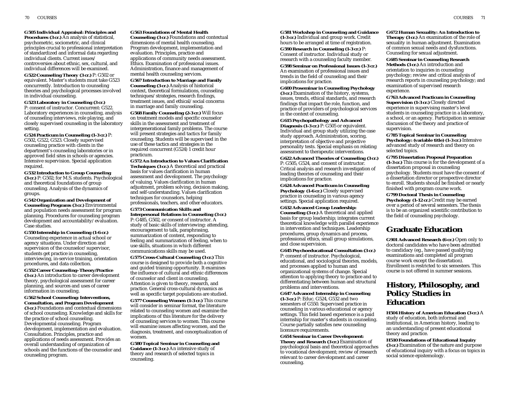**G505 Individual Appraisal: Principles and Procedures (3 cr.)** An analysis of statistical, psychometric, sociometric, and clinical principles crucial to professional interpretation of standardized and informal data regarding individual clients. Current issues/ controversies about ethnic, sex, cultural, and individual differences will be examined.

**G522 Counseling Theory (3 cr.)** P: G502 or equivalent. Master's students must take G523 concurrently. Introduction to counseling theories and psychological processes involved in individual counseling.

**G523 Laboratory in Counseling (3 cr.)** P: consent of instructor. Concurrent: G522. Laboratory experiences in counseling, analysis of counseling interviews, role playing, and closely supervised counseling in the laboratory setting.

**G524 Practicum in Counseling (1-3 cr.)** P: G502, G522, G523. Closely supervised counseling practice with clients in the department's counseling laboratories or in approved field sites in schools or agencies. Intensive supervision. Special application required.

**G532 Introduction to Group Counseling (3 cr.)** P: G502; for M.S. students. Psychological and theoretical foundations of group counseling. Analysis of the dynamics of groups.

**G542 Organization and Development of Counseling Programs (3 cr.)** Environmental and population needs assessment for program planning. Procedures for counseling program development and accountability/evaluation. Case studies.

**G550 Internship in Counseling (1-6 cr.)** Counseling experience in actual school or agency situations. Under direction and supervision of the counselor/supervisor, students get practice in counseling, interviewing, in-service training, orientation procedures, and data collection.

**G552 Career Counseling–Theory/Practice (3 cr.)** An introduction to career development theory, psychological assessment for career planning, and sources and uses of career information in counseling.

**G562 School Counseling: Interventions, Consultation, and Program Development (3 cr.)** Foundations and contextual dimensions of school counseling. Knowledge and skills for the practice of school counseling. Developmental counseling. Program development, implementation and evaluation. Consultation. Principles, practice and applications of needs assessment. Provides an overall understanding of organization of schools and the functions of the counselor and

counseling program.

**G563 Foundations of Mental Health Counseling (3 cr.)** Foundations and contextual dimensions of mental health counseling. Program development, implementation and evaluation. Principles, practice and applications of community needs assessment. Ethics. Examination of professional issues. Administration, finance and management of mental health counseling services.

**G567 Introduction to Marriage and Family Counseling (3 cr.)** Analysis of historical context, theoretical formulations, counseling techniques/strategies, research findings, treatment issues, and ethical/social concerns in marriage and family counseling.

**G568 Family Counseling (2-3 cr.)** Will focus on treatment models and specific counselor skills in the assessment and treatment of intergenerational family problems. The course will present strategies and tactics for family counseling. Students will be supervised in the use of these tactics and strategies in the required concurrent (G524) 1 credit hour practicum.

**G572 An Introduction to Values Clarification Techniques (3 cr.)** A theoretical and practical basis for values clarification in human assessment and development. The psychology of valuing. Values clarification in human adjustment, problem solving, decision making, and self-understanding. Values clarification techniques for counselors, helping professionals, teachers, and other educators.

**G573 Communication Skills and Interpersonal Relations in Counseling (3 cr.)** P: G485, G502, or consent of instructor. A study of basic skills of interviewing: attending, encouragement to talk, paraphrasing,

summarization of content, responding to feeling and summarization of feeling, when to use skills, situations in which different communications skills may be used.

**G575 Cross-Cultural Counseling (3 cr.)** This course is designed to provide both a cognitive and guided training opportunity. It examines the influence of cultural and ethnic differences of counselor and client in counseling. Attention is given to theory, research, and practice. General cross-cultural dynamics as well as specific target populations are studied. **G577 Counseling Women (1-3 cr.)** This course will consider in seminar format, the literature related to counseling women and examine the implications of this literature for the delivery of counseling services to women. This course will examine issues affecting women, and the diagnosis, treatment, and conceptualization of women.

**G580 Topical Seminar in Counseling and Guidance (1-3 cr.)** An intensive study of theory and research of selected topics in counseling.

**G581 Workshop in Counseling and Guidance (1-3 cr.)** Individual and group work. Credit hours to be arranged at time of registration. **G590 Research in Counseling (1-3 cr.)** P: Consent of instructor. Individual study or research with a counseling faculty member.

**G598 Seminar on Professional Issues (1-3 cr.)** An examination of professional issues and trends in the field of counseling and their implications for practice.

**G600 Proseminar in Counseling Psychology (3 cr.)** Examination of the history, systems, issues, trends, ethical standards, and research findings that impact the role, function, and practice of providers of psychological services in the context of counseling.

**G615 Psychopathology and Advanced Diagnosis (1-3 cr.)** P: G505 or equivalent. Individual and group study utilizing the case study approach. Administration, scoring, interpretation of objective and projective personality tests. Special emphasis on relating assessment to therapeutic interventions.

**G622 Advanced Theories of Counseling (3 cr.)** P: G505, G524, and consent of instructor. Critical analysis and research investigation of leading theories of counseling and their implications for practice.

**G624 Advanced Practicum in Counseling Psychology (1-6 cr.)** Closely supervised practice in counseling in various agency settings. Special application required.

**G632 Advanced Group Leadership: Counseling (3 cr.)** A theoretical and applied basis for group leadership; integrates current theoretical knowledge with parallel experience in intervention and techniques. Leadership procedures, group dynamics and process, professional ethics, small group simulations, and close supervision.

**G645 Psychoeducational Consultation (3 cr.)** P: consent of instructor. Psychological, educational, and sociological theories, models, and processes applied to human and organizational systems of change. Special attention to applying theory to practice and to differentiating between human and structural problems and interventions.

**G647 Advanced Internship in Counseling (1-3 cr.)** P: Educ. G524, G532 and two semesters of G550. Supervised practice in counseling in various educational or agency settings. This field based experience is a paid internship for master's students in counseling. Course partially satisfies new counseling licensure requirements.

**G654 Seminar in Career Development: Theory and Research (3 cr.)** Examination of psychological basis and theoretical approaches to vocational development; review of research relevant to career development and career counseling.

70 COURSES COURSES 71

**G672 Human Sexuality: An Introduction to Therapy (3 cr.)** An examination of the role of sexuality in human adjustment. Examination of common sexual needs and dysfunctions. Counseling for sexual adjustment.

**G685 Seminar in Counseling Research Methods (3 cr.)** An introduction and orientation to inquiries in counseling psychology; review and critical analysis of research reports in counseling psychology; and examination of supervised research experience.

**G763 Advanced Practicum in Counseling Supervision (1-3 cr.)** Closely directed experience in supervising master's level students in counseling practice in a laboratory, a school, or an agency. Participation in seminar discussion of the theory and practice of supervision.

**G785 Topical Seminar in Counseling Psychology: (variable title) (1-3 cr.)** Intensive advanced study of research and theory on selected topics.

**G795 Dissertation Proposal Preparation (1-3 cr.)** This course is for the development of a dissertation proposal in counseling psychology. Students must have the consent of a dissertation director or prospective director to enroll. Students should be finished or nearly finished with program course work.

**G799 Doctoral Thesis in Counseling Psychology (1-12 cr.)** Credit may be earned over a period of several semesters. The thesis is to be an organized scientific contribution to the field of counseling psychology.

# **Graduate Education**

**G901 Advanced Research (6 cr.)** Open only to doctoral candidates who have been admitted to candidacy (eg., have passed qualifying examinations and completed all program course work except the dissertation). Enrollment is restricted to six semesters. This course is not offered in summer sessions.

# **History, Philosophy, and Policy Studies in Education**

**H504 History of American Education (3 cr.)** A study of education, both informal and institutional, in American history, leading to an understanding of present educational theory and practice.

**H510 Foundations of Educational Inquiry (3 cr.)** Examination of the nature and purpose of educational inquiry with a focus on topics in social science epistemology.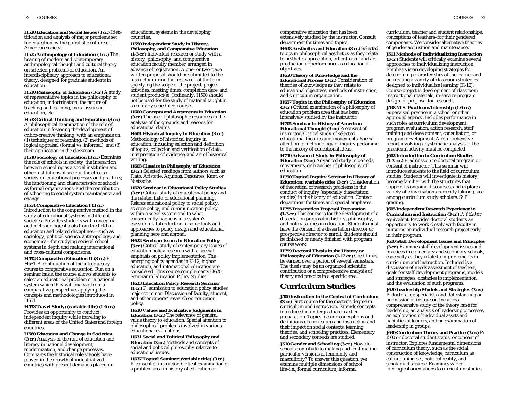**H520 Education and Social Issues (3 cr.)** Identification and analysis of major problems set for education by the pluralistic culture of American society.

**H525 Anthropology of Education (3 cr.)** The bearing of modern and contemporary anthropological thought and cultural theory on selected problems of education. An interdisciplinary approach to educational theory; designed for graduate students in education.

**H530 Philosophy of Education (3 cr.)** A study of representative topics in the philosophy of education, indoctrination, the nature of teaching and learning, moral issues in education, etc.

**H538 Critical Thinking and Education (3 cr.)** A philosophical examination of the role of education in fostering the development of critico-creative thinking, with an emphasis on: (1) techniques of reasoning, (2) methods of logical appraisal (formal vs. informal), and (3) their application in the classroom.

**H540 Sociology of Education (3 cr.)** Examines the role of schools in society; the interaction between schooling as a social institution and other institutions of society; the effects of society on educational processes and practices; the functioning and characteristics of schools as formal organizations; and the contribution of schooling to social system maintenance and change.

**H551 Comparative Education I (3 cr.)** Introduction to the comparative method in the study of educational systems in different societies. Provides students with conceptual and methodological tools from the field of education and related disciplines—such as sociology, political science, anthropology, and economics—for studying societal school systems in depth and making international and cross-cultural comparisons.

**H552 Comparative Education II (3 cr.)** P: H551. A continuation of the introductory course to comparative education. Run on a seminar basis, the course allows students to select an educational problem or a national system which they will analyze from a comparative perspective, applying the concepts and methodologies introduced in H551.

**H553 Travel Study: (variable title) (1-6 cr.)** Provides an opportunity to conduct independent inquiry while traveling to different areas of the United States and foreign countries.

**H560 Education and Change in Societies (3 cr.)** Analysis of the role of education and literacy in national development, modernization, and change processes. Compares the historical role schools have played in the growth of industrialized countries with present demands placed on

educational systems in the developing countries.

**H590 Independent Study in History, Philosophy, and Comparative Education (1-3 cr.)** Individual research or study with a history, philosophy, and comparative education faculty member, arranged in advance of registration. A one- or two-page written proposal should be submitted to the instructor during the first week of the term specifying the scope of the project, project activities, meeting times, completion date, and student product $(\overline{s})$ . Ordinarily, H590 should not be used for the study of material taught in a regularly scheduled course.

**H600 Concepts and Arguments in Education (3 cr.)** The use of philosophic resources in the analysis of the grounds and reasons for educational claims.

**H601 Historical Inquiry in Education (3 cr.)** Methodology of historical inquiry in education, including selection and definition of topics, collection and verification of data, interpretation of evidence, and art of historical writing.

**H603 Classics in Philosophy of Education (3 cr.)** Selected readings from authors such as Plato, Aristotle, Aquinas, Descartes, Kant, or Nietzsche.

**H620 Seminar in Educational Policy Studies (3 cr.)** Critical study of educational policy and the related field of educational planning. Relates educational policy to social policy, science policy, and communication policy within a social system and to what consequently happens in a system's classrooms. Introduction to some tools and approaches to policy design and educational planning here and abroad.

**H622 Seminar: Issues in Education Policy (3 cr.)** Critical study of contemporary issues of education policy research with a special emphasis on policy implementation. The emerging policy agendas in K-12, higher education, and international education are considered. This course complements H620 Seminar in Education Policy Studies.

**H623 Education Policy Research Seminar (1 cr.)** P: admission to education policy studies major or minor. Discussion of faculty, student, and other experts' research on education policy.

**H630 Values and Evaluative Judgments in Education (3 cr.)** The relevance of general value theory to education. Special attention to philosophical problems involved in various educational evaluations.

**H631 Social and Political Philosophy and Education (3 cr.)** Methods and concepts of social and political philosophy relative to educational issues.

**H637 Topical Seminar: (variable title) (3 cr.)** P: consent of instructor. Critical examination of a problem area in history of education or

comparative education that has been extensively studied by the instructor. Consult department for times and topics.

**H638 Aesthetics and Education (3 cr.)** Selected topics in philosophical aesthetics as they relate to aesthetic appreciation, art criticism, and art production or performance as educational objectives.

**H650 Theory of Knowledge and the Educational Process (3 cr.)** Consideration of

theories of knowledge as they relate to educational objectives, methods of instruction, and curriculum organization.

**H657 Topics in the Philosophy of Education (3 cr.)** Critical examination of a philosophy of education problem area that has been intensively studied by the instructor.

**H705 Seminar in History of American Educational Thought (3 cr.)** P: consent of instructor. Critical study of selected educational theories and movements. Special attention to methodology of inquiry pertaining to the history of educational ideas.

**H710 Advanced Study in Philosophy of Education (3 cr.)** Advanced study in periods, movements, or branches of philosophy of education.

**H750 Topical Inquiry Seminar in History of Education: (variable title) (3 cr.)** Consideration of theoretical or research problems in the conduct of inquiry (especially dissertation studies) in the history of education. Contact department for times and special emphases.

**H795 Dissertation Proposal Preparation (1-3 cr.)** This course is for the development of a dissertation proposal in history, philosophy, and policy studies in education. Students must have the consent of a dissertation director or prospective director to enroll. Students should be finished or nearly finished with program course work.

**H799 Doctoral Thesis in the History or Philosophy of Education (1-12 cr.)** Credit may be earned over a period of several semesters. The thesis may be an organized scientific contribution or a comprehensive analysis of theory and practice in a specific area.

# **Curriculum Studies**

**J500 Instruction in the Context of Curriculum (3 cr.)** First course for the master's degree in curriculum and instruction. Extends concepts introduced in undergraduate teacher preparation. Topics include conceptions and definitions of curriculum and instruction and their impact on social contexts, learning theories, and schooling practices. Elementary and secondary contexts are studied.

**J510 Gender and Schooling (3 cr.)** How do schools contribute to making and legitimating particular versions of femininity and masculinity? To answer this question, we examine multiple dimensions of school life–i.e., formal curriculum, informal

curriculum, teacher and student relationships, conceptions of teachers–for their gendered components. We consider alternative theories of gender acquisition and maintenance.

**J511 Methods of Individualizing Instruction (3 cr.)** Students will critically examine several approaches to individualizing instruction. Emphasis is on developing strategies for determining characteristics of the learner and on creating a variety of classroom strategies designed to individualize learning (K-12). Course project is development of classroom instructional materials, in-service program design, or proposal for research.

**J538 M.S. Practicum/Internship (1-6 cr.)** Supervised practice in a school or other approved agency. Includes performance in such roles as curriculum development, program evaluation, action research, staff training and development, consultation, or program development. A comprehensive report involving a systematic analysis of the practicum activity must be completed.

**J602 Introduction to Curriculum Studies (1-3 cr.)** P: admission to doctoral program or consent of instructor. This seminar will introduce students to the field of curriculum studies. Students will investigate its history, become familiar with the structures that support its ongoing discourses, and explore a variety of conversations currently taking place among curriculum study scholars. S/F grading.

**J605 Independent Research Experience in Curriculum and Instruction (3 cr.)** P: Y520 or equivalent. Provides doctoral students an opportunity to work closely with faculty in pursuing an individual research project early in their program.

**J610 Staff Development Issues and Principles (3 cr.)** Examines staff development issues and practices in elementary and secondary schools, especially as they relate to improvements in curriculum and instruction. Included is a discussion of needs assessment of teachers, goals for staff development programs, models and strategies, obstacles to implementation, and the evaluation of such programs.

**J620 Leadership Models and Strategies (3 cr.)** P: doctoral or specialist candidate standing or permission of instructor. Includes a comprehensive study of the theory base for leadership, an analysis of leadership processes, an exploration of individual assets and liabilities of leaders, and an examination of leadership in groups.

**J630 Curriculum Theory and Practice (3 cr.)** P: J500 or doctoral student status, or consent of instructor. Explores fundamental dimensions of curriculum theory, such as the social construction of knowledge, curriculum as cultural mind set, political reality, and scholarly discourse. Examines varied ideological orientations to curriculum studies.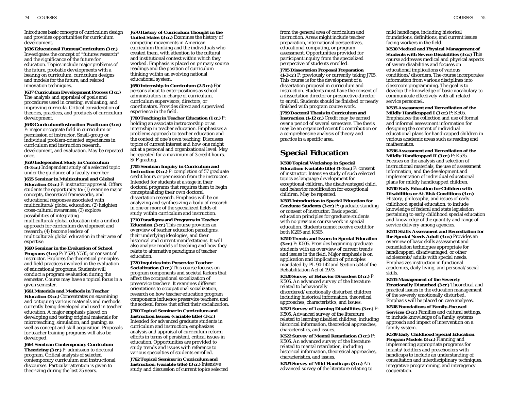Introduces basic concepts of curriculum design and provides opportunities for curriculum development.

**J636 Educational Futures/Curriculum (3 cr.)** Investigates the concept of "futures research" and the significance of the future for education. Topics include major problems of the future, probable developments with a bearing on curriculum, curriculum designs and models for the future, and related innovation techniques.

**J637 Curriculum Development Process (3 cr.)** The analysis and appraisal of goals and procedures used in creating, evaluating, and improving curricula. Critical consideration of theories, practices, and products of curriculum development.

**J638 Curriculum/Instruction Practicum (3 cr.)** P: major or cognate field in curriculum or permission of instructor. Small-group or individual problem-oriented experiences in curriculum and instruction research, development, and evaluation. May be repeated once.

**J650 Independent Study in Curriculum (1-3 cr.)** Independent study of a selected topic under the guidance of a faculty member.

**J655 Seminar in Multicultural and Global Education (3 cr.)** P: instructor approval. Offers students the opportunity to: (1) examine major concepts, theoretical frameworks, and educational responses associated with multicultural/global education; (2) heighten cross-cultural awareness; (3) explore possibilities of integrating multicultural/global education into a unified approach for curriculum development and research; (4) become leaders of multicultural/global education in their area of expertise.

**J660 Seminar in the Evaluation of School Programs (3 cr.)** P: Y520, Y535, or consent of instructor. Explores the theoretical principles and field practices involved in the evaluation of educational programs. Students will conduct a program evaluation during the semester. Course may have a topical focus in a given semester.

**J661 Materials and Methods in Teacher Education (3 cr.)** Concentrates on examining and critiquing various materials and methods currently being developed and used in teacher education. A major emphasis placed on developing and testing original materials for microteaching, simulation, and gaming, as well as concept and skill acquisition. Proposals for teacher training programs will also be developed.

**J664 Seminar: Contemporary Curriculum Theorizing (3 cr.)** P: admission to doctoral program. Critical analysis of selected contemporary curriculum and instructional discourses. Particular attention is given to theorizing during the last 25 years.

**J670 History of Curriculum Thought in the United States (3 cr.)** Examines the history of competing movements in American curriculum thinking and the individuals who created them, with attention to the cultural and institutional context within which they worked. Emphasis is placed on primary source readings and the position of curriculum thinking within an evolving national educational system.

**J690 Internship in Curriculum (2-5 cr.)** For persons about to enter positions as school administrators in charge of curriculum, curriculum supervisors, directors, or coordinators. Provides direct and supervised experience in the field.

**J700 Teaching in Teacher Education (1 cr.)** P: holding an associate instructorship or an internship in teacher education. Emphasizes a problems approach to teacher education and the context of one's own teaching. Discusses topics of current interest and how one might act at a personal and organizational level. May be repeated for a maximum of 3 credit hours. S/F grading.

**J705 Seminar: Inquiry in Curriculum and Instruction (3 cr.)** P: completion of 57 graduate credit hours or permission from the instructor. Intended for students at a stage in their doctoral programs that requires them to begin conceptualizing their own doctoral dissertation research. Emphasis will be on analyzing and synthesizing a body of research in one or more of the specialized fields of study within curriculum and instruction.

**J710 Paradigms and Programs in Teacher Education (3 cr.)** This course provides an overview of teacher education paradigms, their underlying ideologies, and their historical and current manifestations. It will also analyze models of teaching and how they relate to alternative paradigms of teacher education.

**J720 Inquiries into Preservice Teacher Socialization (3 cr.)** This course focuses on program components and societal factors that affect the occupational socialization of preservice teachers. It examines different orientations to occupational socialization, research on how teacher education program components influence preservice teachers, and the societal forces that affect their socialization.

**J760 Topical Seminar in Curriculum and Instruction Issues: (variable title) (3 cr.)** Intended for advanced graduate students in curriculum and instruction; emphasizes analysis and appraisal of curriculum reform efforts in terms of persistent, critical issues in education. Opportunities are provided to study trends and issues with reference to various specialties of students enrolled.

**J762 Topical Seminar in Curriculum and Instruction: (variable title) (3 cr.)** Intensive study and discussion of current topics selected

from the general area of curriculum and instruction. Areas might include teacher preparation, international perspectives, educational computing, or program assessment. Opportunities provided for participant inquiry from the specialized perspective of students enrolled.

**J795 Dissertation Proposal Preparation**

**(1-3 cr.)** P: previously or currently taking J705. This course is for the development of a dissertation proposal in curriculum and instruction. Students must have the consent of a dissertation director or prospective director to enroll. Students should be finished or nearly finished with program course work.

**J799 Doctoral Thesis in Curriculum and Instruction (1-12 cr.)** Credit may be earned over a period of several semesters. The thesis may be an organized scientific contribution or a comprehensive analysis of theory and practice in a specific area.

# **Special Education**

**K500 Topical Workshop in Special Education: (variable title) (1-3 cr.)** P: consent of instructor. Intensive study of such selected topics as language development for exceptional children, the disadvantaged child, and behavior modification for exceptional children. May be repeated.

**K505 Introduction to Special Education for Graduate Students (3 cr.)** P: graduate standing or consent of instructor. Basic special education principles for graduate students with no previous course work in special education. Students cannot receive credit for both K205 and K505.

**K510 Trends and Issues in Special Education (3 cr.)** P: K505. Provides beginning graduate students with an overview of current trends and issues in the field. Major emphasis is on application and implication of principles mandated by PL 94-142 and Section 504 of the Rehabilitation Act of 1973.

**K520 Survey of Behavior Disorders (3 cr.)** P: K505. An advanced survey of the literature related to behaviorally

disordered/emotionally disturbed children including historical information, theoretical approaches, characteristics, and issues.

**K521 Survey of Learning Disabilities (3 cr.)** P: K505. Advanced survey of the literature related to learning disabled children, including historical information, theoretical approaches, characteristics, and issues.

**K522 Survey of Mental Retardation (3 cr.)** P: K505. An advanced survey of the literature related to mental retardation, including historical information, theoretical approaches, characteristics, and issues.

**K525 Survey of Mild Handicaps (3 cr.)** An advanced survey of the literature relating to mild handicaps, including historical foundations, definitions, and current issues facing workers in the field.

**K530 Medical and Physical Management of Students with Severe Disabilities (3 cr.)** This course addresses medical and physical aspects of severe disabilities and focuses on educational implications of various conditions/disorders. The course incorporates information from various disciplines into classroom programming. The goal is to develop the knowledge of basic vocabulary to communicate effectively with all related service personnel.

**K535 Assessment and Remediation of the Mildly Handicapped I (3 cr.)** P: K505. Emphasizes the collection and use of formal and informal assessment information for designing the content of individual educational plans for handicapped children in various academic areas such as reading and mathematics.

**K536 Assessment and Remediation of the Mildly Handicapped II (3 cr.)** P: K535. Focuses on the analysis and selection of instructional materials, the use of assessment information, and the development and implementation of individual educational plans for mildly handicapped children.

**K540 Early Education for Children with Disabilities or At-Risk Conditions (3 cr.)** History, philosophy, and issues of early childhood special education, to include knowledge of federal and state legislation pertaining to early childhood special education and knowledge of the quantity and range of service delivery among agencies.

**K541 Skills Assessment and Remediation for the Special Needs Adult (3 cr.)** Provides an overview of basic skills assessment and remediation techniques appropriate for handicapped, disadvantaged, or other adolescents/adults with special needs. Emphasizes instruction in functional academics, daily living, and personal/social skills.

**K545 Management of the Severely Emotionally Disturbed (3 cr.)** Theoretical and practical issues in the education management of the severely emotionally disturbed. Emphasis will be placed on case analyses.

**K548 Foundations of Family-Focused Services (3 cr.)** Families and cultural settings, to include knowledge of a family systems approach and impact of intervention on a family system.

**K549 Early Childhood Special Education Program Models (3 cr.)** Planning and implementing appropriate programs for infants/toddlers and preschoolers with handicaps to include an understanding of consultation and interdisciplinary techniques, integrative programming, and interagency cooperation.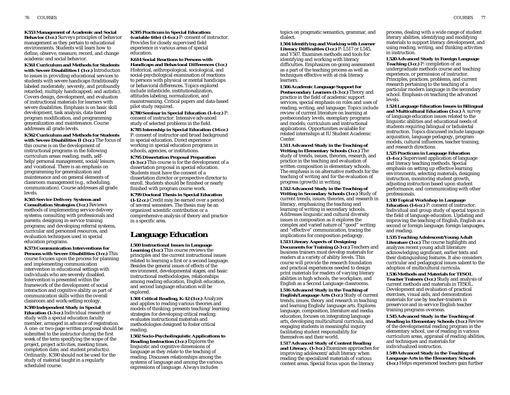**K553 Management of Academic and Social Behavior (3 cr.)** Surveys principles of behavior management as they pertain to educational environments. Students will learn how to define, observe, measure, record, and change academic and social behavior.

**K561 Curriculum and Methods for Students with Severe Disabilities I (3 cr.)** Introduction to issues in providing educational services to students with severe handicaps (traditionally labeled moderately, severely, and profoundly retarded; multiply handicapped; and autistic). Covers design, development, and evaluation of instructional materials for learners with severe disabilities. Emphasis is on basic skill development, task analysis, data-based program modification, and programming generalization and maintenance. Course addresses all grade levels.

**K562 Curriculum and Methods for Students with Severe Disabilities II (3 cr.)** The focus of this course is on the development of instructional programs in the following curriculum areas: reading, math, selfhelp/personal management, social/leisure, and vocational. There is an emphasis on programming for generalization and maintenance and on general elements of classroom management (e.g., scheduling, communication). Course addresses all grade levels.

**K565 Service Delivery Systems and Consultation Strategies (3 cr.)** Reviews methods of implementing service delivery systems; consulting with professionals and parents; designing in-service training programs; and developing referral systems, curricular and personnel resources, and evaluation techniques used in special education programs.

**K573 Communication Interventions for Persons with Severe Disabilities (3 cr.)** This course focuses upon the process for planning and implementing communication intervention in educational settings with individuals who are severely disabled. Intervention is presented within the framework of the development of social interaction and cognitive ability as part of communication skills within the overall classroom and work-setting ecology.

**K590 Independent Study in Special Education (1-3 cr.)** Individual research or study with a special education faculty member, arranged in advance of registration. A one- or two-page written proposal should be submitted to the instructor during the first week of the term specifying the scope of the project, project activities, meeting times, completion date, and student product(s). Ordinarily, K590 should not be used for the study of material taught in a regularly scheduled course.

**K595 Practicum in Special Education: (variable title) (1-6 cr.)** P: consent of instructor. Provides for closely supervised field experience in various areas of special education.

**K614 Social Reactions to Persons with Handicaps and Behavioral Differences (3 cr.)** Historical, anthropological, sociological, and social-psychological examination of reactions to persons with physical or mental handicaps or behavioral differences. Topics explored include infanticide, institutionalization, attitudes labeling, normalization, and mainstreaming. Critical papers and data-based pilot study required.

**K780 Seminar in Special Education (1-4 cr.)** P: consent of instructor. Intensive advanced study of selected problems in the field.

**K785 Internship in Special Education (3-6 cr.)** P: consent of instructor and broad background in special education. Direct experience working in special education programs in schools, agencies, or institutions.

**K795 Dissertation Proposal Preparation (1-3 cr.)** This course is for the development of a dissertation proposal in special education. Students must have the consent of a dissertation director or prospective director to enroll. Students should be finished or nearly finished with program course work.

**K799 Doctoral Thesis in Special Education (1-12 cr.)** Credit may be earned over a period of several semesters. The thesis may be an organized scientific contribution or a comprehensive analysis of theory and practice in a specific area.

# **Language Education**

**L500 Instructional Issues in Language Learning (3 cr.)** This course reviews the principles and the current instructional issues related to learning a first or a second language. Besides the general issues of effects of the environment, developmental stages, and basic instructional methodologies, relationships among reading education, English education, and second language education will be explored.

**L501 Critical Reading, K-12 (3 cr.)** Analyzes and applies to reading various theories and models of thinking; presents teaching/learning strategies for developing critical reading; evaluates instructional materials and methodologies designed to foster critical reading.

**L502 Socio-Psycholinguistic Applications to Reading Instruction (3 cr.)** Explores the linguistic and cognitive dimensions of language as they relate to the teaching of reading. Discusses relationships among the systems of language and among the various expressions of language. Always includes

topics on pragmatic semantics, grammar, and dialect.

**L504 Identifying and Working with Learner Literacy Difficulties (3 cr.)** P: L517 or L545, and Y507. Examines methods and tools for identifying and working with literacy difficulties. Emphasizes on-going assessment as a part of the teaching process as well as techniques effective with at-risk literacy learners.

**L506 Academic Language Support for Postsecondary Learners (1-3 cr.)** Theory and practice in the field of academic support services, special emphasis on roles and uses of reading, writing, and language. Topics include review of current literature on learning at postsecondary levels, exemplary programs and models; curriculum and instructional applications. Opportunities available for related internships at IU Student Academic Center.

**L511 Advanced Study in the Teaching of Writing in Elementary Schools (3 cr.)** The study of trends, issues, theories, research, and practice in the teaching and evaluation of written composition in elementary schools. The emphasis is on alternative methods for the teaching of writing and for the evaluation of progress (growth) in writing.

**L512 Advanced Study in the Teaching of Writing in Secondary Schools (3 cr.)** Study of current trends, issues, theories, and research in literacy, emphasizing the teaching and learning of writing in secondary schools. Addresses linguistic and cultural diversity issues in composition as it explores the complex and varied nature of "good" writing and "effective" communication, tracing the implications for composition pedagogy.

**L513 Literary Aspects of Designing Documents for Training (2-3 cr.)** Teachers and business trainers must develop materials for readers at a variety of ability levels. This course will provide the research foundation and practical experiences needed to design print materials for readers of varying literary abilities in high schools, the workplace, and English as a Second Language classrooms.

**L516 Advanced Study in the Teaching of English/Language Arts (3 cr.)** Study of current trends, issues, theory and research in teaching and learning English/language arts. Explores language, composition, literature and media education, focuses on integrating language arts, developing multicultural curricula, and engaging students in meaningful inquiry facilitating student responsibility for themselves and their world.

**L517 Advanced Study of Content Reading and Literacy. (1-3 cr.)** Examines approaches for improving adolescent/adult literacy when reading the specialized materials of various content areas. Special focus upon the literacy

process, dealing with a wide range of student literary abilities, identifying and modifying materials to support literacy development, and using reading, writing, and thinking activities in instruction.

**L520 Advanced Study in Foreign Language Teaching (3 cr.)** P: completion of an undergraduate methods course and teaching experience, or permission of instructor. Principles, practices, problems, and current research pertaining to the teaching of a particular modern language in the secondary school. Emphasis on teaching the advanced levels.

**L524 Language Education Issues in Bilingual and Multicultural Education (3 cr.)** A survey of language education issues related to the linguistic abilities and educational needs of students requiring bilingual or bidialectal instruction. Topics discussed include language acquisition, language pedagogy, program models, cultural influences, teacher training, and research directions.

**L525 Practicum in Language Education (1-4 cr.)** Supervised application of language and literacy teaching methods. Special emphasis on setting up effective learning environments, selecting materials, designing instruction, monitoring student growth, adjusting instruction based upon student performance, and communicating with other professionals.

**L530 Topical Workshop in Language Education (1-6 cr.)** P: consent of instructor. Individual and group study of special topics in the field of language education. Updating and improving the teaching of English, English as a second or foreign language, foreign languages, and reading.

**L535 Teaching Adolescent/Young Adult Literature (3 cr.)** The course highlights and analyzes recent young adult literature acknowledging significant, earlier texts and their distinguishing features. It also considers curricular and pedagogical issues salient to the adoption of multicultural curricula.

**L536 Methods and Materials for TESOL Teacher Trainers (3 cr.)** Study and analysis of current methods and materials in TESOL. Development and evaluation of practical exercises, visual aids, and demonstration materials for use by teacher-trainers in preservice and in-service English teacher training programs overseas.

**L545 Advanced Study in the Teaching of Reading in Elementary Schools (3 cr.)** Review of the developmental reading program in the elementary school, use of reading in various curriculum areas, appraisal of reading abilities, and techniques and materials for individualized instruction.

**L549 Advanced Study in the Teaching of Language Arts in the Elementary Schools (3 cr.)** Helps experienced teachers gain further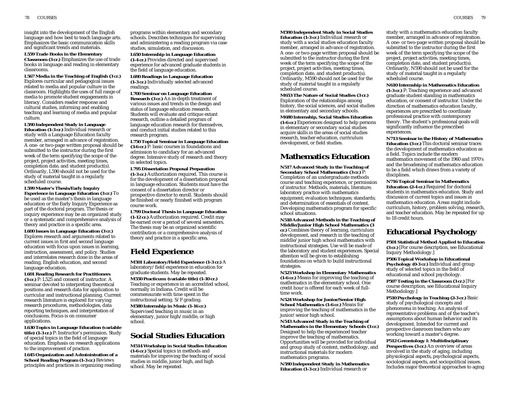insight into the development of the English language and how best to teach language arts. Emphasizes the basic communication skills and significant trends and materials.

#### **L559 Trade Books in the Elementary**

**Classroom (3 cr.)** Emphasizes the use of trade books in language and reading in elementary classrooms.

**L567 Media in the Teaching of English (3 cr.)** Explores curricular and pedagogical issues related to media and popular culture in the classroom. Highlights the uses of full range of media to promote student engagements in literacy. Considers reader response and cultural studies, informing and enabling teaching and learning of media and popular culture.

**L590 Independent Study in Language Education (1-3 cr.)** Individual research or study with a Language Education faculty

member, arranged in advance of registration. A one- or two-page written proposal should be submitted to the instructor during the first week of the term specifying the scope of the project, project activities, meeting times, completion date, and student product(s). Ordinarily, L590 should not be used for the study of material taught in a regularly scheduled course.

**L599 Master's Thesis/Early Inquiry Experience in Language Education (3 cr.)** To be used as the master's thesis in language education or the Early Inquiry Experience as part of the doctoral program. The thesis or inquiry experience may be an organized study or a systematic and comprehensive analysis of theory and practice in a specific area.

**L600 Issues in Language Education (3 cr.)** Explores research and arguments related to current issues in first and second language education with focus upon issues in learning, instruction, assessment, and policy. Studies and interrelates research done in the areas of reading, English education, and second language education.

**L601 Reading Research for Practitioners (3 cr.)** P: L525 and consent of instructor. A seminar devoted to interpreting theoretical positions and research data for application to curricular and instructional planning. Current research literature is explored for varying research procedures, methodologies, data reporting techniques, and interpretation of conclusions. Focus is on consumer applications.

**L630 Topics in Language Education (variable title) (1-3 cr.)** P: Instructor's permission. Study of special topics in the field of language education. Emphasis on research applications to the improvement of practice. **L645 Organization and Administration of a School Reading Program (1-3 cr.)** Reviews

principles and practices in organizing reading

programs within elementary and secondary schools. Describes techniques for supervising and administering a reading program via case studies, simulation, and discussion.

**L650 Internship in Language Education (1-4 cr.)** Provides directed and supervised experience for advanced graduate students in the field of language education.

**L690 Readings in Language Education (1-3 cr.)** Individually selected advanced readings.

**L700 Seminar on Language Education Research (3 cr.)** An in-depth treatment of various issues and trends in the design and status of language education research. Students will evaluate and critique extant research, outline a detailed program of language education research for themselves, and conduct initial studies related to this research program.

**L750 Topical Seminar in Language Education (3-6 cr.)** P: basic courses in foundations and admission to candidacy for an advanced degree. Intensive study of research and theory in selected topics.

**L795 Dissertation Proposal Preparation (1-3 cr.)** Authorization required. This course is for the development of a dissertation proposal in language education. Students must have the consent of a dissertation director or prospective director to enroll. Students should be finished or nearly finished with program course work.

**L799 Doctoral Thesis in Language Education (1-12 cr.)** Authorization required. Credit may be earned over a period of several semesters. The thesis may be an organized scientific contribution or a comprehensive analysis of theory and practice in a specific area.

# **Field Experience**

**M501 Laboratory/Field Experience (1-3 cr.)** A laboratory/field experience in education for graduate students. May be repeated. **M550 Practicum: (variable title) (1-10 cr.)** Teaching or experience in an accredited school, normally in Indiana. Credit will be commensurate with time spent in the instructional setting. S/F grading. **M580 Internship in Music (1-16 cr.)** Supervised teaching in music in an

elementary, junior high/middle, or high school.

# **Social Studies Education**

**M514 Workshop in Social Studies Education (1-6 cr.)** Special topics in methods and materials for improving the teaching of social studies in middle, junior high, and high school. May be repeated.

**M590 Independent Study in Social Studies Education (1-3 cr.)** Individual research or study with a social studies education faculty member, arranged in advance of registration. A one- or two-page written proposal should be submitted to the instructor during the first week of the term specifying the scope of the project, project activities, meeting times, completion date, and student product(s). Ordinarily, M590 should not be used for the study of material taught in a regularly scheduled course.

**M653 The Nature of Social Studies (3 cr.)** Exploration of the relationships among history, the social sciences, and social studies in elementary and secondary schools.

**M680 Internship, Social Studies Education (1-6 cr.)** Experiences designed to help persons in elementary or secondary social studies acquire skills in the areas of social studies research, teacher education, curriculum development, or field studies.

# **Mathematics Education**

**N517 Advanced Study in the Teaching of Secondary School Mathematics (3 cr.)** P: Completion of an undergraduate methods course and teaching experience, or permission of instructor. Methods, materials, literature; laboratory practice with mathematics equipment; evaluation techniques; standards; and determination of essentials of content. Developing mathematics program for specific school situations.

**N518 Advanced Methods in the Teaching of Middle/Junior High School Mathematics (3 cr.)** Combines theory of learning, curriculum development, and research in the teaching of middle/junior high school mathematics with instructional strategies. Use will be made of the laboratory and student experiences. Special attention will be given to establishing foundations on which to build instructional strategies.

**N523 Workshop in Elementary Mathematics (1-6 cr.)** Means for improving the teaching of mathematics in the elementary school. One credit hour is offered for each week of fulltime work.

**N524 Workshop for Junior/Senior High School Mathematics (1-6 cr.)** Means for improving the teaching of mathematics in the junior/senior high school.

**N543 Advanced Study in the Teaching of Mathematics in the Elementary Schools (3 cr.)** Designed to help the experienced teacher improve the teaching of mathematics. Opportunities will be provided for individual and group study of content, methodology, and instructional materials for modern mathematics programs.

**N590 Independent Study in Mathematics Education (1-3 cr.)** Individual research or

study with a mathematics education faculty member, arranged in advance of registration. A one- or two-page written proposal should be submitted to the instructor during the first week of the term specifying the scope of the project, project activities, meeting times, completion date, and student product(s). Ordinarily, N590 should not be used for the study of material taught in a regularly scheduled course.

**N610 Internship in Mathematics Education**

**(1-3 cr.)** P: Teaching experience and advanced graduate student standing in mathematics education, or consent of instructor. Under the direction of mathematics education faculty, experiences are prescribed to coordinate professional practice with contemporary theory. The student's professional goals will significantly influence the prescribed experiences.

**N713 Seminar in the History of Mathematics Education (3 cr.)** This doctoral seminar traces the development of mathematics education as a field. Topics include the modern mathematics movement of the 1960 and 1970's and the broadening of mathematics education to be a field which draws from a variety of disciplines.

**N716 Topical Seminar in Mathematics Education (2-4 cr.)** Required for doctoral

students in mathematics education. Study and discussion of current topics and issues in mathematics education. Areas might include curriculum, history, problem solving, research, and teacher education. May be repeated for up to 18 credit hours.

# **Educational Psychology**

**P501 Statistical Method Applied to Education (3 cr.)** [For course description, see Educational Inquiry Methodology.]

**P506 Topical Workshop in Educational Psychology (0-3 cr.)** Individual and group study of selected topics in the field of educational and school psychology.

**P507 Testing in the Classroom (3 cr.)** [For course description, see Educational Inquiry Methodology.]

**P510 Psychology in Teaching (2-3 cr.)** Basic study of psychological concepts and phenomena in teaching. An analysis of representative problems and of the teacher's assumptions about human behavior and its development. Intended for current and prospective classroom teachers who are working toward a master's degree.

**P512 Gerontology I: Multidisciplinary Perspectives (3 cr.)** An overview of areas involved in the study of aging, including physiological aspects, psychological aspects, sociological aspects, and sociopolitical issues. Includes major theoretical approaches to aging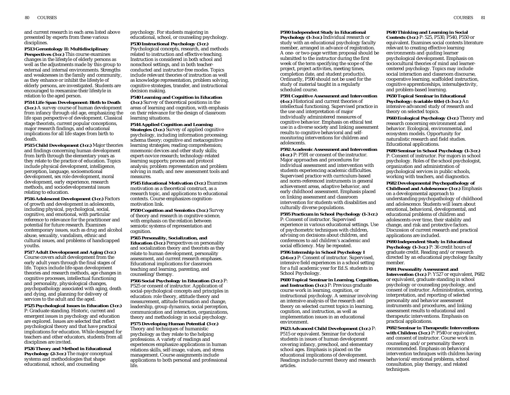and current research in each area listed above presented by experts from these various disciplines.

**P513 Gerontology II: Multidisciplinary Perspectives (3 cr.)** This course examines changes in the lifestyle of elderly persons as well as the adjustments made by this group to external and internal environments. Strengths and weaknesses in the family and community, as they enhance or inhibit the lifestyle of elderly persons, are investigated. Students are encouraged to reexamine their lifestyle in relation to the aged person.

**P514 Life Span Development: Birth to Death (3 cr.)** A survey course of human development from infancy through old age, emphasizing the life span perspective of development. Classical stage theorists, current popular conceptions, major research findings, and educational implications for all life stages from birth to death.

**P515 Child Development (3 cr.)** Major theories and findings concerning human development from birth through the elementary years as they relate to the practice of education. Topics include physical development, intelligence, perception, language, socioemotional development, sex role development, moral development, early experience, research methods, and sociodevelopmental issues relating to education.

**P516 Adolescent Development (3 cr.)** Factors of growth and development in adolescents, including physical, psychological, social, cognitive, and emotional, with particular reference to relevance for the practitioner and potential for future research. Examines contemporary issues, such as drug and alcohol abuse, sexuality, vandalism, ethnic and cultural issues, and problems of handicapped youths.

**P517 Adult Development and Aging (3 cr.)** Course covers adult development from the early adult years through the final stages of life. Topics include life-span development theories and research methods, age changes in cognitive processes, intellectual functioning and personality, physiological changes, psychopathology associated with aging, death and dying, and planning for delivery of services to the adult and the aged.

**P525 Psychological Issues in Education (3 cr.)** P: Graduate standing. Historic, current and emergent issues in psychology and education are explored. Issues are selected that reflect psychological theory and that have practical implications for education. While designed for teachers and other educators, students from all disciplines are invited.

**P526 Theory and Method in Educational Psychology (2-3 cr.)** The major conceptual systems and methodologies that shape educational, school, and counseling

#### psychology. For students majoring in educational, school, or counseling psychology. **P530 Instructional Psychology (3 cr.)**

Psychological concepts, research, and methods related to instruction and effective teaching. Instruction is considered in both school and nonschool settings, and in both teacherconducted and instructor-free modes. Topics include relevant theories of instruction as well as knowledge representation, problem solving, cognitive strategies, transfer, and instructional decision making.

**P540 Learning and Cognition in Education (3 cr.)** Survey of theoretical positions in the areas of learning and cognition, with emphasis on their relevance for the design of classroom learning situations.

#### **P544 Applied Cognition and Learning**

**Strategies (3 cr.)** Survey of applied cognitive psychology, including information processing; schema theory; cognitive and metacognitive learning strategies; reading comprehension; mnemonic devices and other study skills; expert-novice research; technology-related learning supports; process and protocol analysis; problem representation and problem solving in math; and new assessment tools and measures.

**P545 Educational Motivation (3 cr.)** Examines motivation as a theoretical construct, as a research topic, and applications to educational contexts. Course emphasizes cognitionmotivation link.

**P550 Cognition and Semiotics (3 cr.)** Survey of theory and research in cognitive science, with emphasis on the relation between semiotic systems of representation and cognition.

**P565 Personality, Socialization, and Education (3 cr.)** Perspectives on personality and socialization theory and theorists as they relate to human development, personality assessment, and current research emphases. Educational implications for classroom teaching and learning, parenting, and counseling/therapy.

**P566 Social Psychology in Education (3 cr.)** P: P525 or consent of instructor. Application of social-psychological concepts and principles in education: role theory, attitude theory and measurement, attitude formation and change, leadership, group dynamics, social perception, communication and interaction, organizations, theory and methodology in social psychology.

**P575 Developing Human Potential (3 cr.)** Theory and techniques of humanistic psychology as they relate to the helping professions. A variety of readings and experiences emphasize applications in human relations skills, self-image, values, and stress management. Course assignments include applications to both personal and professional life.

### **P590 Independent Study in Educational**

**Psychology (1-3 cr.)** Individual research or study with an educational psychology faculty member, arranged in advance of registration. A one- or two-page written proposal should be submitted to the instructor during the first week of the term specifying the scope of the project, project activities, meeting times, completion date, and student product(s). Ordinarily, P590 should not be used for the study of material taught in a regularly scheduled course.

**P591 Cognitive Assessment and Intervention (4 cr.)** Historical and current theories of

intellectual functioning. Supervised practice in the use and interpretation of major individually administered measures of cognitive behavior. Emphasis on ethical test use in a diverse society and linking assessment results to cognitive behavioral and selfmonitoring interventions for children and adolescents.

**P592 Academic Assessment and Intervention (4 cr.)** P: P591 or consent of the instructor. Major approaches and procedures for individual assessment and intervention with students experiencing academic difficulties. Supervised practice with curriculum-based and norm-referenced instruments in general achievement areas, adaptive behavior, and early childhood assessment. Emphasis placed on linking assessment and classroom intervention for students with disabilities and culturally diverse populations.

**P595 Practicum in School Psychology (1-3 cr.)** P: Consent of instructor. Supervised experience in various educational settings. Use of psychometric techniques with children, advising on decisions about children, and conferences to aid children's academic and social efficiency. May be repeated.

**P596 Internship in School Psychology I (2-6 cr.)** P: Consent of instructor. Supervised, intensive field experiences in a school setting for a full academic year for Ed.S. students in School Psychology.

**P600 Topical Seminar in Learning, Cognition, and Instruction (3 cr.)** P: Previous graduate course work in learning, cognition, or instructional psychology. A seminar involving an intensive analysis of the research and theory on selected current topics in learning, cognition, and instruction, as well as implementation issues in an educational environment.

**P623 Advanced Child Development (3 cr.)** P: P515 or equivalent. Seminar for doctoral students in issues of human development covering infancy, preschool, and elementary school ages. Emphasis is placed on the educational implications of development. Readings include current theory and research articles.

### **P640 Thinking and Learning in Social**

**Contexts (3 cr.)** P: 525, P530, P540, P550 or equivalent. Examines social contexts literature relevant to creating effective learning environments and guiding learner psychological development. Emphasis on sociocultural theories of mind and learnercentered psychology. Topics may include social interaction and classroom discourse, cooperative learning, scaffolded instruction, cognitive apprenticeships, intersubjectivity, and problem-based learning.

**P650 Topical Seminar in Educational Psychology: (variable title) (1-3 cr.)** An intensive advanced study of research and theory on selected topics.

**P660 Ecological Psychology (3 cr.)** Theory and research concerning environment and behavior. Ecological, environmental, and ecosystem models. Opportunity for naturalistic research and field studies. Educational applications.

**P680 Seminar in School Psychology (1-3 cr.)** P: Consent of instructor. For majors in school psychology. Roles of the school psychologist, organization and administration of psychological services in public schools, working with teachers, and diagnostics.

**P682 Developmental Psychopathology of Childhood and Adolescence (3 cr.)** Emphasis on a developmental approach to understanding psychopathology of childhood and adolescence. Students will learn about emotional, behavioral, developmental, and educational problems of children and adolescents over time, their stability and change, and risk and protective factors. Discussion of current research and practical applications are included.

**P690 Independent Study in Educational Psychology (1-3 cr.)** P: 36 credit hours of graduate credit. Reading and/or research directed by an educational psychology faculty member.

**P691 Personality Assessment and**

**Intervention (3 cr.)** P: Y527 or equivalent, P682 or equivalent, graduate standing in school psychology or counseling psychology, and consent of instructor. Administration, scoring, interpretation, and reporting of selected personality and behavior assessment instruments and procedures, and linking assessment results to educational and therapeutic interventions. Emphasis on practical applications.

**P692 Seminar in Therapeutic Interventions with Children (3 cr.)** P: P540 or equivalent, and consent of instructor. Course work in counseling and/or personality theory recommended. Emphasis on behavioral intervention techniques with children having behavioral/emotional problems, school consultation, play therapy, and related techniques.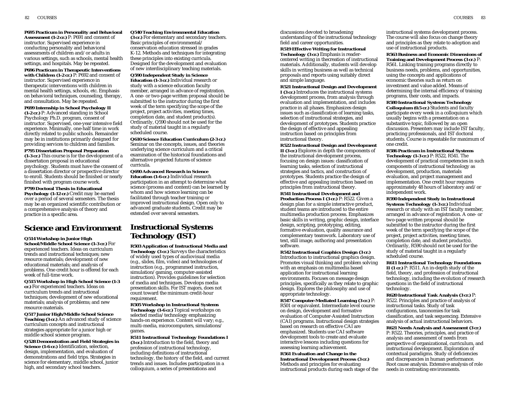82 COURSES COURSES 83

**P695 Practicum in Personality and Behavioral Assessment (1-2 cr.)** P: P691 and consent of instructor. Supervised experience in conducting personality and behavioral assessments of children and/or adults in various settings, such as schools, mental health settings, and hospitals. May be repeated.

**P696 Practicum in Therapeutic Interventions with Children (1-2 cr.)** P: P692 and consent of instructor. Supervised experience in therapeutic interventions with children in mental health settings, schools, etc. Emphasis on behavioral techniques, counseling, therapy, and consultation. May be repeated.

**P699 Internship in School Psychology II (1-2 cr.)** P: Advanced standing in School Psychology Ph.D. program, consent of instructor. Supervised, one-year intensive field experience. Minimally, one-half time in work directly related to public schools. Remainder may be in institutions primarily designed for providing services to children and families.

#### **P795 Dissertation Proposal Preparation**

**(1-3 cr.)** This course is for the development of a dissertation proposal in educational psychology. Students must have the consent of a dissertation director or prospective director to enroll. Students should be finished or nearly finished with program course work.

#### **P799 Doctoral Thesis in Educational**

**Psychology (1-12 cr.)** Credit may be earned over a period of several semesters. The thesis may be an organized scientific contribution or a comprehensive analysis of theory and practice in a specific area.

# **Science and Environment**

# **Q514 Workshop in Junior High**

**School/Middle School Science (1-3 cr.)** For experienced teachers. Ideas on curriculum trends and instructional techniques; new resource materials; development of new educational materials; and analysis of problems. One credit hour is offered for each week of full-time work.

**Q515 Workshop in High School Science (1-3 cr.)** For experienced teachers. Ideas on curriculum trends and instructional techniques; development of new educational materials; analysis of problems; and new resource materials.

**Q517 Junior High/Middle School Science Teaching (3 cr.)** An advanced study of science curriculum concepts and instructional strategies appropriate for a junior high or middle school science program.

**Q528 Demonstration and Field Strategies in Science (1-6 cr.)** Identification, selection, design, implementation, and evaluation of demonstrations and field trips. Strategies in science for elementary, middle school, junior high, and secondary school teachers.

### **Q540 Teaching Environmental Education**

**(3 cr.)** For elementary and secondary teachers. Basic principles of environmental/ conservation education stressed in grades K-12. Methods and techniques for integrating these principles into existing curricula. Designed for the development and evaluation of new interdisciplinary teaching materials.

**Q590 Independent Study in Science Education (1-3 cr.)** Individual research or study with a science education faculty member, arranged in advance of registration. A one- or two-page written proposal should be submitted to the instructor during the first week of the term specifying the scope of the project, project activities, meeting times, completion date, and student product(s). Ordinarily, Q590 should not be used for the study of material taught in a regularly scheduled course.

**Q610 Science Education Curriculum (2-3 cr.)** Seminar on the concepts, issues, and theories underlying science curriculum and a critical examination of the historical foundations and alternative projected futures of science curricula.

**Q690 Advanced Research in Science Education (1-6 cr.)** Individual research participation in an attempt to determine what science (process and content) can be learned by whom and how science learning can be facilitated through teacher training or improved instructional design. Open only to advanced graduate students. Credit may be extended over several semesters.

# **Instructional Systems Technology (IST)**

**R503 Application of Instructional Media and Technology (3 cr.)** Surveys the characteristics of widely used types of audiovisual media (e.g., slides, film, video) and technologies of instruction (e.g., programmed instruction, simulation/gaming, computer-assisted instruction). Provides guidelines for selection of media and techniques. Develops media presentation skills. For IST majors, does not count toward the minimum credit-hour requirement.

**R505 Workshop in Instructional Systems Technology (1-6 cr.)** Topical workshops on selected media/technology emphasizing hands-on experience. Content will vary; e.g., multi-media, microcomputers, simulations/ games.

**R511 Instructional Technology Foundations I (3 cr.)** Introduction to the field, theory and profession of instructional technology, including definitions of instructional technology, the history of the field, and current trends and issues. Includes participation in a colloquium, a series of presentations and

discussions devoted to broadening understanding of the instructional technology field and career opportunities.

#### **R519 Effective Writing for Instructional Technology (3 cr.)** Emphasis is readercentered writing in thecreation of instructional materials. Additionally, students will develop skills in writing business as well as technical proposals and reports using suitably direct and simple language.

**R521 Instructional Design and Development I (3 cr.)** Introduces the instructional systems development process, from analysis through evaluation and implementation, and includes practice in all phases. Emphasizes design issues such as classification of learning tasks, selection of instructional strategies, and development of prototypes. Students practice the design of effective and appealing instruction based on principles from instructional theory.

**R522 Instructional Design and Development II (3 cr.)** Explores in depth the components of the instructional development process, focusing on design issues: classification of learning tasks, selection of instructional strategies and tactics, and construction of prototypes. Students practice the design of effective and appealing instruction based on principles from instructional theory.

#### **R541 Instructional Development and Production Process I (3 cr.)** P: R522. Given a

design plan for a simple interactive product, student teams are introduced to the entire multimedia production process. Emphasizes basic skills in writing, graphic design, interface design, scripting, prototyping, editing, formative evaluation, quality assurance and complementary teamwork. Laboratory use of text, still image, authoring and presentation software.

**R542 Instructional Graphics Design (3 cr.)** Introduction to instructional graphics design. Promotes visual thinking and problem solving with an emphasis on multimedia based application for instructional learning environments. Focuses on message design principles, specifically as they relate to graphic design. Explores the philosophy and use of appropriate technology.

**R547 Computer-Mediated Learning (3 cr.)** P: R501 or equivalent. Intermediate level course on design, development and formative evaluation of Computer-Assisted Instruction (CAI) programs. Instructional design strategies based on research on effective CAI are emphasized. Students use CAI software development tools to create and evaluate interactive lessons including questions for assessing learning achievement.

#### **R561 Evaluation and Change in the Instructional Development Process (3 cr.)** Methods and principles for evaluating instructional products during each stage of the

instructional systems development process. The course will also focus on change theory and principles as they relate to adoption and use of instructional products.

**R563 Business and Economic Dimensions of Training and Development Process (3 cr.)** P: R561. Linking training programs directly to business needs, problems, and opportunities, using the concepts and applications of economic theories such as return on investment and value added. Means of determining the internal efficiency of training programs, their costs, and impacts.

#### **R580 Instructional Systems Technology**

**Colloquium (0.5 cr.)** Students and faculty participate every week in a colloquium which usually begins with a presentation on a substantive topic, followed by an open discussion. Presenters may include IST faculty, practicing professionals, and IST doctoral students. Course is repeatable for maximum of one credit.

**R586 Practicum in Instructional Systems**

**Technology (1-3 cr.)** P: R522, R541. The development of practical competencies in such components of instructional technology as development, production, materials evaluation, and project management and implementation. One credit hour requires approximately 48 hours of laboratory and/or independent work.

**R590 Independent Study in Instructional Systems Technology (1-3 cr.)** Individual research or study with an IST faculty member, arranged in advance of registration. A one- or two-page written proposal should be submitted to the instructor during the first week of the term specifying the scope of the project, project activities, meeting times, completion date, and student product(s). Ordinarily, R590 should not be used for the study of material taught in a regularly scheduled course.

**R611 Instructional Technology Foundations II (1 cr.)** P: R511. An in-depth study of the field, theory, and profession of instructional technology, including the evolution of research questions in the field of instructional technology.

**R620 Instructional Task Analysis (3 cr.)** P: R522. Principles and practice of analysis of instructional tasks. Study of task configurations, taxonomies for task classification, and task sequencing. Extensive analysis of actual instructional behaviors.

**R621 Needs Analysis and Assessment (3 cr.)** P: R522. Theories, principles, and practice of analysis and assessment of needs from perspective of organizational, curriculum, and instructional development. Exploration of contextual paradigms. Study of deficiencies and discrepancies in human performance. Root cause analysis. Extensive analysis of role needs in contrasting environments.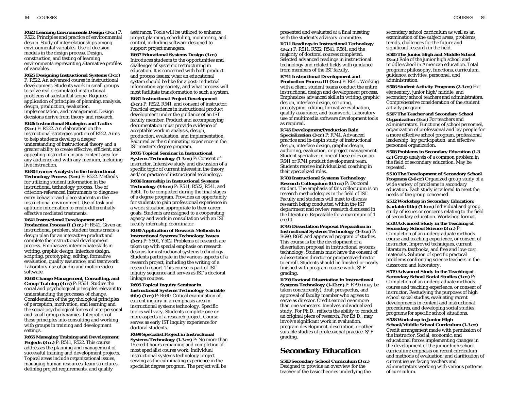**R622 Learning Environments Design (3 cr.)** P: R522. Principles and practice of environmental design. Study of interrelationships among environmental variables. Use of decision models in the design process. Design, construction, and testing of learning environments representing alternative profiles of variables.

**R625 Designing Instructional Systems (3 cr.)** P: R522. An advanced course in instructional development. Students work in small groups to solve real or simulated instructional problems of substantial scope. Requires application of principles of planning, analysis, design, production, evaluation, implementation, and management. Design decisions derive from theory and research. **R626 Instructional Strategies and Tactics**

**(3 cr.)** P: R522. An elaboration on the instructional-strategies portion of R522. Aims to help students develop a deeper understanding of instructional theory and a greater ability to create effective, efficient, and appealing instruction in any content area for any audience and with any medium, including live instruction.

**R630 Learner Analysis in the Instructional Technology Process (3 cr.)** P: R522. Methods for utilizing student information in the instructional technology process. Use of criterion-referenced instruments to diagnose entry behavior and place students in the instructional environment. Use of task and aptitude information to create differentially effective mediated treatments.

**R641 Instructional Development and Production Process II (3 cr.)** P: R541. Given an instructional problem, student teams create a design plan for an interactive product and complete the instructional development process. Emphasizes intermediate skills in writing, graphic design, interface design, scripting, prototyping, editing, formative evaluation, quality assurance, and teamwork. Laboratory use of audio and motion video software.

**R660 Change Management, Consulting, and Group Training (3 cr.)** P: R561. Studies the social and psychological principles relevant to understanding the processes of change. Consideration of the psychological principles of perception, motivation, and learning and the social-psychological forces of interpersonal and small group dynamics. Integration of these principles into consulting and working with groups in training and development settings.

**R665 Managing Training and Development Projects (3 cr.)** P: R511, R522. This course addresses the planning and management of successful training and development projects. Topical areas include organizational issues, managing human resources, team structures, defining project requirements, and quality

assurance. Tools will be utilized to enhance project planning, scheduling, monitoring, and control, including software designed to support project managers.

**R667 Educational Systems Design (3 cr.)** Introduces students to the opportunities and challenges of systemic restructuring in education. It is concerned with both product and process issues: what an educational system should be like for a post- industrial information-age society, and what process will most facilitate transformation to such a system.

#### **R681 Instructional Project Development**

**(3 cr.)** P: R522, R541, and consent of instructor. Practical experience in instructional product development under the guidance of an IST faculty member. Product and accompanying documentation must provide evidence of acceptable work in analysis, design, production, evaluation, and implementation. Required as the culminating experience in the IST master's degree program.

**R685 Topical Seminar in Instructional Systems Technology (1-3 cr.)** P: Consent of instructor. Intensive study and discussion of a specific topic of current interest in the theory and/or practice of instructional technology.

**R686 Internship in Instructional Systems Technology (3-6 cr.)** P: R511, R522, R541, and R561. To be completed during the final stages of a degree program. Provides an opportunity for students to gain professional experience in a work situation appropriate to their career goals. Students are assigned to a cooperating agency and work in consultation with an IST faculty internship coordinator.

**R690 Application of Research Methods to Instructional Systems Technology Issues (3 cr.)** P: Y501, Y502. Problems of research are taken up with special emphasis on research designs for instructional systems technology. Students participate in the various aspects of a research project, including the writing of a research report. This course is part of IST inquiry sequence and serves as IST's doctoral linkage courses.

**R695 Topical Inquiry Seminar in Instructional Systems Technology (variable title) (3 cr.)** P: R690. Critical examination of current inquiry in an emphasis area in instructional systems technology. Specific topics will vary. Students complete one or more aspects of a research project. Course serves as early IST inquiry experience for doctoral students.

**R699 Specialist Project in Instructional Systems Technology (1-3 cr.)** P: No more than 15 credit hours remaining and completion of most specialist course work. Individual instructional systems technology project serving as the culminating experience in the specialist degree program. The project will be

presented and evaluated at a final meeting with the student's advisory committee.

**R711 Readings in Instructional Technology (3 cr.)** P: R511, R522, R541, R561, and the majority of doctoral courses completed. Selected advanced readings in instructional technology and related fields with guidance from members of the IST faculty.

**R741 Instructional Development and Production Process III (3 cr.)** P: R641. Working with a client, student teams conduct the entire instructional design and development process. Emphasizes advanced skills in writing, graphic design, interface design, scripting, prototyping, editing, formative evaluation, quality assurance, and teamwork. Laboratory use of multimedia software development tools as required.

**R745 Development/Production Role Specialization (3 cr.)** P: R741. Advanced practice and in-depth study of instructional design, interface design, graphic design, authoring, evaluation, or project management. Student specialize in one of these roles on an R641 or R741 product development team. Students receive individualized coaching in their specialized roles.

### **R780 Instructional Systems Technology Research Colloquium (0.5 cr.)** P: Doctoral student. The emphasis of this colloquium is on

research methodologies in the field of IST. Faculty and students will meet to discuss research being conducted within the IST department and review research discussed in the literature. Repeatable for a maximum of 1 credit.

**R795 Dissertation Proposal Preparation in Instructional Systems Technology (1-3 cr.)** P: R690, R695 and approved program of studies. This course is for the development of a dissertation proposal in instructional systems technology. Students must have the consent of a dissertation director or prospective director to enroll. Students should be finished or nearly finished with program course work. S/F grading.

**R799 Doctoral Dissertation in Instructional Systems Technology (1-12 cr.)** P: R795 (may be taken concurrently), draft prospectus, and approval of faculty member who agrees to serve as director. Credit earned over more than one semesters. Involves individualized study. For Ph.D., reflects the ability to conduct an original piece of research. For Ed.D., may involve significant work in evaluation, program development, description, or other suitable studies of professional practice. S/F grading.

# **Secondary Education**

**S503 Secondary School Curriculum (3 cr.)** Designed to provide an overview for the teacher of the basic theories underlying the secondary school curriculum as well as an examination of the subject areas, problems, trends, challenges for the future and significant research in the field.

**S505 The Junior High and Middle School (3 cr.)** Role of the junior high school and middle school in American education. Total program: philosophy, functions, curriculum, guidance, activities, personnel, and administration.

**S506 Student Activity Programs (2-3 cr.)** For elementary, junior high/middle, and secondary school teachers and administrators. Comprehensive consideration of the student activity program.

**S507 The Teacher and Secondary School Organization (3 cr.)** For teachers and administrators. Functions of school personnel, organization of professional and lay people for a more effective school program, professional leadership, lay participation, and effective personnel organization.

**S508 Problems in Secondary Education (1-3 cr.)** Group analysis of a common problem in the field of secondary education. May be repeated.

**S510 The Development of Secondary School Programs (2-6 cr.)** Organized group study of a wide variety of problems in secondary education. Each study is tailored to meet the needs of the group concerned.

**S512 Workshop in Secondary Education: (variable title) (1-6 cr.)** Individual and group study of issues or concerns relating to the field of secondary education. Workshop format.

**S518 Advanced Study in the Teaching of Secondary School Science (3 cr.)** P: Completion of an undergraduate methods course and teaching experience, or consent of instructor. Improved techniques, current literature, textbooks, and free and low-cost materials. Solution of specific practical problems confronting science teachers in the classroom and laboratory.

**S519 Advanced Study in the Teaching of Secondary School Social Studies (3 cr.)** P: Completion of an undergraduate methods course and teaching experience, or consent of instructor. Restudying the purposes of high school social studies, evaluating recent developments in content and instructional procedures, and developing social studies programs for specific school situations.

**S528 Workshop in Junior High School/Middle School Curriculum (1-3 cr.)** Credit arrangement made with permission of the instructor. Social, economic, and educational forces implementing changes in the development of the junior high school curriculum; emphasis on recent curriculum and methods of evaluation; and clarification of

current issues facing teachers and administrators working with various patterns of curriculum.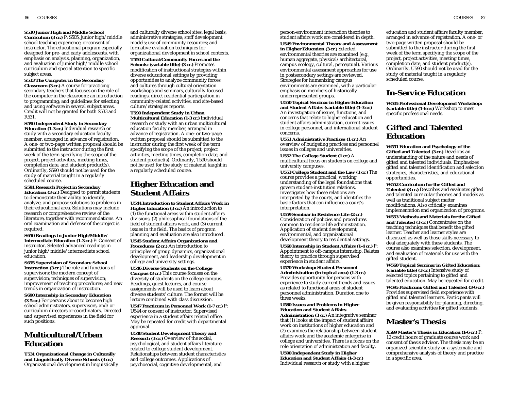#### **S530 Junior High and Middle School**

**Curriculum (3 cr.)** P: S505, junior high/middle school teaching experience, or consent of instructor. The educational program especially designed for pre- and early adolescents, with emphasis on analysis, planning, organization, and evaluation of junior high/middle school curriculum and special attention to specific subject areas.

### **S533 The Computer in the Secondary**

**Classroom (3 cr.)** A course for practicing secondary teachers that focuses on the role of the computer in the classroom; an introduction to programming; and guidelines for selecting and using software in several subject areas. Credit will not be granted for both S533 and R531.

#### **S590 Independent Study in Secondary Education (1-3 cr.)** Individual research or

study with a secondary education faculty member, arranged in advance of registration. A one- or two-page written proposal should be submitted to the instructor during the first week of the term specifying the scope of the project, project activities, meeting times, completion date, and student product(s). Ordinarily, S590 should not be used for the study of material taught in a regularly scheduled course.

#### **S591 Research Project in Secondary Education (3 cr.)** Designed to permit students to demonstrate their ability to identify, analyze, and propose solutions to problems in their educational area. Solutions may include research or comprehensive review of the literature, together with recommendations. An oral examination and defense of the project is required.

**S650 Readings in Junior High/Middle/ Intermediate Education (1-3 cr.)** P: Consent of instructor. Selected advanced readings in junior high/middle/intermediate school education.

**S655 Supervision of Secondary School Instruction (3 cr.)** The role and functions of supervisors; the modern concept of supervision; techniques of supervision; improvement of teaching procedures; and new trends in organization of instruction.

**S690 Internship in Secondary Education (3-5 cr.)** For persons about to become high school administrators, supervisors, and/or curriculum directors or coordinators. Directed and supervised experiences in the field for such positions.

# **Multicultural/Urban Education**

**T531 Organizational Change in Culturally and Linguistically Diverse Schools (3 cr.)** Organizational development in linguistically

and culturally diverse school sites: legal basis; administrative strategies; staff development models; use of community resources; and formative evaluation techniques for organizational development in school contexts.

**T550 Cultural/Community Forces and the Schools: (variable title) (3 cr.)** Promotes modification of instructional strategies within diverse educational settings by providing opportunities to analyze community forces and cultures through cultural orientation workshops and seminars, culturally focused readings, direct residential participation in community-related activities, and site-based culture/strategies reports.

#### **T590 Independent Study in Urban Multicultural Education (1-3 cr.)** Individual research or study with an urban multicultural education faculty member, arranged in advance of registration. A one- or two-page written proposal should be submitted to the instructor during the first week of the term specifying the scope of the project, project activities, meeting times, completion date, and student product(s). Ordinarily, T590 should not be used for the study of material taught in a regularly scheduled course.

# **Higher Education and Student Affairs**

**U544 Introduction to Student Affairs Work in Higher Education (3 cr.)** An introduction to (1) the functional areas within student affairs divisions, (2) philosophical foundations of the field of student affairs work, and (3) current issues in the field. The basics of program planning and evaluation are also introduced.

**U545 Student Affairs Organizations and Procedures (2 cr.)** An introduction to principles of group dynamics, organizational development, and leadership development in college and university settings.

**U546 Diverse Students on the College Campus (3 cr.)** This course focuses on the diversity of students on the college campus. Readings, guest lectures, and course assignments will be used to learn about diverse students' culture. The format will be lecture combined with class discussion.

**U547 Practicum in Personnel Work (1-7 cr.)** P: U544 or consent of instructor. Supervised experience in a student affairs related office. May be repeated for credit with departmental approval.

**U548 Student Development Theory and Research (3 cr.)** Overview of the social, psychological, and student affairs literature related to college student development. Relationships between student characteristics and college outcomes. Applications of psychosocial, cognitive developmental, and

person-environment interaction theories to student affairs work are considered in depth. **U549 Environmental Theory and Assessment in Higher Education (3 cr.)** Selected environmental theories are examined (e.g., human aggregate, physical/architectural, campus ecology, cultural, perceptual). Various environmental assessment approaches for use in postsecondary settings are reviewed. Strategies for humanizing campus environments are examined, with a particular

emphasis on members of historically underrepresented groups. **U550 Topical Seminar in Higher Education and Student Affairs (variable title) (1-3 cr.)**

An investigation of issues, functions, and concerns that relate to higher education and student affairs administration, current issues in college personnel, and international student concerns.

**U551 Administrative Practices (1 cr.)** An overview of budgeting practices and personnel issues in colleges and universities.

**U552 The College Student (1 cr.)** A multicultural focus on students on college and university campuses.

**U553 College Student and the Law (1 cr.)** The course provides a practical, working understanding of the legal foundations that govern student-institution relations, investigates how these relations are interpreted by the courts, and identifies the basic factors that can influence a court's interpretation.

**U559 Seminar in Residence Life (2 cr.)** Consideration of policies and procedures common to residence life administration. Application of student development, environmental, and organizational development theory to residential settings.

**U560 Internship in Student Affairs (1-4 cr.)** P: Appointment to off-campus internship. Relates theory to practice through supervised experience in student affairs.

**U570 Workshop: Student Personnel Administration (in topical area) (1-3 cr.)** Provides opportunity for persons with experience to study current trends and issues as related to functional areas of student personnel administration. Duration one to three weeks.

### **U580 Issues and Problems in Higher Education and Student Affairs**

**Administration (3 cr.)** An integrative seminar that (1) looks at the impact of student affairs work on institutions of higher education and (2) examines the relationship between student affairs work and the academic enterprise in college and universities. There is a focus on the role orientation of administration and faculty.

### **U590 Independent Study in Higher Education and Student Affairs (1-3 cr.)**

Individual research or study with a higher

education and student affairs faculty member, arranged in advance of registration. A one- or two-page written proposal should be submitted to the instructor during the first week of the term specifying the scope of the project, project activities, meeting times, completion date, and student product(s). Ordinarily, U590 should not be used for the study of material taught in a regularly scheduled course.

# **In-Service Education**

**W505 Professional Development Workshop: (variable title) (1-6 cr.)** Workshop to meet specific professional needs.

# **Gifted and Talented Education**

**W551 Education and Psychology of the Gifted and Talented (3 cr.)** Develops an understanding of the nature and needs of gifted and talented individuals. Emphasizes gifted and talented identification and selection strategies, characteristics, and educational opportunities.

**W552 Curriculum for the Gifted and Talented (3 cr.)** Describes and evaluates gifted and talented curricular theories and models as well as traditional subject matter modifications. Also critically examines implementation and organization of programs.

**W553 Methods and Materials for the Gifted and Talented (3 cr.)** Concentrates on the teaching techniques that benefit the gifted learner. Teacher and learner styles are discussed as well as those skills necessary to deal adequately with these students. The course also examines selection, development, and evaluation of materials for use with the gifted student.

**W560 Topical Seminar in Gifted Education: (variable title) (3 cr.)** Intensive study of selected topics pertaining to gifted and talented education. May be repeated for credit. **W595 Practicum: Gifted and Talented (3-6 cr.)** Provides supervised field experience with gifted and talented learners. Participants will be given responsibility for planning, directing, and evaluating activities for gifted students.

# **Master's Thesis**

**X599 Master's Thesis in Education (1-6 cr.)** P: 12 credit hours of graduate course work and consent of thesis advisor. The thesis may be an organized scientific study or a systematic and comprehensive analysis of theory and practice in a specific area.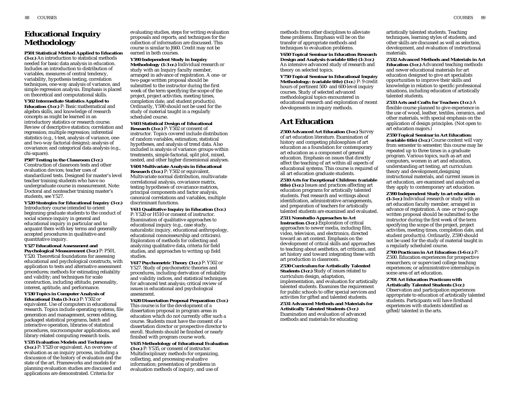# **Educational Inquiry Methodology**

**P501 Statistical Method Applied to Education (3 cr.)** An introduction to statistical methods needed for basic data analysis in education. Includes an introduction to distribution of variables, measures of central tendency, variability, hypothesis testing, correlation techniques, one-way analysis of variance, and simple regression analysis. Emphasis is placed on theoretical and computational skills.

**Y502 Intermediate Statistics Applied to Education (3 cr.)** P: Basic mathematical and algebra skills, and knowledge of research concepts as might be learned in an introductory statistics or research course. Review of descriptive statistics; correlation and regression; multiple regression; inferential statistics (e.g., t-test, analysis of variance, oneand two-way factorial designs); analysis of covariance; and categorical data analysis (e.g., chi-square).

**P507 Testing in the Classroom (3 cr.)** Construction of classroom tests and other evaluation devices; teacher uses of standardized tests. Designed for master's level teacher training students who have no undergraduate course in measurement. Note: Doctoral and nonteacher training master's students, see Y527.

**Y520 Strategies for Educational Inquiry (3 cr.)** Introductory course intended to orient beginning graduate students to the conduct of social science inquiry in general and educational inquiry in particular and to acquaint them with key terms and generally accepted procedures in qualitative and quantitative inquiry.

### **Y527 Educational Assessment and**

**Psychological Measurement (3 cr.)** P: P501, Y520. Theoretical foundations for assessing educational and psychological constructs, with application to tests and alternative assessment procedures; methods for estimating reliability and validity; and techniques for scale construction, including attitude, personality, interest, aptitude, and performance.

**Y530 Topics in Computer Analysis of Educational Data (1-3 cr.)** P: Y502 or equivalent. Use of computers in educational research. Topics include operating systems, file generation and management, screen editing,

packaged statistical programs, batch and interactive operation, libraries of statistical procedures, microcomputer applications, and library-related computing research tools.

**Y535 Evaluation Models and Techniques (3 cr.)** P: Y520 or equivalent. An overview of evaluation as an inquiry process, including a discussion of the history of evaluation and the state of the art. Frameworks and models for planning evaluation studies are discussed and applications are demonstrated. Criteria for

evaluating studies, steps for writing evaluation proposals and reports, and techniques for the collection of information are discussed. This course is similar to J660. Credit may not be earned in both courses.

**Y590 Independent Study in Inquiry Methodology (1-3 cr.)** Individual research or study with an Inquiry faculty member, arranged in advance of registration. A one- or two-page written proposal should be submitted to the instructor during the first week of the term specifying the scope of the project, project activities, meeting times, completion date, and student product(s). Ordinarily, Y590 should not be used for the study of material taught in a regularly scheduled course.

### **Y603 Statistical Design of Educational**

**Research (3 cr.)** P: Y502 or consent of instructor. Topics covered include distribution of random variables, estimation, statistical hypotheses, and analysis of trend data. Also included is analysis of variance: groups-within treatments, simple factorial, split plot, mixed, nested, and other higher dimensional analyses. **Y604 Multivariate Analysis in Educational Research (3 cr.)** P: Y502 or equivalent. Multivariate normal distribution, multivariate correlational analysis, covariance matrix, testing hypotheses of covariance matrices,

principal components and factor analysis, canonical correlations and variables, multiple discriminant functions.

**Y611 Qualitative Inquiry in Education (3 cr.)** P: Y520 or H510 or consent of instructor. Examination of qualitative approaches to educational inquiry (e.g., case study, naturalistic inquiry, educational anthropology, educational connoisseurship and criticism). Exploration of methods for collecting and analyzing qualitative data, criteria for field studies, and approaches to writing up field studies.

**Y617 Psychometric Theory (3 cr.)** P: Y502 or Y527. Study of psychometric theories and procedures, including derivation of reliability and validity indices, and statistical techniques for advanced test analysis; critical review of issues in educational and psychological assessment.

**Y620 Dissertation Proposal Preparation (3 cr.)** This course is for the development of a dissertation proposal in program areas in education which do not currently offer such a course. Students must have the consent of a dissertation director or prospective director to enroll. Students should be finished or nearly finished with program course work.

**Y635 Methodology of Educational Evaluation (3 cr.)** P: Y535, or consent of instructor. Multidisciplinary methods for organizing, collecting, and processing evaluative information; presentation of problems in evaluation methods of inquiry, and use of

methods from other disciplines to alleviate these problems. Emphasis will be on the transfer of appropriate methods and techniques to evaluation problems.

**Y650 Topical Seminar in Education Research Design and Analysis (variable title) (1-3 cr.)** An intensive advanced study of research and theory on selected topics.

**Y750 Topical Seminar in Educational Inquiry Methodology: (variable title) (3 cr.**) P: 9 credit hours of pertinent 500- and 600-level inquiry courses. Study of selected advanced methodological topics encountered in educational research and exploration of recent developments in inquiry methods.

# **Art Education**

**Z500 Advanced Art Education (3 cr.)** Survey of art education literature. Examination of history and competing philosophies of art education as a foundation for contemporary art education as a component of general education. Emphasis on issues that directly affect the teaching of art within all aspects of educational systems. This course is required of all art education graduate students.

**Z510 Arts for Exceptional Children: (variable title) (3 cr.)** Issues and practices affecting art education programs for artistically talented students. Past research and writings about identification, administrative arrangements, and preparation of teachers for artistically talented students are examined and evaluated.

**Z511 Nonstudio Approaches to Art Instruction (3 cr.)** Exploration of critical approaches to newer media, including film, video, television, and electronics, directed toward an art context. Emphasis on the development of critical skills and approaches to teaching about aesthetics, art criticism, and art history and toward integrating these with art production in classroom.

**Z530 Curriculum for Artistically Talented Students (3 cr.)** Study of issues related to curriculum design, adaptation, implementation, and evaluation for artistically talented students. Examines the requirement for public schools to offer special services and activities for gifted and talented students.

**Z531 Advanced Methods and Materials for Artistically Talented Students (3 cr.)** Examination and evaluation of advanced methods and materials for educating

artistically talented students. Teaching techniques, learning styles of students, and other skills are discussed as well as selection, development, and evaluation of instructional materials.

**Z532 Advanced Methods and Materials in Art Education (3 cr.)** Advanced teaching methods and newer educational materials for art education designed to give art specialists opportunities to improve their skills and knowledge in relation to specific professional situations, including education of artistically talented students.

**Z533 Arts and Crafts for Teachers (3 cr.)** A flexible course planned to give experience in the use of wood, leather, textiles, ceramics, and other materials, with special emphasis on the application of design principles. (Not open to art education majors.)

**Z550 Topical Seminar in Art Education: (variable title) (3 cr.)** Course content will vary from semester to semester; this course may be repeated up to three times in a graduate program. Various topics, such as art and computers, women in art and education, understanding art testing, art curriculum theory and development,designing instructional materials, and current issues in art education, are examined and analyzed as they apply to contemporary art education.

**Z590 Independent Study in art education (1-3 cr.)** Individual research or study with an art education faculty member, arranged in advance of registration. A one- or two-page written proposal should be submitted to the instructor during the first week of the term specifying the scope of the project, project activities, meeting times, completion date, and student product(s). Ordinarily, Z590 should not be used for the study of material taught in a regularly scheduled course.

**Z700 Practicum in Art Education (1-6 cr.)** P: Z500. Education experiences for prospective researchers; or supervised college teaching experiences; or administrative internships in some area of art education.

**Z701 Art Education Practicum with Artistically Talented Students (3 cr.)** Observation and participation experiences appropriate to education of artistically talented students. Participants will have firsthand experiences with students identified as gifted/talented in the arts.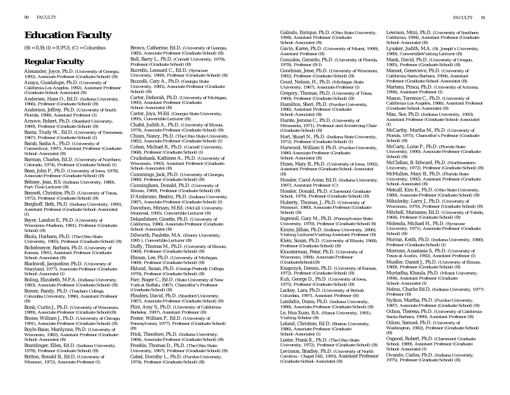# **Education Faculty**

 $(B) = IUB$ ;  $(I) = IUPUI$ ;  $(C) = Columbus$ 

# **Regular Faculty**

Alexander, Joyce, Ph.D. *(University of Georgia, 1992), Associate Professor (Graduate School) (B)* Anaya, Guadalupe, Ph.D. *(University of California-Los Angeles, 1992), Assistant Professor (Graduate School–Associate) (B)* Andersen, Hans O., Ed.D. *(Indiana University,*

*1966), Professor (Graduate School) (B)*

Anderson, Jeffrey, Ph.D. *(University of South Florida, 1998), Assistant Professor (I)*

Arnove, Robert, Ph.D. *(Stanford University, 1969), Professor (Graduate School) (B)*

Banta, Trudy W., Ed.D. *(University of Tennessee, 1967), Professor (Graduate School) (I)*

Barab, Sasha A., Ph.D. *(University of Connecticut, 1997), Assistant Professor (Graduate School–Associate) (B)*

Barman, Charles, Ed.D. *(University of Northern Colorado, 1974), Professor (Graduate School) (I)* Bean, John P., Ph.D. *(University of Iowa, 1978), Associate Professor (Graduate School) (B)* Behney, Jean, B.S. *(Indiana University, 1980), Part-Time Lecturer (B)*

Bennett, Christine, Ph.D. *(University of Texas, 1972), Professor (Graduate School) (B)*

Berghoff, Beth, Ph.D. *(Indiana University, 1995), Assistant Professor (Graduate School–Associate) (I)*

Beyer, Landon E., Ph.D. *(University of Wisconsin-Madison, 1981), Professor (Graduate School) (B)*

Bhola, Harbans, Ph.D. *(The Ohio State University, 1965), Professor (Graduate School) (B)* Bichelmeyer, Barbara, Ph.D. *(University of Kansas, 1991), Assistant Professor (Graduate School–Associate) (B)*

Blackwell, Jacqueline, Ph.D. *(University of Maryland, 1977), Associate Professor (Graduate School–Associate) (I)*

Boling, Elizabeth, M.F.A. *(Indiana University, 1983), Associate Professor (Graduate School) (B)*

Bomer, Randy, Ph.D. *(Teachers College, Columbia University, 1996), Assistant Professor (B)*

Bonk, Curtis J., Ph.D. *(University of Wisconsin, 1989), Associate Professor (Graduate School)(B)*

Boone, William J., Ph.D. *(University of Chicago, 1991), Associate Professor (Graduate School) (B)*

Boyle-Baise, Marilynne, Ph.D. *(University of Wisconsin, 1982), Assistant Professor (Graduate School–Associate) (B)*

Brantlinger, Ellen, Ed.D. *(Indiana University, 1978), Professor (Graduate School) (B)*

Britton, Ronald B., Ed.D. *(University of Missouri, 1972), Associate Professor (I)*

Brown, Catherine, Ed.D. *(University of Georgia, 1985), Associate Professor (Graduate School) (B)* Bull, Barry L., Ph.D. *(Cornell University, 1979), Professor (Graduate School) (B)* Burrello, Leonard C., Ed.D. *(Syracuse University, 1969), Professor (Graduate School) (B)* Buzzelli, Cary A., Ph.D. *(Georgia State University, 1985), Associate Professor (Graduate School) (B)* Carter, Deborah, Ph.D. *(University of Michigan, 1995), Assistant Professor (Graduate School–Associate) (B)* Carter, Joya, M.Ed. *(Georgia State University, 1995), Convertible Lecturer (B)* Chafel, Judith A., Ph.D. *(University of Illinois, 1979), Associate Professor (Graduate School) (B)* Chism, Nancy, Ph.D. *(The Ohio State University, 1982), Associate Professor (Graduate School) (I)* Cohen, Michael R., Ph.D. *(Cornell University, 1968), Professor (Graduate School) (I)*  Cruikshank, Kathleen A., Ph.D. *(University of Wisconsin, 1993), Assistant Professor (Graduate School–Associate) (B)* Cummings, Jack, Ph.D. *(University of Georgia, 1980), Professor (Graduate School) (B)* Cunningham, Donald, Ph.D. *(University of Illinois, 1969), Professor (Graduate School) (B)* D'Ambrosio, Beatriz, Ph.D. *(Indiana University, 1987), Associate Professor (Graduate School) (I)* Davidson, Miriam, M.Ed. *(McGill University-Montreal, 1995), Convertible Lecturer (B)* Delandshere, Ginette, Ph.D. *(University of California, 1986), Associate Professor (Graduate School–Associate) (B)* Dilworth, Paulette, M.A. *(Emory University, 1995 ), Convertible Lecturer (B)* Duffy, Thomas M., Ph.D. *(University of Illinois, 1969), Professor (Graduate School) (B)* Ehman, Lee, Ph.D. *(University of Michigan, 1969), Professor (Graduate School) (B)* Eklund, Susan, Ph.D. *(George Peabody College, 1970), Professor (Graduate School) (B)* Farr, Roger C., Ed.D. *(State University of New York at Buffalo, 1967), Chancellor's Professor (Graduate School) (B)* Flinders, David, Ph.D. *(Stanford University, 1987), Associate Professor (Graduate School) (B)* Flint, Amy S., Ph.D. *(University of California-*

*Berkeley, 1997), Assistant Professor (B)* Foster, William F., Ed.D. *(University of Pennsylvania, 1977), Professor (Graduate School) (B)*

Frick, Theodore, Ph.D. *(Indiana University, 1984), Associate Professor (Graduate School) (B)* Froehle, Thomas D., Ph.D. *(The Ohio State University, 1967), Professor (Graduate School) (B)* Gabel, Dorothy L., Ph.D. *(Purdue University, 1974), Professor (Graduate School) (B)*

Galindo, Enrique, Ph.D. *(Ohio State University, 1994), Assistant Professor (Graduate School–Associate) (B)*

Gavin, Karen, Ph.D. *(University of Miami, 1999), Assistant Professor (B)*

Gonzales, Gerardo, Ph.D. *(University of Florida, 1978), Professor (B-I)*

Goodman, Jesse, Ph.D. *(University of Wisconsin, 1982), Professor (Graduate School) (B)* Goud, Nelson, H., Ph.D. *(Michigan State*

*University, 1967), Associate Professor (I)* Gregory, Thomas, Ph.D. *(University of Texas,*

*1969), Professor (Graduate School) (B)* Hamilton, Sheri, Ph.D. *(Purdue University,*

*1996), Assistant Professor (Graduate School–Associate) (B)*

Harste, Jerome C., Ph.D. *(University of Minnesota, 1971), Professor and Armstrong Chair (Graduate School) (B)*

Hart, Stuart N., Ph.D. *(Indiana State University, 1972), Professor (Graduate School) (I)*

Harwood, William S. Ph.D. *(Purdue University, 1986) Associate Professor (Graduate School–Associate) (B)*

Hines, Mary B., Ph.D. *(University of Iowa, 1992), Assistant Professor (Graduate School–Associate)*

*(B)* Hossler, Carol-Anne, Ed.D. *(Indiana University,*

*1997), Assistant Professor (C)*

Hossler, Donald, Ph.D. *(Claremont Graduate School, 1979), Professor (Graduate School) (B)* Huberty, Thomas, J., Ph.D. *(University of Missouri, 1980), Associate Professor (Graduate School) (B)*

Ingersoll, Gary M., Ph.D. *(Pennsylvania State University, 1970), Professor (Graduate School) B)* Kinzie, Jillian, Ph.D. *(Indiana University, 2000), Visiting Lecturer/Visiting Assistant Professor (B)* Klein, Susan, Ph.D. *(University of Illinois, 1968),*

*Professor (Graduate School) (B)* Kloosterman, Peter, Ph.D. *(University of Wisconsin, 1984), Associate Professor (GraduateSchool)(B)*

Knapczyk, Dennis, Ph.D. *(University of Kansas,*

*1972), Professor (Graduate School) (B)* Kuh, George D., Ph.D. *(University of Iowa,*

*1975), Professor (Graduate School) (B)* Lackey, Lara, Ph.D. *(University of British*

*Columbia, 1997), Assistant Professor (B)* Lambdin, Diana, Ph.D. *(Indiana University,*

*1988), Associate Professor (Graduate School) (B)* Le, Hoa Xuan, B.A. *(Hanoi University, 1991), Visiting Scholar (B)*

Leland, Christine, Ed.D. *(Boston University, 1986), Associate Professor (Graduate School–Associate) (I)*

Lester, Frank K., Ph.D. *(The Ohio State University, 1972), Professor (Graduate School) (B)* Levinson, Bradley, Ph.D. *(University of North Carolina - Chapel Hill, 1993),* Assistant Professor *(Graduate School–Associate) (B)*

Lewison, Mitzi, Ph.D. *(University of Southern California, 1994), Assistant Professor (Graduate School–Associate) (B)*

Lysaker, Judith, M.A. *(St. Joseph's University, 1989), ConvertibleVisiting Lecturer (B)*

Mank, David, Ph.D. *(University of Oregon, 1985), Professor (Graduate School) (B)*

Manset, Genevieve, Ph.D. *(University of California-Santa Barbara, 1994), Assistant Professor (Graduate School–Associate) (B)*

Martens, Prisca, Ph.D. *(University of Arizona, 1994), Assistant Professor (I)*

Mason, Terrence C., Ph.D. *(University of California-Los Angeles, 1986), Assistant Professor (Graduate School–Associate) (B)*

Mau, Sue, Ph.D. *(Indiana University, 1993), Assistant Professor (Graduate School–Associate) (I)*

McCarthy, Martha M., Ph.D. *(University of Florida, 1975), Chancellor's Professor (Graduate School) (B)*

McCarty, Luise P., Ph.D. *(Florida State University, 1990), Associate Professor (Graduate School) (B)*

McClellan, B. Edward, Ph.D. *(Northwestern University, 1972), Professor (Graduate School) (B)* McMullen, Mary B., Ph.D. *(Florida State University, 1992), Assistant Professor (Graduate School–Associate) (B)* 

Metcalf, Kim K., Ph.D. *(Ohio State University, 1989), Associate Professor (Graduate School) (B)* Mikulecky, Larry J., Ph.D. *(University of Wisconsin, 1970), Professor (Graduate School) (B)* Mitchell, Marianne, Ed.D. *(University of Toledo, 1964), Professor (Graduate School) (B)* Molenda, Michael H., Ph.D. *(Syracuse University, 1971), Associate Professor (Graduate*

*School) (B)*

Morran, Keith, Ph.D. *(Indiana University, 1980), Professor (Graduate School) (I)*

Morrone, Anastasia S., Ph.D. *(University of Texas at Austin, 1992), Assistant Professor (I)* Mueller, Daniel J., Ph.D. *(University of Illinois, 1969), Professor (Graduate School) (B)*

Murtadha, Khaula, Ph.D. *(Miami University, 1994), Assistant Professor (Graduate School–Associate) (I)*

Nelms, Charlie Ed.D, *(Indiana University, 1977) Professor (B)*

Nyikos, Martha, Ph.D. *(Purdue University, 1987), Associate Professor (Graduate School) (B)* Ochoa, Theresa, Ph.D. *(University of California-Santa Barbara, 1999), Assistant Professor (B)*

Odom, Samuel, Ph.D. *(University of Washington, 1982), Professor (Graduate School) (B)*

Osgood, Robert, Ph.D. *(Claremont Graduate School, 1989), Assistant Professor (Graduate School–Associate) (I)*

Ovando, Carlos, Ph.D. *(Indiana University, 1975), Professor (Graduate School) (B)*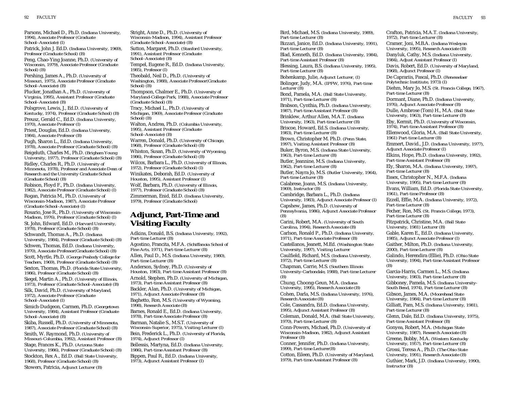Parsons, Michael D., Ph.D. *(Indiana University, 1994), Associate Professor (Graduate School–Associate) (I)*

Patrick, John J. Ed.D. *(Indiana University, 1969), Professor (Graduate School) (B)*

Peng, Chao-Ying Joanne, Ph.D. *(University of Wisconsin, 1979), Associate Professor (Graduate School) (B)*

Pershing, James A., Ph.D. *(University of Missouri, 1975), Associate Professor (Graduate School–Associate) (B)*

Plucker, Jonathan A., Ph.D. *(University of Virginia, 1995), Assistant Professor (Graduate School–Associate) (B)*

Polsgrove, Lewis, J., Ed.D. *(University of Kentucky, 1974), Professor (Graduate School) (B)* Preusz, Gerald C., Ed.D. *(Indiana University, 1970), Associate Professor (I)*

Priest, Douglas, Ed.D. *(Indiana University, 1984), Associate Professor (B)*

Pugh, Sharon L., Ed.D. *(Indiana University, 1978), Associate Professor (Graduate School) (B)*

Reigeluth, Charles M., Ph.D. *(Brigham Young University, 1977), Professor (Graduate School) (B)* Ridley, Charles R., Ph.D. *(University of Minnesota, 1978), Professor and Associate Dean of Research and the University Graduate School (Graduate School) (B)*

Robison, Floyd F., Ph.D. *(Indiana University, 1982), Associate Professor (Graduate School) (I)*

Rogan, Patricia M., Ph.D. *(University of Wisconsin-Madison, 1987), Associate Professor (Graduate School–Associate) (I)*

Rosario, Jose R., Ph.D. *(University of Wisconsin-Madison, 1976), Professor (Graduate School) (I)* St. John, Edward, Ed.D. *(Harvard University, 1978), Professor (Graduate School) (B)* Schwandt, Thomas A., Ph.D. *(Indiana University, 1984), Professor (Graduate School) (B)* Schwen, Thomas, Ed.D. *(Indiana University, 1970), Associate Professor(Graduate School) (B)*

Scott, Myrtle, Ph.D. *(George Peabody College for Teachers, 1969), Professor (Graduate School) (B)*

Sexton, Thomas, Ph.D. *(Florida State University, 1986), Professor (Graduate School) (B)*

Siegel, Martin A., Ph.D. *(University of Illinois, 1973), Professor (Graduate School–Associate) (B)* Silk, David, Ph.D. *(University of Maryland,*

*1972), Associate Professor (Graduate School–Associate) (I)*

Simich-Dudgeon, Carmen, Ph.D. *(Georgetown University, 1984), Assistant Professor (Graduate School–Associate) (B)*

Skiba, Russell, Ph.D. *(University of Minnesota, 1987), Associate Professor (Graduate School) (B)* Smith, W. Raymond, Ph.D. *(University of Missouri-Columbia, 1992), Assistant Professor (B)* Stage, Frances K., Ph.D. *(Arizona State University, 1986), Professor (Graduate School) (B)* Stockton, Rex A., Ed.D. *(Ball State University, 1968), Professor (Graduate School) (B)* Stowers, Patricia, *Adjunct Lecturer (B)*

Stright, Anne D., Ph.D. *(University of Wisconsin-Madison, 1994), Assistant Professor (Graduate School–Associate) (B)* Sutton, Margaret, Ph.D. *(Stanford University, 1991), Assistant Professor (Graduate School–Associate) (B)* Tempel, Eugene R., Ed.D. *(Indiana University, 1985), Professor (I)* Theobald, Neil D., Ph.D. *(University of Washington, 1988), Associate Professor(Graduate School) (B)* Thompson, Chalmer E., Ph.D. *(University of Maryland-College Park, 1988), Associate Professor (Graduate School) (B)* Tracy, Michael L., Ph.D. *(University of Michigan, 1969), Associate Professor (Graduate School) (B)* Walton, Andrea, Ph.D. *(Columbia University, 1995), Assistant Professor (Graduate School–Associate) (B)* Warren, Donald, Ph.D. *(University of Chicago, 1968), Professor (Graduate School) (B)* Whiston, Susan, Ph.D. *(University of Wyoming, 1986), Professor (Graduate School) (B)* Wilcox, Barbara L., Ph.D. *(University of Illinois, 1972), Professor (Graduate School) (I)* Winikates, Deborah, Ed.D. *(University of Houston, 1995), Assistant Professor (I)* Wolf, Barbara, Ph.D. *(University of Illinois, 1977), Professor (Graduate School) (B)* Zimmerman, Enid, Ed.D. *(Indiana University,*

*1979), Professor (Graduate School)* 

# **Adjunct, Part-Time and Visiting Faculty**

Adkins, Donald, B.S. *(Indiana University, 1992), Part-time Lecturer (B)*

Agostino, Francita, M.F.A. *(Schiffanoia School of Fine Arts, 1971), Part-time Lecturer (B)* Allen, Paul D., M.S. *(Indiana University, 1980),*

*Part-time Lecturer (B)* Anderson, Sydney, Ph.D. *(University of Houston, 1983), Part-time Assistant Professor (B)* Arnold, Stephen, Ph.D. *(University of Michigan, 1973), Part-time Assistant Professor (B)* Backler, Alan, Ph.D. *(University of Michigan, 1971), Adjunct Associate Professor (B)*

Baghetto, Ron, M.S. *(University of Wyoming, 1998), Research Associate (B)* Barnes, Ronald E., Ed.D. *(Indiana University,*

*1978), Part-time Associate Professor (B)* Barman, Natalie S., M.S.T. *(University of Wisconsin-Superior, 1975), Visiting Lecturer (I)* Bein, Frederick L., Ph.D. *(University of Florida, 1974), Adjunct Professor (I)* Bellessis, Martyna, Ed.D. *(Indiana University,*

*1986), Part-time Assistant Professor (B)* Bippen, Paul R., Ed.D. *(Indiana University, 1973), Adjunct Assistant Professor (I)*

Bird, Michael, M.S. *(Indiana University, 1989), Part-time Lecturer (B)* Bizzari, Janice, Ed.D. *(Indiana University, 1991), Part-time Lecturer (B)* Blad, Kenneth, Ed.D. *(Indiana University, 1984), Part-time Assistant Professor (B)* Blessing, Laura, B.S. *(Indiana University, 1995), Part-time Lecturer (B)* Bohenkamp, Julie, *Adjunct Lecturer, (I)* Bolinger, Judy, M.A. *(IPFW, 1976), Part-time Lecturer (B)* Bond, Pamela, M.A. *(Ball State University, 1971), Part-time Lecturer (B)* Brabson, Cynthia, Ph.D. *(Indiana University, 1987), Part-time Assistant Professor (B)* Brinklew, Arthur Allen, M.A.T. *(Indiana University, 1963), Part-time Lecturer (B)* Briscoe, Howard, Ed.S. *(Indiana University, 1983), Part-time Lecturer (B)* Brown, Christopher M. Ph.D. *(Penn State, 1997), Visiting Assistant Professor (B)* Buker, Byron, M.S. *(Indiana State University, 1963), Part-time Lecturer (B)* Butler, Jeannine, M.S. *(Indiana University, 1962), Part-time Lecturer (B)* Butler, Nayra Jo, M.S. *(Butler University, 1964), Part-time Lecturer (B)* Calabrese, Joann, M.S. *(Indiana University, 1969), Instructor (B)* Cambridge, Barbara L., Ph.D. *(Indiana University, 1983), Adjunct Associate Professor (I)* Capshew, James, Ph.D. *(University of Pennsylvania, 1986), Adjunct Associate Professor (B)* Carini, Robert, M.A. *(University of South Carolina, 1994), Research Associate (B)* Carlson, Ronald P., Ph.D. *(Indiana University, 1971), Part-time Associate Professor (B)* Castellanos, Jeanett, M.Ed. *(Washington State University, 1997), Visiting Lecturer* Caulfield, Richard, M.S. *(Indiana University, 1972), Part-time Lecturer (B)* Chapman, Carrie, M.S. *(Southern Illinois University-Carbondale, 1988), Part-time Lecturer (B)* Chung, Choong-Geun, M.A. *(Indiana University, 1995), Research Associate (B)* Cohen, Darla, M.S. *(Indiana University, 1976), Research Associate (B)* Cole, Cassandra, Ed.D. *(Indiana University, 1995), Adjunct Assistant Professor (B)* Coleman, Donald, M.A. *(Ball State University, 1970), Part-time Lecturer (B)* Conn-Powers, Michael, Ph.D. *(University of Wisconsin-Madison, 1982), Adjunct Assistant Professor (B)* Conner, Jennifer, Ph.D. *(Indiana University, 1999), Part-time Lecturer(B)* Cotton, Eileen, Ph.D. *(University of Maryland, 1979), Part-time Assistant Professor (B)*

Crafton, Patricia, M.A.T. *(Indiana University, 1972), Part-time Lecturer (B)* Cramer, Joni, M.B.A. *(Indiana Wesleyan University, 1995), Research Associate (B)* Danyluk, Cathy, M.S. *(Indiana University, 1984), Adjust Assistant Professor (I)*  Davis, Robert, Ed.D. *(University of Maryland, 1968), Adjunct Professor (I)* De Caprariis, Pascal, Ph.D. *(Renesselaer Polytechnic Institiute, 1973) (I)* Diehm, Mary Jo, M.S. *(St. Francis College, 1967), Part-time Lecturer (B)* Dormant, Diane, Ph.D. *(Indiana University, 1976), Adjunct Associate Professor (B)* Dulle, Ambrose (Tom) H., M.A. *(Ball State University, 1963), Part-time Lecturer (B)* Eby, Kermit, Ph.D. *(University of Wisconsin, 1974), Part-time Assistant Professor (B)* Ellenwood, Gloria, M.A. *(Ball State University, 1961) Part-time Lecturer (B)* Emmert, David., J.D. *(Indiana University, 1977), Adjunct Associate Professor (I)* Elkins, Hope, Ph.D. *(Indiana University, 1992), Part-time Assistant Professor (B)* Ely, Sharon, M.A. *(Indiana University, 1997), Part-time Lecturer (B)* Essex, Christopher N., M.F.A. *(Indiana University, 1995), Part-time Lecturer (B)*  Evans, William, Ed.D. *(Florida State University, 1961), Part-time Professor (B)* Ezzell, Effie, M.A. *(Indiana University, 1972), Part-time Lecturer (B)* Fecher, Ron, MS. *(St. Francis College, 1973), Part-time Lecturer (B)*  Fitzpatrick, Christine, M.A. *(Ball State University, 1981) Lecturer (B)* Gable, Karen E., Ed.D. *(Indiana University, 1985), Adjunct Associate Professor (I)* Gaither, Milton, Ph.D. *(Indiana University, 2000), Part-time Lecturer (B)* Galindo, Herendira (Ellie), Ph.D. *(Ohio State University, 1994), Part-time Assistant Professor (B)* Garcia-Harris, Carmen L., M.S. *(Indiana University, 1983), Part-time Lecturer (B)* Gibboney, Pamela, M.S. *(Indiana University-South Bend, 1974), Part-time Lecturer (B)* Gibson, James, M.A. *(Moorehead State University, 1984), Part-time Lecturer (B)* Gilliatt, Pam, M.S. *(Indiana University, 1981), Part-time Lecturer (B)* Glenn, Dale, Ed.D. *(Indiana University, 1975), Part-time Assistant Professor (B)* Gonyea, Robert, M.A. *(Michigan State University, 1987), Research Associate (B)* Greene, Bobby, M.A. *(Western Kentucky University, 1957), Part-time Lecturer (B)* Grossi, Teresa A., Ph.D. *(The Ohio State University, 1991), Research Associate (B)* Guthier, Mark, J.D. *(Indiana University, 1990), Instructor (B)*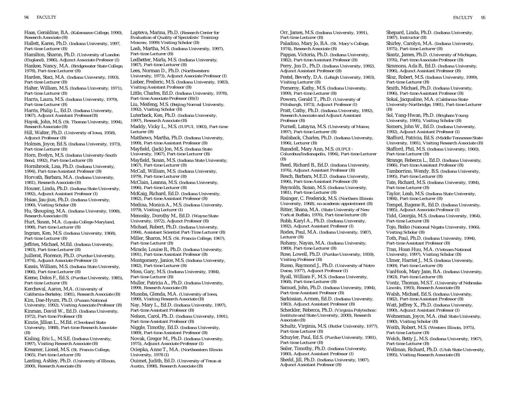Haas, Geraldine, B.A. *(Kalamazoo College, 1990), Research Associate (B)* Hallett, Karen, Ph.D. *(Indiana University, 1997, Part-time Lecturer (B)* Hamilton, Sharon, Ph.D. *(University of London (England), 1986), Adjunct Associate Professor (I)* Hankee, Nancy, M.A. *(Bridgewater State College, 1978), Part-time Lecturer (B)* Harden, Staci, M.A. *(Indiana University, 1993), Part-time Lecturer (B)* Halter, William, M.S. *(Indiana University, 1971), Part-time Lecturer (B)* Harris, Laura, M.S. *(Indiana University, 1979), Part-time Lecturer (B)* Harris, Philip L., Ed.D. *(Indiana University, 1967), Adjunct Assistant Professor(B)* Hayek, John, M.S. *(St. Thomas University, 1994), Research Associate (B)* Hill, Walter, Ph.D. *(University of Iowa, 1958), Adjunct Professor (B)* Holmes, Joyce, Ed.S. *(Indiana University, 1973), Part-time Lecturer (B)* Horn, Evelyn, M,S. *(Indiana University-South Bend, 1992), Part-time Lecturer (B)* Hornibrook, Lisa, Ph.D. *(Indiana University, 1994), Part-time Assistant Professor (B)* Horvath, Barbara, M.A. *(Indiana University, 1981), Research Associate (B)* Houser, Linda, Ph.D. *(Indiana State University, 1992), Adjunct Assistant Professor (I)* Hsiao, Jau-jiun, Ph.D. *(Indiana University, 1990), Visiting Scholar (B)* Hu, Shouping, M.A. *(Indiana University, 1998), Research Associate (B)* Hurt, Susan, M.A. *(Loyala College-Maryland, 1998), Part-time Lecturer (B)* Ingram, Ken, M.S. *(Indiana University, 1968), Part-time Lecturer (B)* Jeffries, Michael, M.Ed. *(Indiana University, 1983), Part-time Lecturer (B)* Juillerat, Florence, Ph.D. *(Purdue University, 1974), Adjunct Associate Professor (I)* Kassis, William, M.S. *(Indiana State University, 1966), Part-time Lecturer (B)* Keene, Delos F., Ed.S. *(Purdue University, 1985), Part-time Lecturer (B)* Kercheval, Aaron, M.A. *(University of California-Berkeley, 1981), Research Associate (B)* Kim, Dae-Hyum, Ph.D. *(Pusam National University, 1992), Visiting Associate Professor (B)* Kinman, David W., Ed.D. *(Indiana University, 1972), Part-time Professor (B)* Kinzie, Jillian L., M.Ed. *(Cleveland State University, 1988), Part-time Research Associate (B)* Kisling, Eric L., M.S.E. (*Indiana University, 1997), Visiting Research Associate (B)* Kreamer, Lionel, M.S. *(St. Francis College, 1965), Part-time Lecturer (B)* Lanting, Ashley, Ph.D. *(University of Illinois,*

*2000), Research Associate (B)*

Lapteva, Marina, Ph.D. *(Research Center for Evaluation of Quality of Specialists' Training-Moscow, 1999) Visiting Scholar (B)* Lash, Martha, M.S. *(Indiana University, 1997), Part-time Lecturer (B)* Ledbetter, Marla, M.S. *(Indiana University, 1987), Part-time Lecturer (B)* Lees, Norman D., Ph.D. *(Northwestern University, 1973), Adjunct Associate Professor (I)* Lieber, Frederic, M.S. *(Indiana University, 1983), Visiting Assistant Professor (B)* Little, Charles, Ed.D. *(Indiana University, 1978), Part-time Associate Professor (B)(I)* Liu, Meifeng, M.S. *(Beijing Normal University, 1992), Visiting Scholar (B)* Luterback, Ken, Ph.D. *(Indiana University, 1997), Research Associate (B)* Maddy, Vicky L., M.S. *(IUPUI, 1983), Part-time Lecturer (B)* Matthews, Martha, Ph.D. *(Indiana University, 1999), Part-time Assistant Professor (B)* Mayfield, (Jack) Jon, M.S. *(Indiana State University, 1967), Part-time Lecturer (B)* Mayfield, Susan, M.S. *(Indiana State University, 1967), Part-time Lecturer (B)* McCall, William, M.S. *(Indiana University, 1979), Part-time Lecturer (B)* McClain, Leanna, M.S. *(Indiana University, 1996), Part-time Lecturer (B)* McKaig, Richard, Ed.D. *(Indiana University, 1982), Part-time Assistant Professor (B)* Medina, Monica A., M.S. *(Indiana University, 1979), Visiting Lecturer (I)* Menosky, Dorothy M., Ed.D. *(Wayne State University, 1972), Adjunct Professor (B)* Michael, Robert, Ph.D. *(Indiana University, 1994), Assistant Scientist Part-Time Lecturer (B)* Miller, Sharon, M.S. *(St. Francis College, 1967), Part-time Lecturer (B)* Miracle, Louise B., Ph.D. *(Indiana University, 1991), Part-time Assistant Professor (B)* Montgomery, Janice, M.S. *(Indiana University, 1982), Part-time Lecturer (B)* Moss, Gary, M.S. *(Indiana University, 1984), Part-time Lecturer (B)* Muller, Patricia A., Ph.D. *(Indiana University, 1999), Research Associate (B)* Musoba, Glenda, M.A. *(University of Iowa, 1990), Visiting Research Associate (B)* Nay, Mary L., Ed.D. *(Indiana University, 1997), Part-time Assistant Professor (B)* Nelson, Carol, Ph..D. *(Indiana University, 1991), Part-time Assistant Professor (B)* Niggle, Timothy, Ed.D. *(Indiana University, 1989), Part-time Assistant Professor (B)* Novak, Gregor M., Ph.D. *(Indiana University, 1975), Adjunct Associate Professor (I)* Ociepka, Anne T., M.A. *(Northeastern Illinois University, 1978 (I)* Ouimet, Judith, Ed.D. *(University of Texas at Austin, 1998), Research Associate (B)* 

Orr, James, M.S. *(Indiana University, 1991), Part-time Lecturer (B)* Paladino, Mary Jo, B.A. *(St. Mary's College, 1974), Research Associate (B)* Pappas, Victoria, Ph.D. *(Indiana University, 1982), Part-time Assistant Professor (B)* Perry, Jon D., Ph.D. *(Indiana University, 1992), Adjunct Assistant Professor (B)* Pestel, Beverly, D.A. *(Lehigh University, 1983), Visiting Lecturer (B)* Pomeroy, Kathy, M.S. *(Indiana University, 1999), Part-time Lecturer (B)* Powers, Gerald T., Ph.D. *(University of Pittsburgh, 1973), Adjunct Professor (I)* Pratt, Cathy, Ph.D. *(Indiana University, 1992), Research Associate and Adjunct Assistant Professor (B)* Purnell, Latayna, M.S. *(University of Maine, 1997), Part-time Lecturer (B)* Railsback, Charles, Ph.D. *(Indiana University, 1996), Lecturer (B)* Ransdell, Mary Ann, M.S. *(IUPUI - Columbus/Indianapolis, 1994), Part-time Lecturer (B)* Reed, Richard B., Ed.D. *(Indiana University, 1976), Adjunct Assistant Professor (B)* Resch, Barbara, M.E.D. *(Indiana University, 1996), Part-time Assistant Professor (B)* Reynolds, Susan, M.S. *(Indiana University, 1981), Part-time Lecturer (B)* Risinger, C. Frederick, M.S. *(Northern Illinois University, 1968), no academic appointment (B)* Ritter, Shana, M.A. *(State University of New York at Buffalo, 1976), Part-time lecturer (B)* Robb, Karyl A., Ph.D. *(Indiana University, 1992), Adjunct Assistant Professor (I)* Rodes, Paul, M.A. *(Indiana University, 1987), Lecturer (B)* Rohany, Nayan, M.A. *(Indiana University, 1989), Part-time Lecturer (B)* Rose, Lowell, Ph.D. *(Purdue University, 1959), Visiting Professor (B)* Russo, Raymond J., Ph.D. *(University of Notre Dame, 1977), Adjunct Professor (I)* Ryall, William F., M.S. *(Indiana University, 1968), Part-time Lecturer (B)* Samuel, John, Ph.D. *(Indiana University, 1984), Part-time Assistant Professor (B)* Sarkissian, Armen, Ed.D. *(Indiana University, 1983), Adjunct Assistant Professor (B)* Scheckler, Rebecca, Ph.D. *(Virginia Polytechnic Institute and State University, 2000), Research Associate (B)* Schultz, Virginia, M.S. *(Butler University, 1977), Part-time Lecturer (B)* Schuyler, Paul, Ed.S. *(Purdue University, 1981), Part-time Lecturer (B)* Seiler, Timothy, Ph.D. *(Indiana University, 1980), Adjunct Assistant Professor (I)* Shedd, Jill, Ph.D. *(Indiana University, 1987), Adjunct Assistant Professor (B)*

Shepard, Linda, Ph.D. *(Indiana University, 1987), Instructor (B)* Shirley, Carolyn, M.A. *(Indiana University, 1975), Part-time Lecturer (B)* Siantz, James, Ph.D. *(University of Michigan, 1976), Part-time Associate Professor (B)* Simmons, Ada B., Ed.D. *(Indiana University, 1996), Adjunct Assistant Professor (B)* Slisz, Robert, M.S. *(Indiana University, 1999), Part-time Lecturer (B)* Smith, Michael, Ph.D. *(Indiana University, 1996), Part-time Assistant Professor (B)* Sokal, Jacqualine, M.A. *(California State University-Northridge, 1981), Part-time Lecturer (B)* Sol, Yang-Hwan, Ph.D. *(Brigham Young University, 1995), Visiting Scholar (B)* Somers, John W., Ed.D. *(Indiana University, 1992), Adjunct Assistant Professor (I)* Stafford, Patricia, Ed.S. *(Middle Tennessee State University, 1981), Visiting Research Associate (B)* Stafford, Phil, M.S. *(Indiana University, 1960), Part-time Lecturer (B)* Strange, Rebecca L., Ed.D. *(Indiana University, 1986), Part-time Assistant Professor (B)* Tamborrino, Wendy. B.S. *(Indiana University, 1995), Part-time Lecturer (B)* Tate, Richard, M.S. *(Indiana University, 1984), Part-time Lecturer (B)* Taylor, Leah, M.S. *(Indiana State University, 1984), Part-time Lecturer (B)* Tempel, Eugene R., Ed.D. *(Indiana University, 1985), Adjunct Associate Professor (I)* Tidd, Georgia, M.S. *(Indiana University, 1964), Part-time Lecturer (B)* Tojo, Reiko *(National Nigata University, 1966), Visiting Scholar (B)* Toth, Paul, Ph.D. *(Indiana University, 1994), Part-time Assistant Professor (B)* Tran, Hoan Huu, M.A. *(Vietnam National University, 1997), Visiting Scholar (B)* Ulmer, Harriet J., M.S. *(Indiana University, 1969), Part-time Lecturer (B)* VanHook, Mary Jane, B.A. *(Indiana University, 1963), Part-time Lecturer (B)* Vontz, Thomas, M.S.T. *(University of Nebraska-Lincoln, 1993), Research Associate (B)* Walsh, Michael, Ed.S. *(Indiana University, 1982), Part-time Assistant Professor (B)* Watt, Jeffrey X., Ph.D. *(Indiana University, 1990), Adjunct Assistant Professor (I)* Wehneman, Joyce, M.A. *(Ball State University, 1980), Visiting Scholar (B)* Weith, Robert, M.S. *(Western Illinois, 1975), Part-time Lecturer (B)* Welch, Betty J., M.S. *(Indiana University, 1967), Part-time Lecturer (B)* Wellman, Richard, Ph.D. *(Utah State University, 1995), Visiting Research Associate (B)*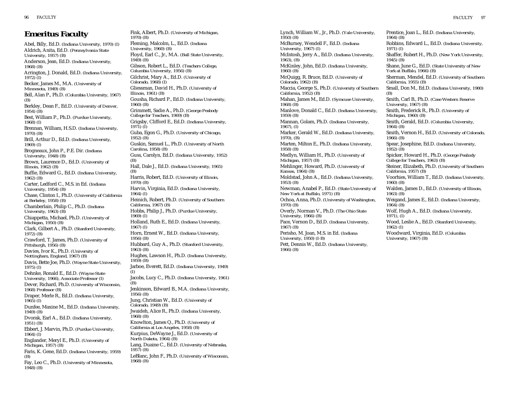**Emeritus Faculty** Abel, Billy, Ed.D. *(Indiana University, 1970) (I)* Aldrich, Anita, Ed.D. *(Pennsylvania State University, 1957) (B)* Anderson, Jean, Ed.D. *(Indiana University, 1968) (B)* Arrington, J. Donald, Ed.D. *(Indiana University, 1972) (I)* Becker, James M., M.A. *(University of Minnesota, 1949) (B)* Bell, Alan P., Ph.D. *(Columbia University, 1967) (B)* Berkley, Dean F., Ed.D. *(University of Denver, 1954) (B)* Best, William P., Ph.D. *(Purdue University, 1968) (I)* Brennan, William, H.S.D. *(Indiana University, 1970) (B)* Brill, Arthur D., Ed.D. *(Indiana University, 1969) (I)* Brogneaux, John P., P.E. Dir. *(Indiana University, 1948) (B)* Brown, Laurence D., Ed.D. *(University of Illinois, 1962) (B)* Buffie, Edward G., Ed.D. *(Indiana University, 1962) (B)* Carter, Ledford C., M.S. in Ed. *(Indiana University, 1954) (B)* Chase, Clinton I., Ph.D. *(University of California at Berkeley, 1958) (B)* Chamberlain, Philip C., Ph.D. *(Indiana University, 1963) (B)* Chiappetta, Michael, Ph.D. *(University of Michigan, 1950) (B)* Clark, Gilbert A., Ph.D. *(Stanford University, 1972) (B)* Crawford, T. James, Ph.D. *(University of Pittsburgh, 1956) (B)* Davies, Ivor K., Ph.D. *(University of Nottingham, England, 1967) (B)* Davis, Bette Joe, Ph.D. *(Wayne State University, 1975) (I)* Dehnke, Ronald E., Ed.D. *(Wayne State University, 1966), Associate Professor (I)* Dever, Richard, Ph.D. *(University of Wisconsin, 1968) Professor (B)* Draper, Merle R., Ed.D. *(Indiana University, 1965) (I)* Dunfee, Maxine M., Ed.D. *(Indiana University, 1949) (B)* Dvorak, Earl A., Ed.D. *(Indiana University, 1951) (B)* Ebbert, J. Marvin, Ph.D. *(Purdue University, 1964) (I)* Englander, Meryl E., Ph.D. *(University of Michigan, 1957) (B)* Faris, K. Gene, Ed.D. *(Indiana University, 1959) (B)* Fay, Leo C., Ph.D. *(University of Minnesota, 1948) (B) 1970) (B) 1949) (B) 1960) (B) 1971) (I) 1952) (B) (B) (B) 1970) (B) 1964) (I) 1969) (I) 1967) (I) 1956) (B) 1963) (B) 1959) (B) (I) (B) 1956) (B) 1968) (B) 1957) (B)* LeBlanc, John F., Ph.D. *(University of Wisconsin, 1968) (B)*

Fink, Albert, Ph.D. *(University of Michigan,* Fleming, Malcolm, L., Ed.D. *(Indiana University, 1960) (B)* Floyd, Earl C., Jr., M.A. *(Ball State University,* Gibson, Robert L., Ed.D. *(Teachers College, Columbia University, 1956) (B)* Gilchrist, Mary A., Ed.D. *(University of Colorado, 1968) (I)* Gliessman, David H., Ph.D. *(University of Illinois, 1961) (B)* Gousha, Richard P., Ed.D. *(Indiana University,* Grimmett, Sadie A., Ph.D. *(George Peabody College for Teachers, 1969) (B)* Grigsby, Clifford E., Ed.D. *(Indiana University,* Guba, Egon G., Ph.D. *(University of Chicago,* Guskin, Samuel L., Ph.D. *(University of North Carolina, 1958) (B)* Guss, Carolyn, Ed.D. *(Indiana University, 1952)* Hall, Dale J., Ed.D. *(Indiana University, 1965)* Harris, Robert, Ed.D. *(University of Illinois,* Harvin, Virginia, Ed.D. *(Indiana University,* Heinich, Robert, Ph.D. *(University of Southern California, 1967) (B)* Hobbs, Philip J., Ph.D. *(Purdue University,* Holland, Ruth E., Ed.D. *(Indiana University,* Horn, Ernest W., Ed.D. *(Indiana University,* Hubbard, Guy A., Ph.D. *(Stanford University,* Hughes, Lawson H., Ph.D. *(Indiana University,* Jarboe, Everett, Ed.D. *(Indiana University, 1949)* Jacobs, Lucy C., Ph.D. *(Indiana University, 1961)* Jenkinson, Edward B., M.A. *(Indiana University,* Jung, Christian W., Ed.D. *(University of Colorado, 1949) (B)* Jwaideh, Alice R., Ph.D. *(Indiana University,* Knowlton, James Q., Ph.D. *(University of California at Los Angeles, 1958) (B)* Kurpius, DeWayne J., Ed.D. *(University of North Dakota, 1964) (B)* Lang, Duaine C., Ed.D. *(University of Nebraska,*

Lynch, William W., Jr., Ph.D. *(Yale University, 1950) (B)* McBurney, Wendell F., Ed.D. *(Indiana University, 1967) (I)* McIntosh, Jerry A., Ed.D. *(Indiana University, 1963), (B)* McKinley, John, Ed.D. *(Indiana University, 1960) (B)*  McQuigg, R. Bruce, Ed.D. *(University of Colorado, 1962) (B)* Maccia, George S., Ph.D. *(University of Southern California, 1952) (B)* Mahan, James M., Ed.D. *(Syracuse University, 1968) (B)* Manlove, Donald C., Ed.D. *(Indiana University, 1959) (B)* Mannan, Golam, Ph.D. *(Indiana University, 1967), (I)* Marker, Gerald W., Ed.D. *(Indiana University, 1970), (B)* Marten, Milton E., Ph.D. *(Indiana University, 1958) (B)* Medlyn, William H., Ph.D. *(University of Michigan, 1957) (B)* Mehlinger, Howard, Ph.D. *(University of Kansas, 1964) (B)* Moldstad, John A., Ed.D. *(Indiana University, 1953) (B)* Newman, Anabel P., Ed.D. *(State University of New York at Buffalo, 1971) (B)* Ochoa, Anna, Ph.D. *(University of Washington, 1970) (B)* Overly, Norman V., Ph.D. *(The Ohio State University, 1966) (B)* Pace, Vernon D., Ed.D. *(Indiana University, 1967) (B)* Perisho, M. Joan, M.S. in Ed. *(Indiana University, 1950) (I-B)* Pett, Dennis W., Ed.D. *(Indiana University, 1966) (B)*

Prentice, Joan L., Ed.D. *(Indiana University,*

Robbins, Edward L., Ed.D. *(Indiana University, 1971) (I)* Shaffer, Robert H., Ph.D. *(New York University, 1945) (B)* Shane, June G., Ed.D. *(State University of New York at Buffalo, 1966) (B)* Sherman, Mendel, Ed.D. *(University of Southern California, 1955) (B)* Small, Don M., Ed.D. *(Indiana University, 1980) (B)* Smith, Carl B., Ph.D. *(Case Western Reserve University, 1967) (B)* Smith, Frederick R., Ph.D. *(University of Michigan, 1960) (B)* Smith, Gerald, Ed.D. *(Columbia University, 1964) (B)* Smith, Vernon H., Ed.D. *(University of Colorado, 1966) (B)* Spear, Josephine, Ed.D. *(Indiana University, 1952) (B)* Spicker, Howard H., Ph.D. *(George Peabody College for Teachers, 1963) (B)* Steiner, Elizabeth, Ph.D. *(University of Southern California, 1957) (B)* Voorhies, William T., Ed.D. *(Indiana University, 1960) (B)* Walden, James D., Ed.D. *(University of Illinois, 1963) (B)* Weigand, James E., Ed.D. *(Indiana University, 1964) (B)* Wolf, Hugh A., Ed.D. *(Indiana University, 1971), (I)* Wood, Leslie A., Ed.D. *(Stanford University, 1962) (I)* Woodward, Virginia, Ed.D. *(Columbia University, 1967) (B)*

*1964) (B)*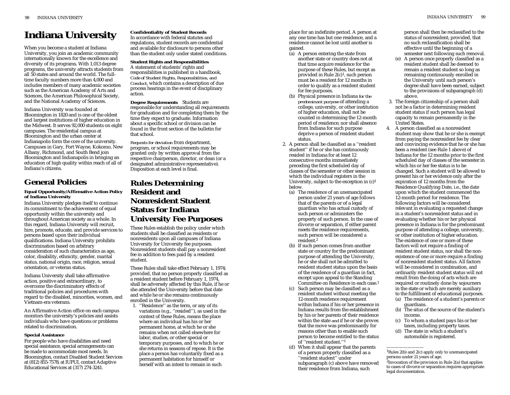# **Indiana University**

When you become a student at Indiana University, you join an academic community internationally known for the excellence and diversity of its programs. With 1,013 degree programs, the university attracts students from all 50 states and around the world. The fulltime faculty numbers more than 4,000 and includes members of many academic societies such as the American Academy of Arts and Sciences, the American Philosophical Society, and the National Academy of Sciences.

Indiana University was founded at Bloomington in 1820 and is one of the oldest and largest institutions of higher education in the Midwest. It serves 92,000 students on eight campuses. The residential campus at Bloomington and the urban center at Indianapolis form the core of the university. Campuses in Gary, Fort Wayne, Kokomo, New Albany, Richmond, and South Bend join Bloomington and Indianapolis in bringing an education of high quality within reach of all of Indiana's citizens.

# **General Policies**

### **Equal Opportunity/Affirmative Action Policy of Indiana University**

Indiana University pledges itself to continue its commitment to the achievement of equal opportunity within the university and throughout American society as a whole. In this regard, Indiana University will recruit, hire, promote, educate, and provide services to persons based upon their individual qualifications. Indiana University prohibits discrimination based on arbitrary consideration of such characteristics as age, color, disability, ethnicity, gender, marital status, national origin, race, religion, sexual orientation, or veteran status.

Indiana University shall take affirmative action, positive and extraordinary, to overcome the discriminatory effects of traditional policies and procedures with regard to the disabled, minorities, women, and Vietnam-era veterans.

An Affirmative Action office on each campus monitors the university's policies and assists individuals who have questions or problems related to discrimination.

### **Special Assistance**

For people who have disabilities and need special assistance, special arrangements can be made to accommodate most needs. In Bloomington, contact Disabled Student Services at (812) 855-7578; at IUPUI, contact Adaptive Educational Services at (317) 274-3241.

# **Confidentiality of Student Records** In accordance with federal statutes and

regulations, student records are confidential and available for disclosure to persons other than the student only under stated conditions.

#### **Student Rights and Responsibilities** A statement of students' rights and responsibilities is published in a handbook, *Code of Student Rights, Responsibilities, and Conduct*, which contains a description of due process hearings in the event of disciplinary action.

**Degree Requirements** Students are responsible for understanding all requirements for graduation and for completing them by the time they expect to graduate. Information about a specific school or division can be found in the front section of the bulletin for that school.

*Requests for deviation* from department, program, or school requirements may be granted only by written approval from the respective chairperson, director, or dean (or a designated administrative representative). Disposition at each level is final.

# **Rules Determining Resident and Nonresident Student Status for Indiana University Fee Purposes**

These Rules establish the policy under which students shall be classified as residents or nonresidents upon all campuses of Indiana University for University fee purposes. Nonresident students shall pay a nonresident fee in addition to fees paid by a resident student.

These Rules shall take effect February 1, 1974; provided, that no person properly classified as a resident student before February 1, 1974, shall be adversely affected by this Rule, if he or she attended the University before that date and while he or she remains continuously enrolled in the University.

1. ''Residence'' as the term, or any of its variations (e.g., ''resided''), as used in the context of these Rules, means the place where an individual has his or her permanent home, at which he or she remains when not called elsewhere for labor, studies, or other special or temporary purposes, and to which he or she returns in seasons of repose. It is the place a person has voluntarily fixed as a permanent habitation for himself or herself with an intent to remain in such

place for an indefinite period. A person at any one time has but one residence, and a residence cannot be lost until another is gained.

- $\bar{a}$ ) A person entering the state from another state or country does not at that time acquire residence for the purpose of these Rules, but except as provided in Rule 2(c)1, such person must be a resident for 12 months in order to qualify as a resident student for fee purposes.
- (b) Physical presence in Indiana *for the predominant purpose* of attending a college, university, or other institution of higher education, shall not be counted in determining the 12-month period of residence; nor shall absence from Indiana for such purpose deprive a person of resident student status.
- 2. A person shall be classified as a ''resident student'' if he or she has continuously resided in Indiana for at least 12 consecutive months immediately preceding the first scheduled day of classes of the semester or other session in which the individual registers in the University, subject to the exception in (c)1 below.
	- (a) The residence of an unemancipated person under 21 years of age follows that of the parents or of a legal guardian who has actual custody of such person or administers the property of such person. In the case of divorce or separation, if either parent meets the residence requirements, such person will be considered a resident.2
	- (b) If such person comes from another state or country for the predominant purpose of attending the University, he or she shall not be admitted to resident student status upon the basis of the residence of a guardian in fact, except upon appeal to the Standing Committee on Residence in each case.1
	- (c) Such person may be classified as a resident student without meeting the 12-month residence requirement within Indiana if his or her presence in Indiana results from the establishment by his or her parents of their residence within the state *and* if he or she proves that the move was predominantly for reasons other than to enable such person to become entitled to the status of ''resident student.''1
	- (d) When it shall appear that the parents of a person properly classified as a ''resident student'' under subparagraph (c) above have removed

their residence from Indiana, such

person shall then be reclassified to the status of nonresident; provided, that no such reclassification shall be effective until the beginning of a semester next following such removal.

- (e) A person once properly classified as a resident student shall be deemed to remain a resident student so long as remaining continuously enrolled in the University until such person's degree shall have been earned, subject to the provisions of subparagraph (d) above.
- 3. The foreign citizenship of a person shall not be a factor in determining resident student status if such person has legal capacity to remain permanently in the United States.
- 4. A person classified as a nonresident student may show that he or she is exempt from paying the nonresident fee by clear and convincing evidence that he or she has been a resident (see Rule 1 above) of Indiana for the 12 months prior to the first scheduled day of classes of the semester in which his or her fee status is to be changed. Such a student will be allowed to present his or her evidence only after the expiration of 12 months from the Residence Qualifying Date, i.e., the date upon which the student commenced the 12-month period for residence. The following factors will be considered relevant in evaluating a requested change in a student's nonresident status and in evaluating whether his or her physical presence in Indiana is for the predominant purpose of attending a college, university, or other institution of higher education. The existence of one or more of these factors will not require a finding of resident student status, nor shall the nonexistence of one or more require a finding of nonresident student status. All factors will be considered in combination, and ordinarily resident student status will not result from the doing of acts which are required or routinely done by sojourners in the state or which are merely auxiliary to the fulfillment of educational purposes.
	- (a) The residence of a student's parents or guardians.
	- (b) The situs of the source of the student's income.
	- (c) To whom a student pays his or her taxes, including property taxes.
	- (d) The state in which a student's automobile is registered.

<sup>1</sup>Rules 2(b) and 2(c) apply only to unemancipated persons under 21 years of age.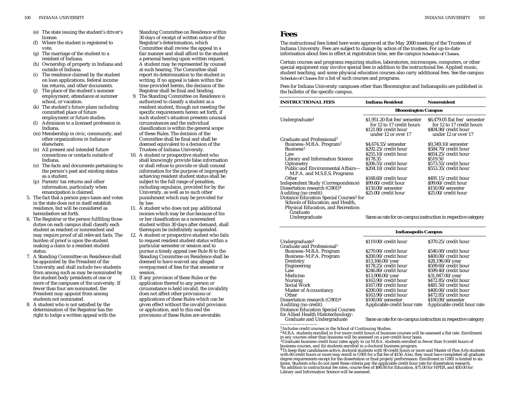- (e) The state issuing the student's driver's license.
- (f) Where the student is registered to vote.
- (g) The marriage of the student to a resident of Indiana.
- (h) Ownership of property in Indiana and outside of Indiana.
- The residence claimed by the student on loan applications, federal income tax returns, and other documents.
- The place of the student's summer employment, attendance at summer school, or vacation.
- (k) The student's future plans including committed place of future employment or future studies.
- (l) Admission to a licensed profession in Indiana.
- (m) Membership in civic, community, and other organizations in Indiana or elsewhere.
- (n) All present and intended future connections or contacts outside of Indiana.
- (o) The facts and documents pertaining to the person's past and existing status as a student.
- (p) Parents' tax returns and other information, particularly when emancipation is claimed.
- 5. The fact that a person pays taxes and votes in the state does not in itself establish residence, but will be considered as hereinbefore set forth.
- 6. The Registrar or the person fulfilling those duties on each campus shall classify each student as resident or nonresident and may require proof of all relevant facts. The burden of proof is upon the student making a claim to a resident student status.
- 7. A Standing Committee on Residence shall be appointed by the President of the University and shall include two students from among such as may be nominated by the student body presidents of one or more of the campuses of the university. If fewer than four are nominated, the President may appoint from among students not nominated.
- 8. A student who is not satisfied by the determination of the Registrar has the right to lodge a written appeal with the

Standing Committee on Residence within 30 days of receipt of written notice of the Registrar's determination, which Committee shall review the appeal in a fair manner and shall afford to the student a personal hearing upon written request. A student may be represented by counsel at such hearing. The Committee shall report its determination to the student in writing. If no appeal is taken within the time provided herein, the decision of the Registrar shall be final and binding.

- 9. The Standing Committee on Residence is authorized to classify a student as a resident student, though not meeting the specific requirements herein set forth, if such student's situation presents unusual circumstances and the individual classification is within the general scope of these Rules. The decision of the Committee shall be final and shall be deemed equivalent to a decision of the Trustees of Indiana University.
- 10. A student or prospective student who shall knowingly provide false information or shall refuse to provide or shall conceal information for the purpose of improperly achieving resident student status shall be subject to the full range of penalties, including expulsion, provided for by the University, as well as to such other punishment which may be provided for by law.
- 11. A student who does not pay additional monies which may be due because of his or her classification as a nonresident student within 30 days after demand, shall thereupon be indefinitely suspended.
- 12. A student or prospective student who fails to request resident student status within a particular semester or session and to pursue a timely appeal (see Rule 8) to the Standing Committee on Residence shall be deemed to have waived any alleged overpayment of fees for that semester or session.
- 13. If any provision of these Rules or the application thereof to any person or circumstance is held invalid, the invalidity does not affect other provisions or applications of these Rules which can be given effect without the invalid provision or application, and to this end the provisions of these Rules are severable.

The instructional fees listed here were approved at the May 2000 meeting of the Trustees of Indiana University. Fees are subject to change by action of the trustees. For up-to-date information about fees in effect at registration time, see the campus *Schedule of Classes.*

Certain courses and programs requiring studios, laboratories, microscopes, computers, or other special equipment may involve special fees in addition to the instructional fee. Applied music, student teaching, and some physical education courses also carry additional fees. See the campus *Schedule of Classes* for a list of such courses and programs.

Fees for Indiana University campuses other than Bloomington and Indianapolis are published in the bulletin of the specific campus.

| <b>INSTRUCTIONAL FEES</b>                                         | <b>Indiana Resident</b>                                                                                  | <b>Nonresident</b>                                                                                        |  |
|-------------------------------------------------------------------|----------------------------------------------------------------------------------------------------------|-----------------------------------------------------------------------------------------------------------|--|
|                                                                   | <b>Bloomington Campus</b>                                                                                |                                                                                                           |  |
| Undergraduate <sup>1</sup>                                        | \$1.951.20 flat fee/semester<br>for 12 to 17 credit hours<br>\$121.80/credit hour<br>under 12 or over 17 | \$6,479.05 flat fee/ semester<br>for 12 to 17 credit hours<br>\$404.90/credit hour<br>under 12 or over 17 |  |
| Graduate and Professional <sup>1</sup>                            |                                                                                                          |                                                                                                           |  |
| Business-M.B.A. Program <sup>2</sup>                              | $$4,674.55$ /semester                                                                                    | \$9,349.10/semester                                                                                       |  |
| Business <sup>3</sup>                                             | \$292.25/credit hour                                                                                     | \$584.70/credit hour                                                                                      |  |
| Law                                                               | \$255.10/credit hour                                                                                     | \$654.25/credit hour                                                                                      |  |
| Library and Information Science                                   | \$178.35                                                                                                 | \$519.50                                                                                                  |  |
| Optometry                                                         | \$206.55/credit hour                                                                                     | \$573.55/credit hour                                                                                      |  |
| Public and Environmental Affairs-<br>M.P.A. and M.S.E.S. Programs | \$204.10/credit hour                                                                                     | \$553.35/credit hour                                                                                      |  |
| Other                                                             | \$168.60/credit hour                                                                                     | \$491.15/credit hour                                                                                      |  |
| Independent Study (Correspondence)                                | \$99.60/credit hour                                                                                      | \$99.60/credit hour                                                                                       |  |
| Dissertation research (G901) <sup>4</sup>                         | $$150.00/$ semester                                                                                      | \$150.00/semester                                                                                         |  |
| Auditing (no credit)                                              | \$25.00/credit hour                                                                                      | \$25.00/credit hour                                                                                       |  |
| Distance Education Special Courses <sup>5</sup> for               |                                                                                                          |                                                                                                           |  |
| Schools of Education; and Health,                                 |                                                                                                          |                                                                                                           |  |
| Physical Education, and Recreation:                               |                                                                                                          |                                                                                                           |  |
| Graduate                                                          |                                                                                                          |                                                                                                           |  |
| Undergraduate                                                     |                                                                                                          | Same as rate for on-campus instruction in respective category                                             |  |

|                                           | <b>Indianapolis Campus</b>                                    |                             |  |
|-------------------------------------------|---------------------------------------------------------------|-----------------------------|--|
| Undergraduate <sup>1</sup>                | \$119.00/credit hour                                          | \$370.25/credit hour        |  |
| Graduate and Professional <sup>1</sup>    |                                                               |                             |  |
| Business-M.B.A. Program                   | \$270.00/credit hour                                          | \$540.00/credit hour        |  |
| Business-M.P.A. Program                   | \$200.00/credit hour                                          | \$400.00/credit hour        |  |
| Dentistry                                 | \$13,166.00/year                                              | \$28,196.00/year            |  |
| Engineering                               | \$178.25/credit hour                                          | \$509.60/credit hour        |  |
| Law                                       | \$246.80/credit hour                                          | \$599.40/credit hour        |  |
| Medicine                                  | \$13,908.00/year                                              | \$31,847.00/year            |  |
| Nursing                                   | \$163.90/credit hour                                          | \$472.85/credit hour        |  |
| Social Work                               | \$167.00/credit hour                                          | \$481.50/credit hour        |  |
| <b>Master of Accountancy</b>              | \$200.00/credit hour                                          | \$400.00/credit hour        |  |
| Other                                     | \$163.90/credit hour                                          | \$472.85/credit hour        |  |
| Dissertation research (G901) <sup>4</sup> | $$100.00$ /semester                                           | $$100.00$ /semester         |  |
| Auditing (no credit)                      | Applicable credit hour rate                                   | Applicable credit hour rate |  |
| <b>Distance Education Special Courses</b> |                                                               |                             |  |
| for Allied Health Histotechnology:        |                                                               |                             |  |
| Graduate and Undergraduate                | Same as rate for on-campus instruction in respective category |                             |  |

<sup>1</sup> Includes credit courses in the School of Continuing Studies.

<sup>2</sup>M.B.A. students enrolled in 9 or more credit hours of business courses will be assessed a flat rate. Enrollment in any courses other than business will be assessed on a per-credit-hour basis.

<sup>3</sup>Graduate business credit hour rates apply to (a) M.B.A. students enrolled in fewer than 9 credit hours of business courses, and (b) students enrolled in a doctoral business program.

<sup>&</sup>lt;sup>4</sup>To keep their candidacies active, doctoral students with 90 credit hours or more and Master of Fine Arts students with 60 credit hours or more may enroll in G901 for a flat fee of \$150. Also, they must have completed all graduate degree requirements except for the dissertation or final project/performance. Enrollment in G901 is limited to six times. Students who do not meet these criteria pay the applicable credit hour rate for dissertation research. 5In addition to instructional fee rates, course fees of \$90.00 for Education, \$75.00 for HPER, and \$50.00 for Library and Information Science will be assessed.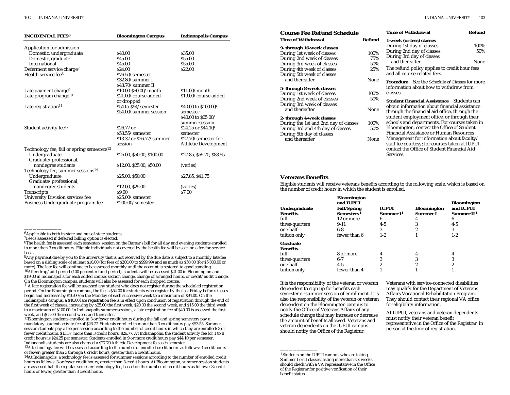| <b>INCIDENTAL FEES6</b>                                | <b>Bloomington Campus</b>          | <b>Indianapolis Campus</b>  |
|--------------------------------------------------------|------------------------------------|-----------------------------|
| Application for admission                              |                                    |                             |
| Domestic, undergraduate                                | \$40.00                            | \$35.00                     |
| Domestic, graduate                                     | \$45.00                            | \$55.00                     |
| International                                          | \$45.00                            | \$55.00                     |
| Deferment service charge <sup>7</sup>                  | \$24.00                            | \$22.00                     |
| Health service fee <sup>8</sup>                        | \$76.50/semester                   |                             |
|                                                        | \$32.80/summer I                   |                             |
|                                                        | \$43.70/summer II                  |                             |
| Late payment charge <sup>9</sup>                       | \$10.00-\$50.00/month              | $$11.00/m$ onth             |
| Late program change <sup>10</sup>                      | \$21.00/course added<br>or dropped | \$19.00/course added        |
| Late registration <sup>11</sup>                        | \$54 to \$94/semester              | \$40.00 to \$100.00/        |
|                                                        | \$54.00/summer session             | semester                    |
|                                                        |                                    | \$40.00 to \$65.00/         |
|                                                        |                                    | summer session              |
| Student activity fee <sup>12</sup>                     | \$26.77 or                         | \$24.25 or \$44.10/         |
|                                                        | \$53.55/semester                   | semester                    |
|                                                        | \$13.37 or \$26.77/summer          | \$27.70/semester for        |
|                                                        | session                            | <b>Athletic Development</b> |
| Technology fee, fall or spring semesters <sup>13</sup> |                                    |                             |
| Undergraduate                                          | \$25.00, \$50.00, \$100.00         | \$27.85, \$55.70, \$83.55   |
| Graduate/professional,                                 |                                    |                             |
| nondegree students                                     | \$12.00, \$25.00, \$50.00          | (varies)                    |
| Technology fee, summer sessions <sup>14</sup>          |                                    |                             |
| Undergraduate                                          | \$25.00. \$50.00                   | \$27.85, \$41.75            |
| Graduate/professional,                                 |                                    |                             |
| nondegree students                                     | \$12.00, \$25.00                   | (varies)                    |
| Transcripts                                            | \$9.00                             | \$7.00                      |
| <b>University Division services fee</b>                | \$25.00/semester                   |                             |
| Business Undergraduate program fee                     | \$200.00/semester                  |                             |

11A late registration fee will be assessed any student who does not register during the scheduled registration period. On the Bloomington campus, the fee is \$54.00 for students who register by the last Friday before classes begin and increases by \$10.00 on the Monday of each successive week to a maximum of \$94.00. On the Indianapolis campus, a \$40.00 late registration fee is in effect upon conclusion of registration through the end of the first week of classes, increasing by \$25.00 the first week, \$20.00 the second week, and \$15.00 the third week to a maximum of \$100.00. In Indianapolis summer sessions, a late registration fee of \$40.00 is assessed the first week, and \$65.00 the second week and thereafter.

<sup>12</sup>Bloomington students enrolled in 3 or fewer credit hours during the fall and spring semesters pay a mandatory student activity fee of \$26.77. Students enrolled in more than 3 credit hours pay \$53.55. Summersession students pay a fee per session according to the number of credit hours in which they are enrolled: 3 or fewer credit hours, \$13.37; more than 3 credit hours, \$26.77. At Indianapolis, the student activity fee for 1 to 8 credit hours is \$24.25 per semester. Students enrolled in 9 or more credit hours pay \$44.10 per semester.

<sup>13</sup>A technology fee will be assessed according to the number of enrolled credit hours as follows: 3 credit hours or fewer; greater than 3 through 6 credit hours; greater than 6 credit hours.

<sup>14</sup>At Indianapolis, a technology fee is assessed for summer sessions according to the number of enrolled credit hours as follows: 3 or fewer credit hours; greater than 3 credit hours. At Bloomington, summer-session students are assessed half the regular-semester technology fee, based on the number of credit hours as follows: 3 credit hours or fewer; greater than 3 credit hours.

### **Course Fee Refund Schedul Time of Withdrawal 9- through 16-week classes** During 1st week of classes During 2nd week of classes During 3rd week of classes During 4th week of classes During 5th week of classes and thereafter **5- through 8-week classes** During 1st week of classes During 2nd week of classes During 3rd week of classes and thereafter **2- through 4-week classes**  During the 1st and 2nd day of classe During 3rd and 4th day of classes During 5th day of classes and thereafter

| le                                                                                   |               | <b>Time of Withdrawal</b>                                                                                                                                | Refund |
|--------------------------------------------------------------------------------------|---------------|----------------------------------------------------------------------------------------------------------------------------------------------------------|--------|
|                                                                                      | <b>Refund</b> | 1-week (or less) classes                                                                                                                                 |        |
|                                                                                      |               | During 1st day of classes                                                                                                                                | 100%   |
|                                                                                      | 100%          | During 2nd day of classes                                                                                                                                | 50%    |
|                                                                                      | 75%           | During 3rd day of classes                                                                                                                                |        |
|                                                                                      | 50%           | and thereafter                                                                                                                                           | None   |
| The refund policy applies to credit hour fees<br>25%<br>and all course-related fees. |               |                                                                                                                                                          |        |
|                                                                                      | None          | <b>Procedure</b> See the <i>Schedule of Classes</i> for more<br>information about how to withdraw from                                                   |        |
|                                                                                      | 100%          | classes.                                                                                                                                                 |        |
| 50%<br><b>Student Financial Assistance</b> Students can                              |               |                                                                                                                                                          |        |
|                                                                                      | None          | obtain information about financial assistance<br>through the financial aid office, through the<br>student employment office, or through their            |        |
| es                                                                                   | 100%          | schools and departments. For courses taken in                                                                                                            |        |
|                                                                                      | 50%           | Bloomington, contact the Office of Student<br>Financial Assistance or Human Resources                                                                    |        |
|                                                                                      | None          | Management for information about faculty/<br>staff fee courtesy; for courses taken at IUPUI,<br>contact the Office of Student Financial Aid<br>Services. |        |
|                                                                                      |               |                                                                                                                                                          |        |

### **Veterans Benefits**

Eligible students will receive veterans benefits according to the following scale, which is based on the number of credit hours in which the student is enrolled.

| Undergraduate<br>Benefits | <b>Bloomington</b><br>and <b>IUPUI</b><br><b>Fall/Spring</b><br>Semesters <sup>1</sup> | <b>IUPUI</b><br>Summer I <sup>1</sup> | <b>Bloomington</b><br>Summer I | <b>Bloomington</b><br>and IUPUI<br>Summer II <sup>1</sup> |
|---------------------------|----------------------------------------------------------------------------------------|---------------------------------------|--------------------------------|-----------------------------------------------------------|
| full                      | 12 or more                                                                             | 6                                     |                                | 6                                                         |
| three-quarters            | $9 - 11$                                                                               | $4 - 5$                               |                                | $4 - 5$                                                   |
| one-half                  | $6-8$                                                                                  | 3                                     |                                | 3                                                         |
| tuition only              | fewer than 6                                                                           | $1 - 2$                               |                                | $1 - 2$                                                   |
| Graduate                  |                                                                                        |                                       |                                |                                                           |
| Benefits                  |                                                                                        |                                       |                                |                                                           |
| full                      | 8 or more                                                                              |                                       |                                |                                                           |
| three-quarters            | $6 - 7$                                                                                |                                       |                                | 3                                                         |
| one-half                  | $4 - 5$                                                                                |                                       |                                |                                                           |
| tuition only              | fewer than 4                                                                           |                                       |                                |                                                           |

It is the responsibility of the veteran or veteran dependent to sign up for benefits each semester or summer session of enrollment. It is also the responsibility of the veteran or veteran dependent on the Bloomington campus to notify the Office of Veterans Affairs of any schedule change that may increase or decrease the amount of benefits allowed. Veterans and veteran dependents on the IUPUI campus should notify the Office of the Registrar.

1Students on the IUPUI campus who are taking Summer I or II classes lasting more than six weeks should check with a VA representative in the Office of the Registrar for positive verification of their benefit status.

Veterans with service-connected disabilities may qualify for the Department of Veterans Affairs Vocational Rehabilitation Program. They should contact their regional VA office for eligibility information.

At IUPUI, veterans and veteran dependents must notify their veteran benefit representative in the Office of the Registrar in person at the time of registration.

<sup>6</sup>Applicable to both in-state and out-of-state students.

<sup>7</sup>Fee is assessed if deferred billing option is elected.

<sup>8</sup>The health fee is assessed each semester/session on the Bursar's bill for all day and evening students enrolled in more than 3 credit hours. Eligible individuals not covered by the health fee will be seen on a fee-for-service basis.

<sup>&</sup>lt;sup>9</sup>Any payment due by you to the university that is not received by the due date is subject to a monthly late fee based on a sliding scale of at least \$10.00 (for fees of \$200.00 to \$999.99) and as much as \$50.00 (for \$5,000.00 or more). The late fee will continue to be assessed monthly until the account is restored to good standing.  $10$ After drop/add period (100 percent refund period), students will be assessed \$21.00 in Bloomington and \$19.00 in Indianapolis for each added course, section change, change of arranged hours, or credit/audit change. On the Bloomington campus, students will also be assessed for each dropped course.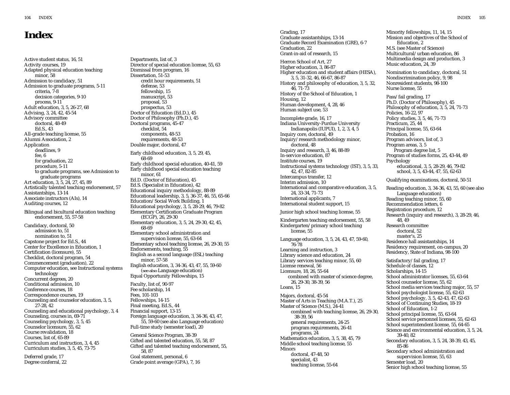# **Index**

Active student status, 16, 51 Activity courses, 19 Adapted physical education teaching minor, 58 Admission to candidacy, 51 Admission to graduate programs, 5-11 criteria, 7-8 decision categories, 9-10 process, 9-11 Adult education, 3, 5, 26-27, 68 Advising, 3, 24, 42, 45-54 Advisory committee doctoral, 48-49 Ed.S., 43 All-grade teaching license, 55 Alumni Association, 2 Application deadlines, 9 fee, 6 for graduation, 22 procedure, 5-11 to graduate programs, see Admission to graduate programs Art education, 3, 5, 24, 27, 45, 89 Artistically talented teaching endorsement, 57 Assistantships, 13-14 Associate instructors (AIs), 14 Auditing courses, 12 Bilingual and bicultural education teaching endorsement, 55, 57-58 Candidacy, doctoral, 50 admission to, 51 nomination to, 51 Capstone project for Ed.S., 44 Center for Excellence in Education, 1 Certification (licensure), 55 Checklist, doctoral program, 54 Commencement (graduation), 22 Computer education, see Instructional systems technology Concurrent degrees, 20 Conditional admission, 10 Conference courses, 18 Correspondence courses, 19 Counseling and counselor education, 3, 5, 27-28, 42 Counseling and educational psychology, 3, 4 Counseling, courses in, 69-71 Counseling psychology, 3, 5, 45 Counselor licensure, 55, 62 Course revalidation, 18 Courses, list of, 65-89 Curriculum and instruction, 3, 4, 45 Curriculum studies, 3, 5, 45, 73-75

Deferred grade, 17 Degree conferral, 22

Departments, list of, 3 Director of special education license, 55, 63 Dismissal from program, 16 Dissertation, 51-53 credit hour requirements, 51 defense, 53 fellowship, 15 manuscript, 53 proposal, 53 prospectus, 53 Doctor of Education (Ed.D.), 45 Doctor of Philosophy (Ph.D.), 45 Doctoral programs, 45-47 checklist, 54 components, 48-53 requirements, 48-53 Double major, doctoral, 47 Early childhood education, 3, 5, 29, 45, 68-69 Early childhood special education, 40-41, 59 Early childhood special education teaching minor, 61 Ed.D. (Doctor of Education), 45 Ed.S. (Specialist in Education), 42 Educational inquiry methodology, 88-89 Educational leadership, 3, 5, 36-37, 46, 55, 65-66 Education/Social Work Building, 1 Educational psychology, 3, 5, 28-29, 46, 79-82 Elementary Certification Graduate Program (ECGP), 26, 29-30 Elementary education, 3, 5, 24, 29-30, 42, 45, 68-69 Elementary school administration and supervision license, 55, 63-64 Elementary school teaching license, 26, 29-30, 55 Endorsements, teaching, 55 English as a second language (ESL) teaching minor, 57-58 English education, 3, 34-36, 43, 47, 55, 59-60 (*see also* Language education) Equal Opportunity Fellowships, 15 Faculty, list of, 90-97 Fee scholarship, 14 Fees, 101-103 Fellowships, 14-15 Final meeting, Ed.S., 44 Financial support, 13-15 Foreign language education, 3, 34-36, 43, 47, 55, 59-60 (see also Language education) Full-time study (semester load), 20 General Science Program, 38-39 Gifted and talented education, 55, 58, 87 Gifted and talented teaching endorsement, 55, 58, 87 Goal statement, personal, 6 Grade point average (GPA), 7, 16

Grading, 17 Graduate assistantships, 13-14 Graduate Record Examination (GRE), 6-7 Graduation, 22 Grant-in-aid of research, 15 Herron School of Art, 27 Higher education, 3, 86-87 Higher education and student affairs (HESA), 3, 5, 31-32, 46, 66-67, 86-87 History and philosophy of education, 3, 5, 32, 46, 71-73 History of the School of Education, 1 Housing, 12 Human development, 4, 28, 46 Human subject use, 53 Incomplete grade, 16, 17 Indiana University-Purdue University Indianapolis (IUPUI), 1, 2, 3, 4, 5 Inquiry core, doctoral, 49 Inquiry/research methodology minor, doctoral, 48 Inquiry and research, 3, 46, 88-89 In-service education, 87 Institute courses, 19 Instructional systems technology (IST), 3, 5, 33, 42, 47, 82-85 Intercampus transfer, 12 Interim admission, 10 International and comparative education, 3, 5, 24, 33-34, 71-73 International applicants, 7 International student support, 15 Junior high school teaching license, 55 Kindergarten teaching endorsement, 55, 58 Kindergarten/primary school teaching license, 55 Language education, 3, 5, 24, 43, 47, 59-60, 76-78 Learning and instruction, 3 Library science and education, 24 Library services teaching minor, 55, 60 License renewal, 56 Licensure, 18, 26, 55-64 combined with master of science degree, 26, 29-30, 38-39, 56 Loans, 15 Majors, doctoral, 45-54 Master of Arts in Teaching (M.A.T.), 25 Master of Science (M.S.), 24-41 combined with teaching license, 26, 29-30, 38-39, 56 general requirements, 24-25 program requirements, 26-41 programs, 24 Mathematics education, 3, 5, 38, 45, 79 Middle school teaching license, 55 **Minors** doctoral, 47-48, 50 specialist, 43 teaching license, 55-64

Mission and objectives of the School of Education, 2 M.S. (see Master of Science) Multicultural/urban education, 86 Multimedia design and production, 3 Music education, 24, 39 Nomination to candidacy, doctoral, 51 Nondiscrimination policy, 9, 98 Nonresident students, 98-100 Nurse license, 55 Pass/fail grading, 17 Ph.D. (Doctor of Philosophy), 45 Philosophy of education, 3, 5, 24, 71-73 Policies, 16-22, 97 Policy studies, 3, 5, 46, 71-73 Practicum, 25, 44 Principal license, 55, 63-64 Probation, 16 Program advisors, list of, 3 Program areas, 3, 5 Program degree list, 5 Program of studies forms, 25, 43-44, 49 Psychology educational, 3, 5, 28-29, 46, 79-82 school, 3, 5, 43-44, 47, 55, 62-63 Qualifying examinations, doctoral, 50-51 Reading education, 3, 34-36, 43, 55, 60 (see also Language education) Reading teaching minor, 55, 60 Recommendation letters, 6 Registration procedure, 12 Research (inquiry and research), 3, 28-29, 46, 48, 49 Research committee doctoral, 52 master's, 25 Residence hall assistantships, 14 Residency requirement, on-campus, 20 Residency, State of Indiana, 98-100 Satisfactory/fail grading, 17 Schedule of classes, 12 Scholarships, 14-15 School administrator licenses, 55, 63-64 School counselor license, 55, 62 School media services teaching major, 55, 57 School psychologist license, 55, 62-63 School psychology, 3, 5, 42-43, 47, 62-63 School of Continuing Studies, 18-19 School of Education, 1-2 School principal license, 55, 63-64 School service personnel licenses, 55, 62-63 School superintendent license, 55, 64-65 Science and environmental education, 3, 5, 24, 39-40, 82 Secondary education, 3, 5, 24, 38-39, 43, 45, 85-86 Secondary school administration and supervision license, 55, 63 Semester load, 20 Senior high school teaching license, 55

Minority fellowships, 11, 14, 15